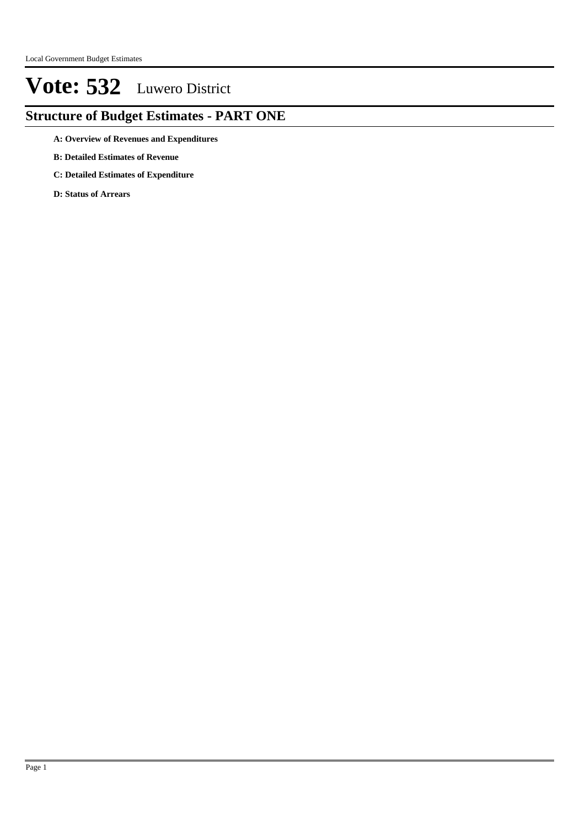### **Structure of Budget Estimates - PART ONE**

- **A: Overview of Revenues and Expenditures**
- **B: Detailed Estimates of Revenue**
- **C: Detailed Estimates of Expenditure**
- **D: Status of Arrears**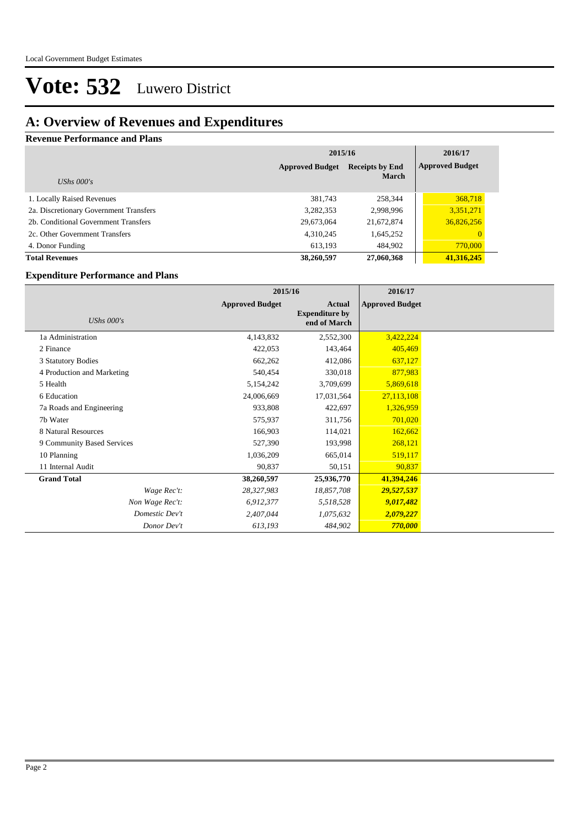### **A: Overview of Revenues and Expenditures**

#### **Revenue Performance and Plans**

|                                        | 2015/16                                          | 2016/17      |                        |
|----------------------------------------|--------------------------------------------------|--------------|------------------------|
|                                        | <b>Approved Budget</b><br><b>Receipts by End</b> |              | <b>Approved Budget</b> |
| UShs $000's$                           |                                                  | <b>March</b> |                        |
| 1. Locally Raised Revenues             | 381,743                                          | 258,344      | 368,718                |
| 2a. Discretionary Government Transfers | 3,282,353                                        | 2,998,996    | 3,351,271              |
| 2b. Conditional Government Transfers   | 29,673,064                                       | 21,672,874   | 36,826,256             |
| 2c. Other Government Transfers         | 4,310,245                                        | 1,645,252    |                        |
| 4. Donor Funding                       | 613.193                                          | 484,902      | 770,000                |
| <b>Total Revenues</b>                  | 38,260,597                                       | 27,060,368   | 41,316,245             |

#### **Expenditure Performance and Plans**

|                            | 2015/16                |                                                 | 2016/17                |  |
|----------------------------|------------------------|-------------------------------------------------|------------------------|--|
| <b>UShs 000's</b>          | <b>Approved Budget</b> | Actual<br><b>Expenditure by</b><br>end of March | <b>Approved Budget</b> |  |
| 1a Administration          | 4,143,832              | 2,552,300                                       | 3,422,224              |  |
| 2 Finance                  | 422,053                | 143,464                                         | 405,469                |  |
| 3 Statutory Bodies         | 662,262                | 412,086                                         | 637,127                |  |
| 4 Production and Marketing | 540,454                | 330,018                                         | 877,983                |  |
| 5 Health                   | 5,154,242              | 3,709,699                                       | 5,869,618              |  |
| 6 Education                | 24,006,669             | 17,031,564                                      | 27,113,108             |  |
| 7a Roads and Engineering   | 933,808                | 422,697                                         | 1,326,959              |  |
| 7b Water                   | 575,937                | 311,756                                         | 701,020                |  |
| 8 Natural Resources        | 166,903                | 114,021                                         | 162,662                |  |
| 9 Community Based Services | 527,390                | 193,998                                         | 268,121                |  |
| 10 Planning                | 1,036,209              | 665,014                                         | 519,117                |  |
| 11 Internal Audit          | 90,837                 | 50,151                                          | 90,837                 |  |
| <b>Grand Total</b>         | 38,260,597             | 25,936,770                                      | 41,394,246             |  |
| Wage Rec't:                | 28,327,983             | 18,857,708                                      | 29,527,537             |  |
| Non Wage Rec't:            | 6,912,377              | 5,518,528                                       | 9,017,482              |  |
| Domestic Dev't             | 2,407,044              | 1,075,632                                       | 2,079,227              |  |
| Donor Dev't                | 613,193                | 484,902                                         | 770,000                |  |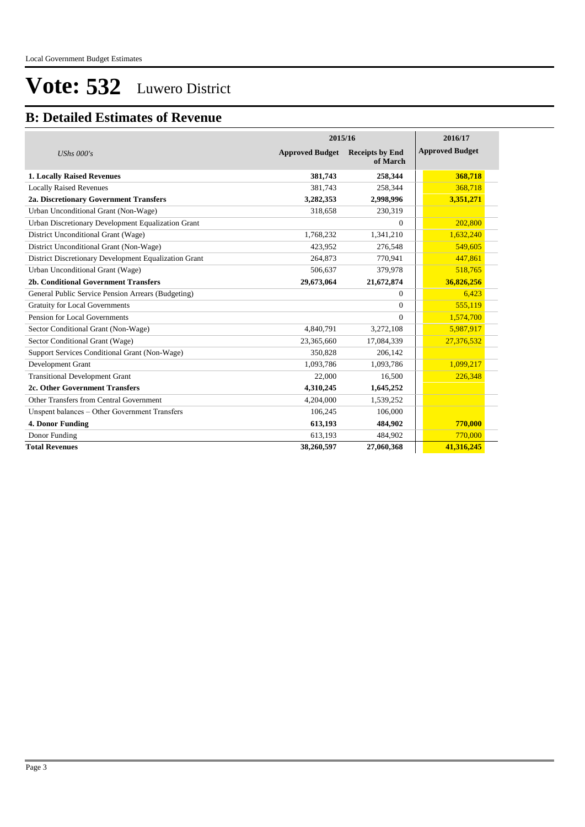#### **B: Detailed Estimates of Revenue**

|                                                       |                        | 2015/16                            |                        |  |  |
|-------------------------------------------------------|------------------------|------------------------------------|------------------------|--|--|
| UShs $000's$                                          | <b>Approved Budget</b> | <b>Receipts by End</b><br>of March | <b>Approved Budget</b> |  |  |
| <b>1. Locally Raised Revenues</b>                     | 381,743                | 258,344                            | 368,718                |  |  |
| <b>Locally Raised Revenues</b>                        | 381,743                | 258,344                            | 368,718                |  |  |
| 2a. Discretionary Government Transfers                | 3,282,353              | 2,998,996                          | 3,351,271              |  |  |
| Urban Unconditional Grant (Non-Wage)                  | 318,658                | 230,319                            |                        |  |  |
| Urban Discretionary Development Equalization Grant    |                        | $\Omega$                           | 202,800                |  |  |
| District Unconditional Grant (Wage)                   | 1,768,232              | 1,341,210                          | 1,632,240              |  |  |
| District Unconditional Grant (Non-Wage)               | 423,952                | 276,548                            | 549,605                |  |  |
| District Discretionary Development Equalization Grant | 264,873                | 770,941                            | 447,861                |  |  |
| Urban Unconditional Grant (Wage)                      | 506.637                | 379,978                            | 518,765                |  |  |
| 2b. Conditional Government Transfers                  | 29,673,064             | 21,672,874                         | 36,826,256             |  |  |
| General Public Service Pension Arrears (Budgeting)    |                        | $\mathbf{0}$                       | 6,423                  |  |  |
| <b>Gratuity for Local Governments</b>                 |                        | $\Omega$                           | 555,119                |  |  |
| Pension for Local Governments                         |                        | $\Omega$                           | 1,574,700              |  |  |
| Sector Conditional Grant (Non-Wage)                   | 4,840,791              | 3,272,108                          | 5,987,917              |  |  |
| Sector Conditional Grant (Wage)                       | 23,365,660             | 17,084,339                         | 27,376,532             |  |  |
| Support Services Conditional Grant (Non-Wage)         | 350,828                | 206,142                            |                        |  |  |
| Development Grant                                     | 1,093,786              | 1,093,786                          | 1,099,217              |  |  |
| <b>Transitional Development Grant</b>                 | 22,000                 | 16,500                             | 226,348                |  |  |
| 2c. Other Government Transfers                        | 4,310,245              | 1,645,252                          |                        |  |  |
| Other Transfers from Central Government               | 4,204,000              | 1,539,252                          |                        |  |  |
| Unspent balances - Other Government Transfers         | 106,245                | 106,000                            |                        |  |  |
| 4. Donor Funding                                      | 613,193                | 484,902                            | 770,000                |  |  |
| Donor Funding                                         | 613,193                | 484,902                            | 770,000                |  |  |
| <b>Total Revenues</b>                                 | 38.260.597             | 27,060,368                         | 41,316,245             |  |  |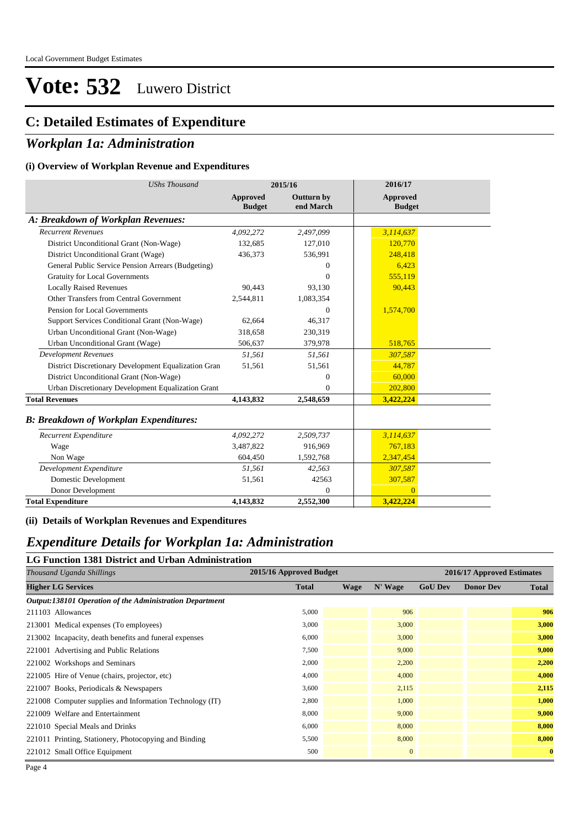#### **C: Detailed Estimates of Expenditure**

#### *Workplan 1a: Administration*

#### **(i) Overview of Workplan Revenue and Expenditures**

| <b>UShs Thousand</b>                                 | 2015/16                   |                                | 2016/17                   |  |
|------------------------------------------------------|---------------------------|--------------------------------|---------------------------|--|
|                                                      | Approved<br><b>Budget</b> | <b>Outturn by</b><br>end March | Approved<br><b>Budget</b> |  |
| A: Breakdown of Workplan Revenues:                   |                           |                                |                           |  |
| <b>Recurrent Revenues</b>                            | 4,092,272                 | 2,497,099                      | 3,114,637                 |  |
| District Unconditional Grant (Non-Wage)              | 132,685                   | 127,010                        | 120,770                   |  |
| District Unconditional Grant (Wage)                  | 436,373                   | 536,991                        | 248,418                   |  |
| General Public Service Pension Arrears (Budgeting)   |                           | $\mathbf{0}$                   | 6,423                     |  |
| <b>Gratuity for Local Governments</b>                |                           | $\mathbf{0}$                   | 555,119                   |  |
| <b>Locally Raised Revenues</b>                       | 90,443                    | 93,130                         | 90,443                    |  |
| Other Transfers from Central Government              | 2,544,811                 | 1,083,354                      |                           |  |
| Pension for Local Governments                        |                           | $\mathbf{0}$                   | 1,574,700                 |  |
| Support Services Conditional Grant (Non-Wage)        | 62,664                    | 46,317                         |                           |  |
| Urban Unconditional Grant (Non-Wage)                 | 318,658                   | 230,319                        |                           |  |
| Urban Unconditional Grant (Wage)                     | 506,637                   | 379,978                        | 518,765                   |  |
| <b>Development Revenues</b>                          | 51,561                    | 51,561                         | 307,587                   |  |
| District Discretionary Development Equalization Gran | 51,561                    | 51,561                         | 44,787                    |  |
| District Unconditional Grant (Non-Wage)              |                           | $\Omega$                       | 60,000                    |  |
| Urban Discretionary Development Equalization Grant   |                           | $\Omega$                       | 202,800                   |  |
| <b>Total Revenues</b>                                | 4,143,832                 | 2,548,659                      | 3,422,224                 |  |
| <b>B: Breakdown of Workplan Expenditures:</b>        |                           |                                |                           |  |
| Recurrent Expenditure                                | 4,092,272                 | 2,509,737                      | 3,114,637                 |  |
| Wage                                                 | 3,487,822                 | 916,969                        | 767,183                   |  |
| Non Wage                                             | 604,450                   | 1,592,768                      | 2,347,454                 |  |
| Development Expenditure                              | 51,561                    | 42,563                         | 307,587                   |  |
| Domestic Development                                 | 51,561                    | 42563                          | 307,587                   |  |
| Donor Development                                    |                           | $\Omega$                       | $\overline{0}$            |  |
| <b>Total Expenditure</b>                             | 4,143,832                 | 2,552,300                      | 3,422,224                 |  |

#### **(ii) Details of Workplan Revenues and Expenditures**

#### *Expenditure Details for Workplan 1a: Administration*

#### **LG Function 1381 District and Urban Administration**

| Thousand Uganda Shillings                                | 2015/16 Approved Budget |      |              | 2016/17 Approved Estimates |                  |              |  |
|----------------------------------------------------------|-------------------------|------|--------------|----------------------------|------------------|--------------|--|
| <b>Higher LG Services</b>                                | <b>Total</b>            | Wage | N' Wage      | <b>GoU Dev</b>             | <b>Donor Dev</b> | <b>Total</b> |  |
| Output:138101 Operation of the Administration Department |                         |      |              |                            |                  |              |  |
| 211103 Allowances                                        | 5,000                   |      | 906          |                            |                  | 906          |  |
| 213001 Medical expenses (To employees)                   | 3,000                   |      | 3,000        |                            |                  | 3,000        |  |
| 213002 Incapacity, death benefits and funeral expenses   | 6,000                   |      | 3,000        |                            |                  | 3,000        |  |
| 221001 Advertising and Public Relations                  | 7,500                   |      | 9,000        |                            |                  | 9,000        |  |
| 221002 Workshops and Seminars                            | 2,000                   |      | 2,200        |                            |                  | 2,200        |  |
| 221005 Hire of Venue (chairs, projector, etc)            | 4,000                   |      | 4,000        |                            |                  | 4,000        |  |
| 221007 Books, Periodicals & Newspapers                   | 3,600                   |      | 2,115        |                            |                  | 2,115        |  |
| 221008 Computer supplies and Information Technology (IT) | 2,800                   |      | 1,000        |                            |                  | 1,000        |  |
| 221009 Welfare and Entertainment                         | 8,000                   |      | 9,000        |                            |                  | 9,000        |  |
| 221010 Special Meals and Drinks                          | 6,000                   |      | 8,000        |                            |                  | 8,000        |  |
| 221011 Printing, Stationery, Photocopying and Binding    | 5,500                   |      | 8,000        |                            |                  | 8,000        |  |
| 221012 Small Office Equipment                            | 500                     |      | $\mathbf{0}$ |                            |                  | $\mathbf{0}$ |  |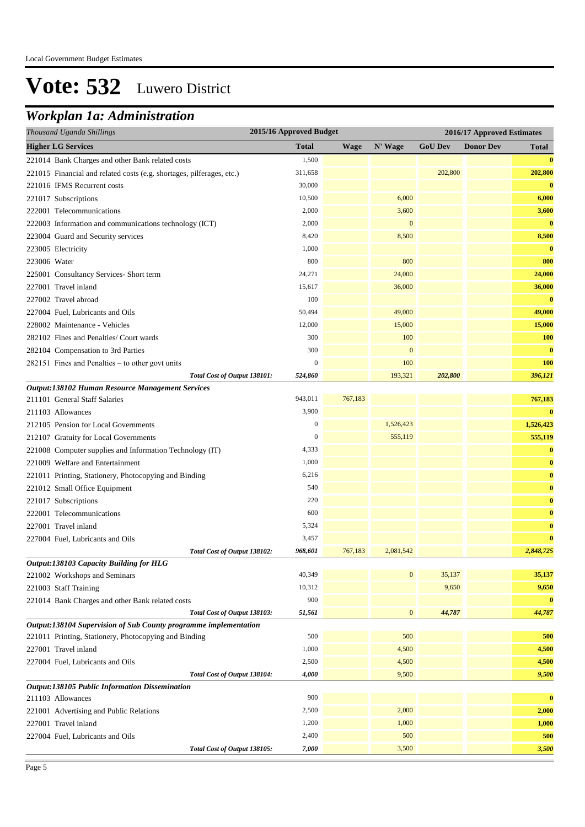### *Workplan 1a: Administration*

| Thousand Uganda Shillings                                             | 2015/16 Approved Budget |             |                  |                | 2016/17 Approved Estimates |            |  |
|-----------------------------------------------------------------------|-------------------------|-------------|------------------|----------------|----------------------------|------------|--|
| <b>Higher LG Services</b>                                             | <b>Total</b>            | <b>Wage</b> | N' Wage          | <b>GoU Dev</b> | <b>Donor Dev</b>           | Total      |  |
| 221014 Bank Charges and other Bank related costs                      | 1,500                   |             |                  |                |                            | $\bf{0}$   |  |
| 221015 Financial and related costs (e.g. shortages, pilferages, etc.) | 311,658                 |             |                  | 202,800        |                            | 202,800    |  |
| 221016 IFMS Recurrent costs                                           | 30,000                  |             |                  |                |                            | $\bf{0}$   |  |
| 221017 Subscriptions                                                  | 10,500                  |             | 6,000            |                |                            | 6,000      |  |
| 222001 Telecommunications                                             | 2,000                   |             | 3,600            |                |                            | 3,600      |  |
| 222003 Information and communications technology (ICT)                | 2,000                   |             | $\mathbf{0}$     |                |                            | $\bf{0}$   |  |
| 223004 Guard and Security services                                    | 8,420                   |             | 8,500            |                |                            | 8,500      |  |
| 223005 Electricity                                                    | 1,000                   |             |                  |                |                            | $\bf{0}$   |  |
| 223006 Water                                                          | 800                     |             | 800              |                |                            | 800        |  |
| 225001 Consultancy Services- Short term                               | 24,271                  |             | 24,000           |                |                            | 24,000     |  |
| 227001 Travel inland                                                  | 15,617                  |             | 36,000           |                |                            | 36,000     |  |
| 227002 Travel abroad                                                  | 100                     |             |                  |                |                            | $\bf{0}$   |  |
| 227004 Fuel, Lubricants and Oils                                      | 50,494                  |             | 49,000           |                |                            | 49,000     |  |
| 228002 Maintenance - Vehicles                                         | 12,000                  |             | 15,000           |                |                            | 15,000     |  |
| 282102 Fines and Penalties/ Court wards                               | 300                     |             | 100              |                |                            | 100        |  |
| 282104 Compensation to 3rd Parties                                    | 300                     |             | $\mathbf{0}$     |                |                            | $\bf{0}$   |  |
| $282151$ Fines and Penalties – to other govt units                    | $\mathbf{0}$            |             | 100              |                |                            | <b>100</b> |  |
| Total Cost of Output 138101:                                          | 524,860                 |             | 193,321          | 202,800        |                            | 396,121    |  |
| Output:138102 Human Resource Management Services                      |                         |             |                  |                |                            |            |  |
| 211101 General Staff Salaries                                         | 943,011                 | 767,183     |                  |                |                            | 767,183    |  |
| 211103 Allowances                                                     | 3,900                   |             |                  |                |                            | $\bf{0}$   |  |
| 212105 Pension for Local Governments                                  | $\mathbf{0}$            |             | 1,526,423        |                |                            | 1,526,423  |  |
| 212107 Gratuity for Local Governments                                 | $\boldsymbol{0}$        |             | 555,119          |                |                            | 555,119    |  |
| 221008 Computer supplies and Information Technology (IT)              | 4,333                   |             |                  |                |                            | $\bf{0}$   |  |
| 221009 Welfare and Entertainment                                      | 1,000                   |             |                  |                |                            | $\bf{0}$   |  |
| 221011 Printing, Stationery, Photocopying and Binding                 | 6,216                   |             |                  |                |                            | $\bf{0}$   |  |
| 221012 Small Office Equipment                                         | 540                     |             |                  |                |                            | $\bf{0}$   |  |
| 221017 Subscriptions                                                  | 220                     |             |                  |                |                            | $\bf{0}$   |  |
| 222001 Telecommunications                                             | 600                     |             |                  |                |                            | $\bf{0}$   |  |
| 227001 Travel inland                                                  | 5,324                   |             |                  |                |                            | $\bf{0}$   |  |
| 227004 Fuel, Lubricants and Oils                                      | 3,457                   |             |                  |                |                            | $\bf{0}$   |  |
| Total Cost of Output 138102:                                          | 968,601                 | 767,183     | 2,081,542        |                |                            | 2,848,725  |  |
| <b>Output:138103 Capacity Building for HLG</b>                        |                         |             |                  |                |                            |            |  |
| 221002 Workshops and Seminars                                         | 40,349                  |             | $\boldsymbol{0}$ | 35,137         |                            | 35,137     |  |
| 221003 Staff Training                                                 | 10,312                  |             |                  | 9,650          |                            | 9,650      |  |
| 221014 Bank Charges and other Bank related costs                      | 900                     |             |                  |                |                            | $\bf{0}$   |  |
| Total Cost of Output 138103:                                          | 51,561                  |             | $\boldsymbol{0}$ | 44,787         |                            | 44,787     |  |
| Output:138104 Supervision of Sub County programme implementation      |                         |             |                  |                |                            |            |  |
| 221011 Printing, Stationery, Photocopying and Binding                 | 500                     |             | 500              |                |                            | 500        |  |
| 227001 Travel inland                                                  | 1,000                   |             | 4,500            |                |                            | 4,500      |  |
| 227004 Fuel, Lubricants and Oils                                      | 2,500                   |             | 4,500            |                |                            | 4,500      |  |
| Total Cost of Output 138104:                                          | 4,000                   |             | 9,500            |                |                            | 9,500      |  |
| Output:138105 Public Information Dissemination                        |                         |             |                  |                |                            |            |  |
| 211103 Allowances                                                     | 900                     |             |                  |                |                            | $\bf{0}$   |  |
| 221001 Advertising and Public Relations                               | 2,500                   |             | 2,000            |                |                            | 2,000      |  |
| 227001 Travel inland                                                  | 1,200                   |             | 1,000            |                |                            | 1,000      |  |
| 227004 Fuel, Lubricants and Oils                                      | 2,400                   |             | 500              |                |                            | 500        |  |
| Total Cost of Output 138105:                                          | 7,000                   |             | 3,500            |                |                            | 3,500      |  |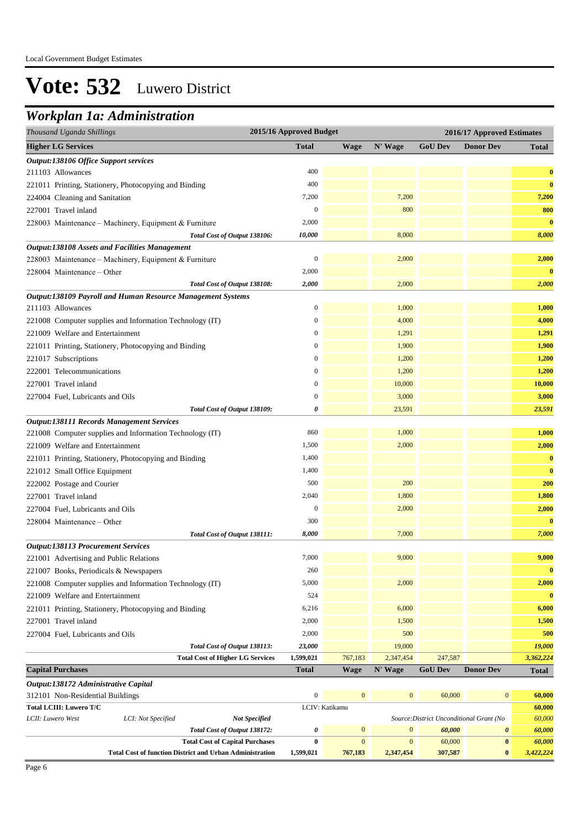### *Workplan 1a: Administration*

| Thousand Uganda Shillings                                              | 2015/16 Approved Budget |                              |                                  | 2016/17 Approved Estimates               |                  |                  |
|------------------------------------------------------------------------|-------------------------|------------------------------|----------------------------------|------------------------------------------|------------------|------------------|
| <b>Higher LG Services</b>                                              | <b>Total</b>            | <b>Wage</b>                  | N' Wage                          | <b>GoU</b> Dev                           | <b>Donor Dev</b> | Total            |
| <b>Output:138106 Office Support services</b>                           |                         |                              |                                  |                                          |                  |                  |
| 211103 Allowances                                                      | 400                     |                              |                                  |                                          |                  | $\bf{0}$         |
| 221011 Printing, Stationery, Photocopying and Binding                  | 400                     |                              |                                  |                                          |                  | $\bf{0}$         |
| 224004 Cleaning and Sanitation                                         | 7,200                   |                              | 7,200                            |                                          |                  | 7,200            |
| 227001 Travel inland                                                   | $\boldsymbol{0}$        |                              | 800                              |                                          |                  | 800              |
| 228003 Maintenance - Machinery, Equipment & Furniture                  | 2,000                   |                              |                                  |                                          |                  | $\bf{0}$         |
| Total Cost of Output 138106:                                           | 10,000                  |                              | 8,000                            |                                          |                  | 8,000            |
| <b>Output:138108 Assets and Facilities Management</b>                  |                         |                              |                                  |                                          |                  |                  |
| 228003 Maintenance - Machinery, Equipment & Furniture                  | $\boldsymbol{0}$        |                              | 2,000                            |                                          |                  | 2,000            |
| 228004 Maintenance - Other                                             | 2,000                   |                              |                                  |                                          |                  | $\bf{0}$         |
| Total Cost of Output 138108:                                           | 2,000                   |                              | 2,000                            |                                          |                  | 2,000            |
| Output:138109 Payroll and Human Resource Management Systems            |                         |                              |                                  |                                          |                  |                  |
| 211103 Allowances                                                      | $\boldsymbol{0}$        |                              | 1,000                            |                                          |                  | 1,000            |
| 221008 Computer supplies and Information Technology (IT)               | $\overline{0}$          |                              | 4,000                            |                                          |                  | 4,000            |
| 221009 Welfare and Entertainment                                       | $\boldsymbol{0}$        |                              | 1,291                            |                                          |                  | 1,291            |
| 221011 Printing, Stationery, Photocopying and Binding                  | 0                       |                              | 1,900                            |                                          |                  | 1,900            |
| 221017 Subscriptions                                                   | $\boldsymbol{0}$        |                              | 1,200                            |                                          |                  | 1,200            |
| 222001 Telecommunications                                              | $\boldsymbol{0}$        |                              | 1,200                            |                                          |                  | 1,200            |
| 227001 Travel inland                                                   | $\boldsymbol{0}$        |                              | 10,000                           |                                          |                  | 10,000           |
| 227004 Fuel, Lubricants and Oils                                       | $\boldsymbol{0}$        |                              | 3,000                            |                                          |                  | 3,000            |
| Total Cost of Output 138109:                                           | 0                       |                              | 23,591                           |                                          |                  | 23,591           |
| <b>Output:138111 Records Management Services</b>                       |                         |                              |                                  |                                          |                  |                  |
| 221008 Computer supplies and Information Technology (IT)               | 860                     |                              | 1,000                            |                                          |                  | 1,000            |
| 221009 Welfare and Entertainment                                       | 1,500                   |                              | 2,000                            |                                          |                  | 2,000            |
| 221011 Printing, Stationery, Photocopying and Binding                  | 1,400                   |                              |                                  |                                          |                  | $\bf{0}$         |
| 221012 Small Office Equipment                                          | 1,400                   |                              |                                  |                                          |                  | $\bf{0}$         |
| 222002 Postage and Courier                                             | 500                     |                              | 200                              |                                          |                  | 200              |
| 227001 Travel inland                                                   | 2,040                   |                              | 1,800                            |                                          |                  | 1,800            |
| 227004 Fuel, Lubricants and Oils                                       | $\boldsymbol{0}$        |                              | 2,000                            |                                          |                  | 2,000            |
| 228004 Maintenance – Other                                             | 300                     |                              |                                  |                                          |                  | $\bf{0}$         |
| Total Cost of Output 138111:                                           | 8,000                   |                              | 7,000                            |                                          |                  | 7,000            |
| <b>Output:138113 Procurement Services</b>                              |                         |                              |                                  |                                          |                  |                  |
| 221001 Advertising and Public Relations                                | 7,000                   |                              | 9,000                            |                                          |                  | 9,000            |
| 221007 Books, Periodicals & Newspapers                                 | 260                     |                              |                                  |                                          |                  | $\bf{0}$         |
| 221008 Computer supplies and Information Technology (IT)               | 5,000                   |                              | 2,000                            |                                          |                  | 2,000            |
| 221009 Welfare and Entertainment                                       | 524                     |                              |                                  |                                          |                  | $\mathbf{0}$     |
| 221011 Printing, Stationery, Photocopying and Binding                  | 6,216                   |                              | 6,000                            |                                          |                  | 6,000            |
| 227001 Travel inland                                                   | 2,000                   |                              | 1,500                            |                                          |                  | 1,500            |
| 227004 Fuel, Lubricants and Oils                                       | 2,000                   |                              | 500                              |                                          |                  | 500              |
| Total Cost of Output 138113:                                           | 23,000                  |                              | 19,000                           |                                          |                  | 19,000           |
| <b>Total Cost of Higher LG Services</b>                                | 1,599,021               | 767,183                      | 2,347,454                        | 247,587                                  |                  | 3,362,224        |
| <b>Capital Purchases</b>                                               | <b>Total</b>            | <b>Wage</b>                  | N' Wage                          | <b>GoU Dev</b>                           | <b>Donor Dev</b> | <b>Total</b>     |
| Output:138172 Administrative Capital                                   |                         |                              |                                  |                                          |                  |                  |
| 312101 Non-Residential Buildings                                       | $\boldsymbol{0}$        | $\mathbf{0}$                 | $\mathbf{0}$                     | 60,000                                   | $\boldsymbol{0}$ | 60,000           |
| <b>Total LCIII: Luwero T/C</b>                                         |                         | LCIV: Katikamu               |                                  |                                          |                  | 60,000           |
| LCI: Not Specified<br><b>Not Specified</b><br>LCII: Luwero West        |                         |                              |                                  | Source: District Unconditional Grant (No |                  | 60,000           |
| Total Cost of Output 138172:<br><b>Total Cost of Capital Purchases</b> | 0<br>$\bf{0}$           | $\mathbf{0}$<br>$\mathbf{0}$ | $\boldsymbol{0}$<br>$\mathbf{0}$ | 60,000<br>60,000                         | 0<br>$\pmb{0}$   | 60,000<br>60,000 |
| <b>Total Cost of function District and Urban Administration</b>        | 1,599,021               | 767,183                      | 2,347,454                        | 307,587                                  | $\bf{0}$         | 3,422,224        |
|                                                                        |                         |                              |                                  |                                          |                  |                  |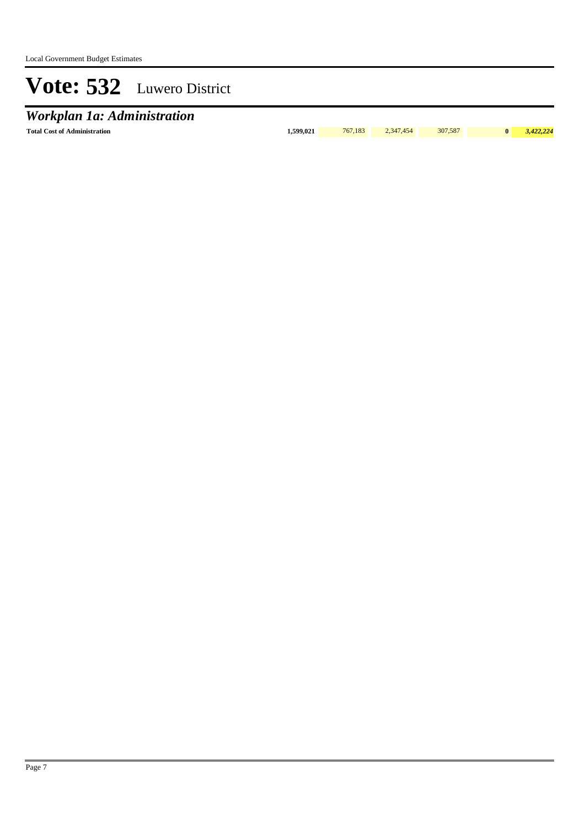## *Workplan 1a: Administration*

**Total Cost of Administration 1,599,021** 767,183 2,347,454 307,587 **0** *3,422,224*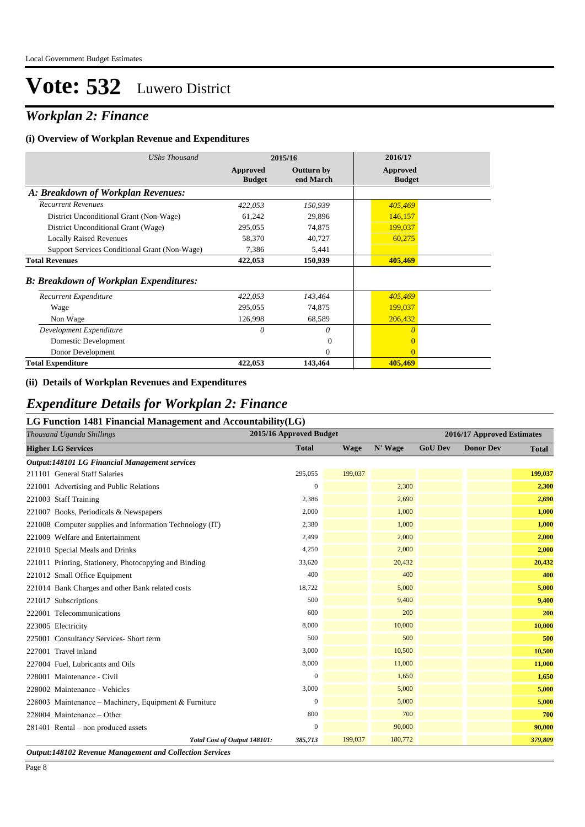### *Workplan 2: Finance*

#### **(i) Overview of Workplan Revenue and Expenditures**

| UShs Thousand                                 | 2015/16                   |                         | 2016/17                   |  |
|-----------------------------------------------|---------------------------|-------------------------|---------------------------|--|
|                                               | Approved<br><b>Budget</b> | Outturn by<br>end March | Approved<br><b>Budget</b> |  |
| A: Breakdown of Workplan Revenues:            |                           |                         |                           |  |
| <b>Recurrent Revenues</b>                     | 422,053                   | 150,939                 | 405,469                   |  |
| District Unconditional Grant (Non-Wage)       | 61,242                    | 29,896                  | 146,157                   |  |
| District Unconditional Grant (Wage)           | 295,055                   | 74,875                  | 199,037                   |  |
| <b>Locally Raised Revenues</b>                | 58,370                    | 40,727                  | 60,275                    |  |
| Support Services Conditional Grant (Non-Wage) | 7,386                     | 5,441                   |                           |  |
| <b>Total Revenues</b>                         | 422,053                   | 150,939                 | 405,469                   |  |
| <b>B: Breakdown of Workplan Expenditures:</b> |                           |                         |                           |  |
| Recurrent Expenditure                         | 422,053                   | 143,464                 | 405,469                   |  |
| Wage                                          | 295,055                   | 74,875                  | 199,037                   |  |
| Non Wage                                      | 126,998                   | 68,589                  | 206,432                   |  |
| Development Expenditure                       | 0                         | 0                       | $\theta$                  |  |
| Domestic Development                          |                           | $\Omega$                | $\Omega$                  |  |
| Donor Development                             |                           | $\Omega$                | $\Omega$                  |  |
| <b>Total Expenditure</b>                      | 422,053                   | 143,464                 | 405,469                   |  |

#### **(ii) Details of Workplan Revenues and Expenditures**

#### *Expenditure Details for Workplan 2: Finance*

#### **LG Function 1481 Financial Management and Accountability(LG)**

| 2015/16 Approved Budget<br>Thousand Uganda Shillings     |                  |         |         |                | 2016/17 Approved Estimates |              |  |
|----------------------------------------------------------|------------------|---------|---------|----------------|----------------------------|--------------|--|
| <b>Higher LG Services</b>                                | <b>Total</b>     | Wage    | N' Wage | <b>GoU Dev</b> | <b>Donor Dev</b>           | <b>Total</b> |  |
| Output:148101 LG Financial Management services           |                  |         |         |                |                            |              |  |
| 211101 General Staff Salaries                            | 295,055          | 199,037 |         |                |                            | 199,037      |  |
| 221001 Advertising and Public Relations                  | $\mathbf{0}$     |         | 2,300   |                |                            | 2,300        |  |
| 221003 Staff Training                                    | 2,386            |         | 2,690   |                |                            | 2,690        |  |
| 221007 Books, Periodicals & Newspapers                   | 2,000            |         | 1,000   |                |                            | 1,000        |  |
| 221008 Computer supplies and Information Technology (IT) | 2,380            |         | 1,000   |                |                            | 1,000        |  |
| 221009 Welfare and Entertainment                         | 2,499            |         | 2,000   |                |                            | 2,000        |  |
| 221010 Special Meals and Drinks                          | 4,250            |         | 2,000   |                |                            | 2,000        |  |
| 221011 Printing, Stationery, Photocopying and Binding    | 33,620           |         | 20,432  |                |                            | 20,432       |  |
| 221012 Small Office Equipment                            | 400              |         | 400     |                |                            | 400          |  |
| 221014 Bank Charges and other Bank related costs         | 18,722           |         | 5,000   |                |                            | 5,000        |  |
| 221017 Subscriptions                                     | 500              |         | 9,400   |                |                            | 9,400        |  |
| 222001 Telecommunications                                | 600              |         | 200     |                |                            | 200          |  |
| 223005 Electricity                                       | 8,000            |         | 10,000  |                |                            | 10,000       |  |
| 225001 Consultancy Services- Short term                  | 500              |         | 500     |                |                            | 500          |  |
| 227001 Travel inland                                     | 3,000            |         | 10,500  |                |                            | 10,500       |  |
| 227004 Fuel, Lubricants and Oils                         | 8,000            |         | 11,000  |                |                            | 11,000       |  |
| 228001 Maintenance - Civil                               | $\boldsymbol{0}$ |         | 1,650   |                |                            | 1,650        |  |
| 228002 Maintenance - Vehicles                            | 3,000            |         | 5,000   |                |                            | 5,000        |  |
| 228003 Maintenance – Machinery, Equipment & Furniture    | $\mathbf{0}$     |         | 5,000   |                |                            | 5,000        |  |
| 228004 Maintenance - Other                               | 800              |         | 700     |                |                            | 700          |  |
| 281401 Rental - non produced assets                      | $\mathbf{0}$     |         | 90,000  |                |                            | 90,000       |  |
| Total Cost of Output 148101:                             | 385,713          | 199,037 | 180,772 |                |                            | 379,809      |  |

*Output:148102 Revenue Management and Collection Services*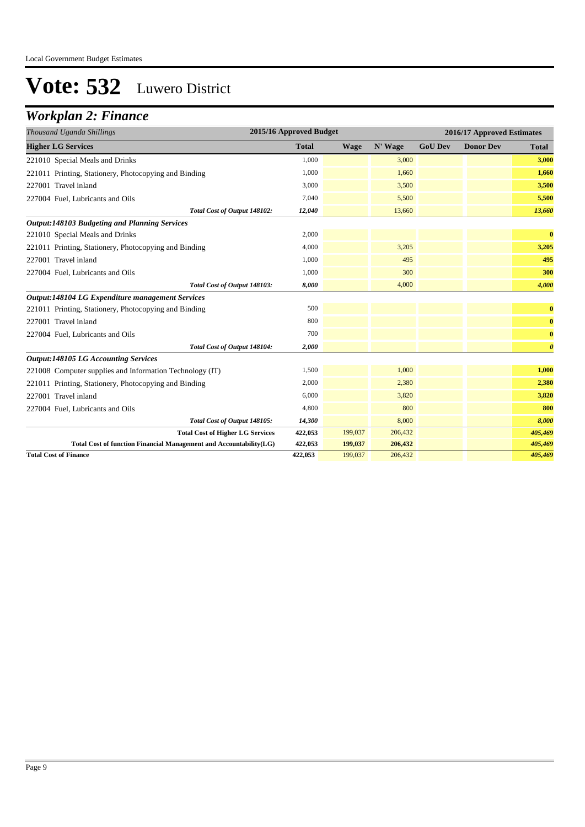### *Workplan 2: Finance*

| 2015/16 Approved Budget<br>Thousand Uganda Shillings               |              |             |         | 2016/17 Approved Estimates |                  |                       |  |
|--------------------------------------------------------------------|--------------|-------------|---------|----------------------------|------------------|-----------------------|--|
| <b>Higher LG Services</b>                                          | <b>Total</b> | <b>Wage</b> | N' Wage | <b>GoU Dev</b>             | <b>Donor Dev</b> | <b>Total</b>          |  |
| 221010 Special Meals and Drinks                                    | 1.000        |             | 3,000   |                            |                  | 3,000                 |  |
| 221011 Printing, Stationery, Photocopying and Binding              | 1,000        |             | 1,660   |                            |                  | 1,660                 |  |
| 227001 Travel inland                                               | 3,000        |             | 3,500   |                            |                  | 3,500                 |  |
| 227004 Fuel, Lubricants and Oils                                   | 7,040        |             | 5,500   |                            |                  | 5,500                 |  |
| Total Cost of Output 148102:                                       | 12,040       |             | 13,660  |                            |                  | 13,660                |  |
| Output:148103 Budgeting and Planning Services                      |              |             |         |                            |                  |                       |  |
| 221010 Special Meals and Drinks                                    | 2,000        |             |         |                            |                  | $\bf{0}$              |  |
| 221011 Printing, Stationery, Photocopying and Binding              | 4,000        |             | 3,205   |                            |                  | 3,205                 |  |
| 227001 Travel inland                                               | 1,000        |             | 495     |                            |                  | 495                   |  |
| 227004 Fuel, Lubricants and Oils                                   | 1,000        |             | 300     |                            |                  | 300                   |  |
| Total Cost of Output 148103:                                       | 8,000        |             | 4,000   |                            |                  | 4,000                 |  |
| Output:148104 LG Expenditure management Services                   |              |             |         |                            |                  |                       |  |
| 221011 Printing, Stationery, Photocopying and Binding              | 500          |             |         |                            |                  | $\bf{0}$              |  |
| 227001 Travel inland                                               | 800          |             |         |                            |                  | $\bf{0}$              |  |
| 227004 Fuel, Lubricants and Oils                                   | 700          |             |         |                            |                  | $\bf{0}$              |  |
| Total Cost of Output 148104:                                       | 2,000        |             |         |                            |                  | $\boldsymbol{\theta}$ |  |
| <b>Output:148105 LG Accounting Services</b>                        |              |             |         |                            |                  |                       |  |
| 221008 Computer supplies and Information Technology (IT)           | 1,500        |             | 1,000   |                            |                  | 1,000                 |  |
| 221011 Printing, Stationery, Photocopying and Binding              | 2,000        |             | 2,380   |                            |                  | 2,380                 |  |
| 227001 Travel inland                                               | 6,000        |             | 3,820   |                            |                  | 3,820                 |  |
| 227004 Fuel, Lubricants and Oils                                   | 4,800        |             | 800     |                            |                  | 800                   |  |
| Total Cost of Output 148105:                                       | 14,300       |             | 8,000   |                            |                  | 8,000                 |  |
| <b>Total Cost of Higher LG Services</b>                            | 422,053      | 199,037     | 206,432 |                            |                  | 405,469               |  |
| Total Cost of function Financial Management and Accountability(LG) | 422,053      | 199,037     | 206,432 |                            |                  | 405,469               |  |
| <b>Total Cost of Finance</b>                                       | 422,053      | 199,037     | 206,432 |                            |                  | 405,469               |  |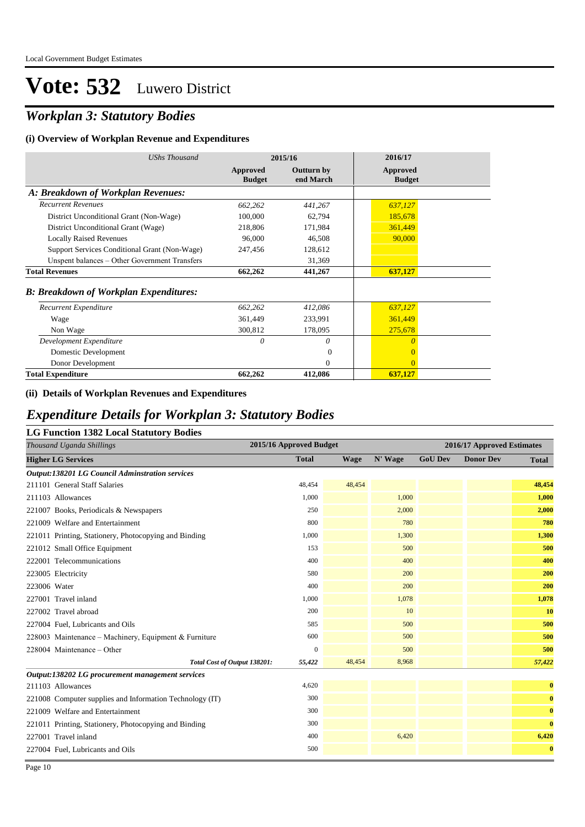### *Workplan 3: Statutory Bodies*

#### **(i) Overview of Workplan Revenue and Expenditures**

| <b>UShs Thousand</b>                          | 2015/16                   |                                | 2016/17                   |
|-----------------------------------------------|---------------------------|--------------------------------|---------------------------|
|                                               | Approved<br><b>Budget</b> | <b>Outturn by</b><br>end March | Approved<br><b>Budget</b> |
| A: Breakdown of Workplan Revenues:            |                           |                                |                           |
| <b>Recurrent Revenues</b>                     | 662,262                   | 441,267                        | 637,127                   |
| District Unconditional Grant (Non-Wage)       | 100,000                   | 62,794                         | 185,678                   |
| District Unconditional Grant (Wage)           | 218,806                   | 171,984                        | 361,449                   |
| <b>Locally Raised Revenues</b>                | 96,000                    | 46,508                         | 90,000                    |
| Support Services Conditional Grant (Non-Wage) | 247,456                   | 128,612                        |                           |
| Unspent balances - Other Government Transfers |                           | 31,369                         |                           |
| <b>Total Revenues</b>                         | 662,262                   | 441,267                        | 637,127                   |
| <b>B: Breakdown of Workplan Expenditures:</b> |                           |                                |                           |
| Recurrent Expenditure                         | 662,262                   | 412,086                        | 637,127                   |
| Wage                                          | 361,449                   | 233,991                        | 361,449                   |
| Non Wage                                      | 300,812                   | 178,095                        | 275,678                   |
| Development Expenditure                       | 0                         | 0                              | $\theta$                  |
| Domestic Development                          |                           | 0                              | $\overline{0}$            |
| Donor Development                             |                           | $\theta$                       | $\Omega$                  |
| <b>Total Expenditure</b>                      | 662,262                   | 412,086                        | 637,127                   |

#### **(ii) Details of Workplan Revenues and Expenditures**

#### *Expenditure Details for Workplan 3: Statutory Bodies*

| <b>LG Function 1382 Local Statutory Bodies</b>           |              |                         |         |                |                            |              |  |
|----------------------------------------------------------|--------------|-------------------------|---------|----------------|----------------------------|--------------|--|
| Thousand Uganda Shillings                                |              | 2015/16 Approved Budget |         |                | 2016/17 Approved Estimates |              |  |
| <b>Higher LG Services</b>                                | <b>Total</b> | <b>Wage</b>             | N' Wage | <b>GoU Dev</b> | <b>Donor Dev</b>           | <b>Total</b> |  |
| <b>Output:138201 LG Council Adminstration services</b>   |              |                         |         |                |                            |              |  |
| 211101 General Staff Salaries                            | 48,454       | 48,454                  |         |                |                            | 48,454       |  |
| 211103 Allowances                                        | 1.000        |                         | 1,000   |                |                            | 1,000        |  |
| 221007 Books, Periodicals & Newspapers                   | 250          |                         | 2,000   |                |                            | 2,000        |  |
| 221009 Welfare and Entertainment                         | 800          |                         | 780     |                |                            | 780          |  |
| 221011 Printing, Stationery, Photocopying and Binding    | 1,000        |                         | 1,300   |                |                            | 1,300        |  |
| 221012 Small Office Equipment                            | 153          |                         | 500     |                |                            | 500          |  |
| 222001 Telecommunications                                | 400          |                         | 400     |                |                            | 400          |  |
| 223005 Electricity                                       | 580          |                         | 200     |                |                            | 200          |  |
| 223006 Water                                             | 400          |                         | 200     |                |                            | 200          |  |
| 227001 Travel inland                                     | 1,000        |                         | 1,078   |                |                            | 1,078        |  |
| 227002 Travel abroad                                     | 200          |                         | 10      |                |                            | 10           |  |
| 227004 Fuel, Lubricants and Oils                         | 585          |                         | 500     |                |                            | 500          |  |
| 228003 Maintenance – Machinery, Equipment & Furniture    | 600          |                         | 500     |                |                            | 500          |  |
| 228004 Maintenance – Other                               | $\mathbf{0}$ |                         | 500     |                |                            | 500          |  |
| Total Cost of Output 138201:                             | 55,422       | 48,454                  | 8,968   |                |                            | 57,422       |  |
| Output:138202 LG procurement management services         |              |                         |         |                |                            |              |  |
| 211103 Allowances                                        | 4,620        |                         |         |                |                            | $\bf{0}$     |  |
| 221008 Computer supplies and Information Technology (IT) | 300          |                         |         |                |                            | $\bf{0}$     |  |
| 221009 Welfare and Entertainment                         | 300          |                         |         |                |                            | $\bf{0}$     |  |
| 221011 Printing, Stationery, Photocopying and Binding    | 300          |                         |         |                |                            | $\bf{0}$     |  |
| 227001 Travel inland                                     | 400          |                         | 6,420   |                |                            | 6,420        |  |
| 227004 Fuel, Lubricants and Oils                         | 500          |                         |         |                |                            | $\bf{0}$     |  |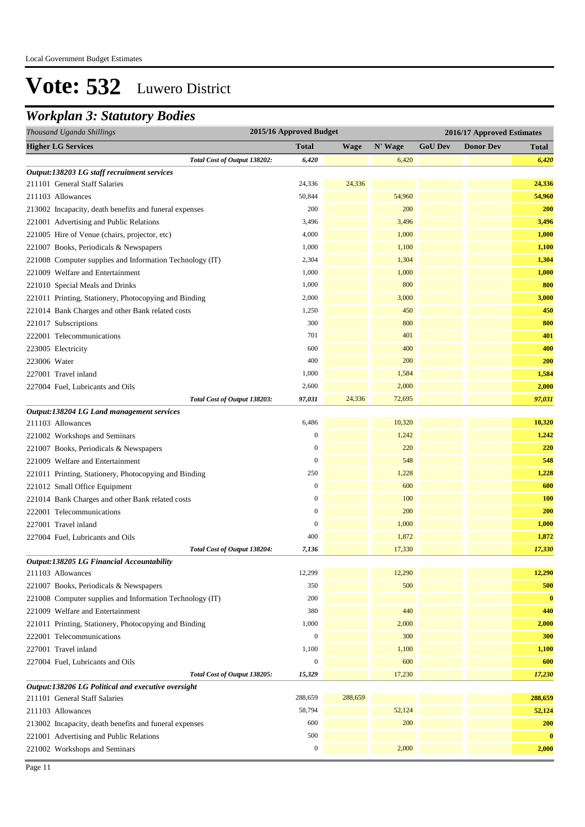### *Workplan 3: Statutory Bodies*

| 2015/16 Approved Budget<br>Thousand Uganda Shillings     |                  | 2016/17 Approved Estimates |         |                |                  |              |
|----------------------------------------------------------|------------------|----------------------------|---------|----------------|------------------|--------------|
| <b>Higher LG Services</b>                                | Total            | <b>Wage</b>                | N' Wage | <b>GoU Dev</b> | <b>Donor Dev</b> | <b>Total</b> |
| Total Cost of Output 138202:                             | 6,420            |                            | 6,420   |                |                  | 6,420        |
| Output:138203 LG staff recruitment services              |                  |                            |         |                |                  |              |
| 211101 General Staff Salaries                            | 24,336           | 24,336                     |         |                |                  | 24,336       |
| 211103 Allowances                                        | 50,844           |                            | 54,960  |                |                  | 54,960       |
| 213002 Incapacity, death benefits and funeral expenses   | 200              |                            | 200     |                |                  | 200          |
| 221001 Advertising and Public Relations                  | 3,496            |                            | 3,496   |                |                  | 3,496        |
| 221005 Hire of Venue (chairs, projector, etc)            | 4,000            |                            | 1,000   |                |                  | 1,000        |
| 221007 Books, Periodicals & Newspapers                   | 1,000            |                            | 1,100   |                |                  | 1,100        |
| 221008 Computer supplies and Information Technology (IT) | 2,304            |                            | 1,304   |                |                  | 1,304        |
| 221009 Welfare and Entertainment                         | 1,000            |                            | 1,000   |                |                  | 1,000        |
| 221010 Special Meals and Drinks                          | 1,000            |                            | 800     |                |                  | 800          |
| 221011 Printing, Stationery, Photocopying and Binding    | 2,000            |                            | 3,000   |                |                  | 3,000        |
| 221014 Bank Charges and other Bank related costs         | 1,250            |                            | 450     |                |                  | 450          |
| 221017 Subscriptions                                     | 300              |                            | 800     |                |                  | 800          |
| 222001 Telecommunications                                | 701              |                            | 401     |                |                  | 401          |
| 223005 Electricity                                       | 600              |                            | 400     |                |                  | 400          |
| 223006 Water                                             | 400              |                            | 200     |                |                  | 200          |
| 227001 Travel inland                                     | 1,000            |                            | 1,584   |                |                  | 1,584        |
| 227004 Fuel, Lubricants and Oils                         | 2,600            |                            | 2,000   |                |                  | 2,000        |
| Total Cost of Output 138203:                             | 97,031           | 24,336                     | 72,695  |                |                  | 97,031       |
| Output:138204 LG Land management services                |                  |                            |         |                |                  |              |
| 211103 Allowances                                        | 6,486            |                            | 10,320  |                |                  | 10,320       |
| 221002 Workshops and Seminars                            | $\boldsymbol{0}$ |                            | 1,242   |                |                  | 1,242        |
| 221007 Books, Periodicals & Newspapers                   | $\boldsymbol{0}$ |                            | 220     |                |                  | 220          |
| 221009 Welfare and Entertainment                         | $\boldsymbol{0}$ |                            | 548     |                |                  | 548          |
| 221011 Printing, Stationery, Photocopying and Binding    | 250              |                            | 1,228   |                |                  | 1,228        |
| 221012 Small Office Equipment                            | $\mathbf{0}$     |                            | 600     |                |                  | 600          |
| 221014 Bank Charges and other Bank related costs         | $\mathbf{0}$     |                            | 100     |                |                  | <b>100</b>   |
| 222001 Telecommunications                                | $\mathbf{0}$     |                            | 200     |                |                  | 200          |
| 227001 Travel inland                                     | $\mathbf{0}$     |                            | 1,000   |                |                  | 1,000        |
| 227004 Fuel, Lubricants and Oils                         | 400              |                            | 1,872   |                |                  | 1,872        |
| Total Cost of Output 138204:                             | 7,136            |                            | 17,330  |                |                  | 17,330       |
| Output:138205 LG Financial Accountability                |                  |                            |         |                |                  |              |
| 211103 Allowances                                        | 12,299           |                            | 12,290  |                |                  | 12,290       |
| 221007 Books, Periodicals & Newspapers                   | 350              |                            | 500     |                |                  | 500          |
| 221008 Computer supplies and Information Technology (IT) | 200              |                            |         |                |                  | $\bf{0}$     |
| 221009 Welfare and Entertainment                         | 380              |                            | 440     |                |                  | 440          |
| 221011 Printing, Stationery, Photocopying and Binding    | 1,000            |                            | 2,000   |                |                  | 2,000        |
| 222001 Telecommunications                                | $\boldsymbol{0}$ |                            | 300     |                |                  | 300          |
| 227001 Travel inland                                     | 1,100            |                            | 1,100   |                |                  | 1,100        |
| 227004 Fuel, Lubricants and Oils                         | $\boldsymbol{0}$ |                            | 600     |                |                  | 600          |
| Total Cost of Output 138205:                             | 15,329           |                            | 17,230  |                |                  | 17,230       |
| Output:138206 LG Political and executive oversight       |                  |                            |         |                |                  |              |
| 211101 General Staff Salaries                            | 288,659          | 288,659                    |         |                |                  | 288,659      |
| 211103 Allowances                                        | 58,794           |                            | 52,124  |                |                  | 52,124       |
| 213002 Incapacity, death benefits and funeral expenses   | 600              |                            | 200     |                |                  | <b>200</b>   |
| 221001 Advertising and Public Relations                  | 500              |                            |         |                |                  | $\bf{0}$     |
| 221002 Workshops and Seminars                            | $\boldsymbol{0}$ |                            | 2,000   |                |                  | 2,000        |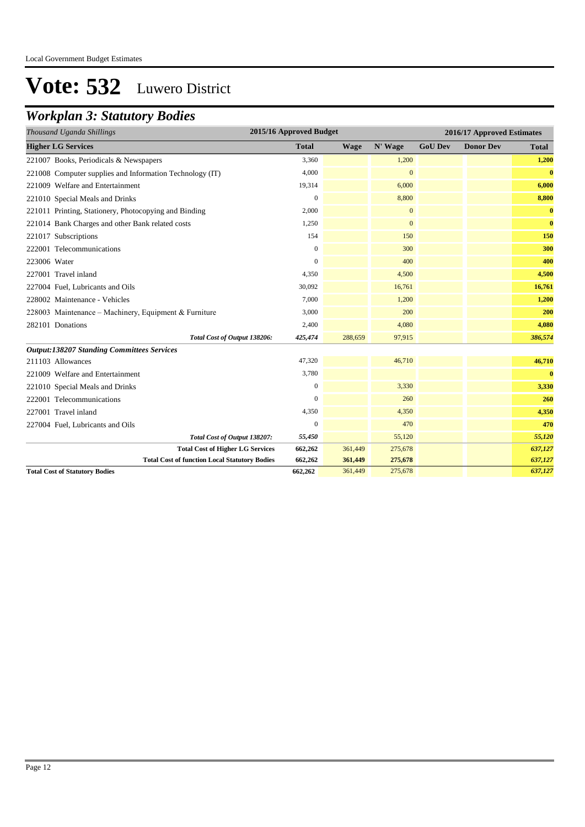### *Workplan 3: Statutory Bodies*

| Thousand Uganda Shillings                                | 2015/16 Approved Budget |             |                | 2016/17 Approved Estimates |                  |              |  |
|----------------------------------------------------------|-------------------------|-------------|----------------|----------------------------|------------------|--------------|--|
| <b>Higher LG Services</b>                                | <b>Total</b>            | <b>Wage</b> | N' Wage        | <b>GoU Dev</b>             | <b>Donor Dev</b> | <b>Total</b> |  |
| 221007 Books, Periodicals & Newspapers                   | 3,360                   |             | 1,200          |                            |                  | 1,200        |  |
| 221008 Computer supplies and Information Technology (IT) | 4,000                   |             | $\overline{0}$ |                            |                  | $\bf{0}$     |  |
| 221009 Welfare and Entertainment                         | 19,314                  |             | 6,000          |                            |                  | 6,000        |  |
| 221010 Special Meals and Drinks                          | $\boldsymbol{0}$        |             | 8,800          |                            |                  | 8,800        |  |
| 221011 Printing, Stationery, Photocopying and Binding    | 2,000                   |             | $\mathbf{0}$   |                            |                  | $\bf{0}$     |  |
| 221014 Bank Charges and other Bank related costs         | 1,250                   |             | $\mathbf{0}$   |                            |                  | $\bf{0}$     |  |
| 221017 Subscriptions                                     | 154                     |             | 150            |                            |                  | 150          |  |
| 222001 Telecommunications                                | $\overline{0}$          |             | 300            |                            |                  | 300          |  |
| 223006 Water                                             | $\Omega$                |             | 400            |                            |                  | 400          |  |
| 227001 Travel inland                                     | 4,350                   |             | 4,500          |                            |                  | 4,500        |  |
| 227004 Fuel, Lubricants and Oils                         | 30,092                  |             | 16,761         |                            |                  | 16,761       |  |
| 228002 Maintenance - Vehicles                            | 7,000                   |             | 1,200          |                            |                  | 1,200        |  |
| 228003 Maintenance – Machinery, Equipment & Furniture    | 3,000                   |             | 200            |                            |                  | 200          |  |
| 282101 Donations                                         | 2,400                   |             | 4,080          |                            |                  | 4,080        |  |
| Total Cost of Output 138206:                             | 425,474                 | 288,659     | 97,915         |                            |                  | 386,574      |  |
| <b>Output:138207 Standing Committees Services</b>        |                         |             |                |                            |                  |              |  |
| 211103 Allowances                                        | 47,320                  |             | 46,710         |                            |                  | 46,710       |  |
| 221009 Welfare and Entertainment                         | 3,780                   |             |                |                            |                  | $\bf{0}$     |  |
| 221010 Special Meals and Drinks                          | $\mathbf{0}$            |             | 3,330          |                            |                  | 3,330        |  |
| 222001 Telecommunications                                | $\overline{0}$          |             | 260            |                            |                  | 260          |  |
| 227001 Travel inland                                     | 4,350                   |             | 4,350          |                            |                  | 4,350        |  |
| 227004 Fuel, Lubricants and Oils                         | $\boldsymbol{0}$        |             | 470            |                            |                  | 470          |  |
| Total Cost of Output 138207:                             | 55,450                  |             | 55,120         |                            |                  | 55,120       |  |
| <b>Total Cost of Higher LG Services</b>                  | 662,262                 | 361,449     | 275,678        |                            |                  | 637,127      |  |
| <b>Total Cost of function Local Statutory Bodies</b>     | 662,262                 | 361,449     | 275,678        |                            |                  | 637,127      |  |
| <b>Total Cost of Statutory Bodies</b>                    | 662,262                 | 361,449     | 275,678        |                            |                  | 637,127      |  |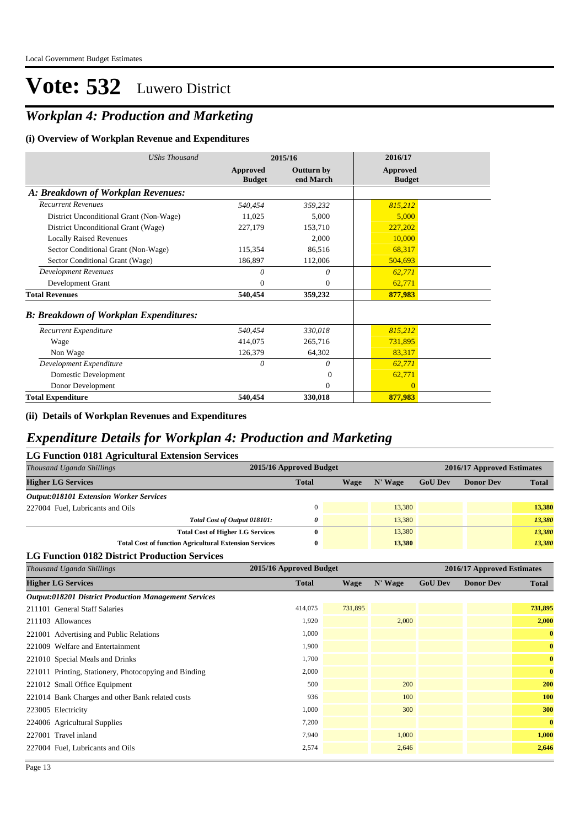### *Workplan 4: Production and Marketing*

#### **(i) Overview of Workplan Revenue and Expenditures**

| <b>UShs Thousand</b>                          | 2015/16                   |                                | 2016/17                   |
|-----------------------------------------------|---------------------------|--------------------------------|---------------------------|
|                                               | Approved<br><b>Budget</b> | <b>Outturn by</b><br>end March | Approved<br><b>Budget</b> |
| A: Breakdown of Workplan Revenues:            |                           |                                |                           |
| <b>Recurrent Revenues</b>                     | 540,454                   | 359,232                        | 815,212                   |
| District Unconditional Grant (Non-Wage)       | 11,025                    | 5.000                          | 5,000                     |
| District Unconditional Grant (Wage)           | 227,179                   | 153,710                        | 227,202                   |
| <b>Locally Raised Revenues</b>                |                           | 2,000                          | 10,000                    |
| Sector Conditional Grant (Non-Wage)           | 115,354                   | 86,516                         | 68,317                    |
| Sector Conditional Grant (Wage)               | 186,897                   | 112,006                        | 504,693                   |
| <b>Development Revenues</b>                   | $\theta$                  | 0                              | 62,771                    |
| Development Grant                             | $\Omega$                  | $\Omega$                       | 62,771                    |
| <b>Total Revenues</b>                         | 540,454                   | 359,232                        | 877,983                   |
| <b>B: Breakdown of Workplan Expenditures:</b> |                           |                                |                           |
| Recurrent Expenditure                         | 540.454                   | 330,018                        | 815,212                   |
| Wage                                          | 414,075                   | 265,716                        | 731,895                   |
| Non Wage                                      | 126,379                   | 64,302                         | 83,317                    |
| Development Expenditure                       | $\theta$                  | 0                              | 62,771                    |
| Domestic Development                          |                           | $\Omega$                       | 62,771                    |
| Donor Development                             |                           | $\mathbf{0}$                   | $\overline{0}$            |
| <b>Total Expenditure</b>                      | 540,454                   | 330,018                        | 877,983                   |

#### **(ii) Details of Workplan Revenues and Expenditures**

#### *Expenditure Details for Workplan 4: Production and Marketing*

| <b>LG Function 0181 Agricultural Extension Services</b>       |                         |      |           |                |                            |              |  |  |  |  |
|---------------------------------------------------------------|-------------------------|------|-----------|----------------|----------------------------|--------------|--|--|--|--|
| Thousand Uganda Shillings                                     | 2015/16 Approved Budget |      |           |                | 2016/17 Approved Estimates |              |  |  |  |  |
| <b>Higher LG Services</b>                                     | <b>Total</b>            | Wage | $N'$ Wage | <b>GoU Dev</b> | <b>Donor Dev</b>           | <b>Total</b> |  |  |  |  |
| <b>Output:018101 Extension Worker Services</b>                |                         |      |           |                |                            |              |  |  |  |  |
| 227004 Fuel, Lubricants and Oils                              | $\Omega$                |      | 13,380    |                |                            | 13,380       |  |  |  |  |
| Total Cost of Output 018101:                                  | 0                       |      | 13,380    |                |                            | 13,380       |  |  |  |  |
| <b>Total Cost of Higher LG Services</b>                       | 0                       |      | 13,380    |                |                            | 13,380       |  |  |  |  |
| <b>Total Cost of function Agricultural Extension Services</b> | $\bf{0}$                |      | 13,380    |                |                            | 13,380       |  |  |  |  |
|                                                               |                         |      |           |                |                            |              |  |  |  |  |

#### **LG Function 0182 District Production Services**

| Thousand Uganda Shillings                                    | 2015/16 Approved Budget | 2016/17 Approved Estimates |         |                |                  |              |
|--------------------------------------------------------------|-------------------------|----------------------------|---------|----------------|------------------|--------------|
| <b>Higher LG Services</b>                                    | <b>Total</b>            | <b>Wage</b>                | N' Wage | <b>GoU Dev</b> | <b>Donor Dev</b> | <b>Total</b> |
| <b>Output:018201 District Production Management Services</b> |                         |                            |         |                |                  |              |
| 211101 General Staff Salaries                                | 414,075                 | 731,895                    |         |                |                  | 731,895      |
| 211103 Allowances                                            | 1,920                   |                            | 2,000   |                |                  | 2,000        |
| 221001 Advertising and Public Relations                      | 1,000                   |                            |         |                |                  | $\bf{0}$     |
| 221009 Welfare and Entertainment                             | 1,900                   |                            |         |                |                  | $\bf{0}$     |
| 221010 Special Meals and Drinks                              | 1,700                   |                            |         |                |                  | $\bf{0}$     |
| 221011 Printing, Stationery, Photocopying and Binding        | 2,000                   |                            |         |                |                  | $\bf{0}$     |
| 221012 Small Office Equipment                                | 500                     |                            | 200     |                |                  | 200          |
| 221014 Bank Charges and other Bank related costs             | 936                     |                            | 100     |                |                  | 100          |
| 223005 Electricity                                           | 1,000                   |                            | 300     |                |                  | 300          |
| 224006 Agricultural Supplies                                 | 7,200                   |                            |         |                |                  | $\bf{0}$     |
| 227001 Travel inland                                         | 7,940                   |                            | 1,000   |                |                  | 1,000        |
| 227004 Fuel, Lubricants and Oils                             | 2,574                   |                            | 2,646   |                |                  | 2,646        |
|                                                              |                         |                            |         |                |                  |              |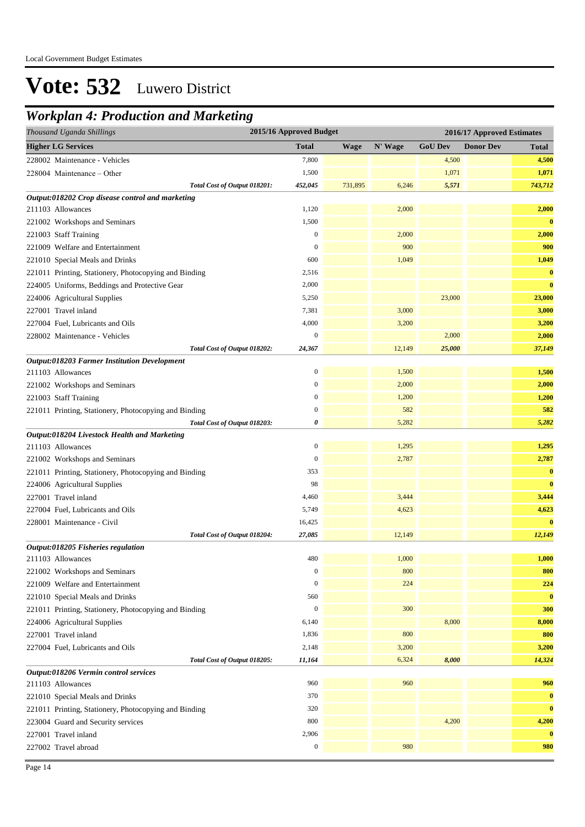### *Workplan 4: Production and Marketing*

| <b>Donor Dev</b><br><b>Higher LG Services</b><br><b>Total</b><br><b>Wage</b><br>N' Wage<br><b>GoU</b> Dev<br>228002 Maintenance - Vehicles<br>7,800<br>4,500<br>1,071<br>1,500<br>228004 Maintenance - Other<br>731,895<br>5,571<br>Total Cost of Output 018201:<br>452,045<br>6,246<br>Output:018202 Crop disease control and marketing<br>211103 Allowances<br>1,120<br>2,000<br>1,500<br>221002 Workshops and Seminars<br>$\boldsymbol{0}$<br>2,000<br>221003 Staff Training<br>900<br>$\mathbf{0}$<br>221009 Welfare and Entertainment<br>600<br>1,049<br>221010 Special Meals and Drinks<br>221011 Printing, Stationery, Photocopying and Binding<br>2,516<br>2,000<br>224005 Uniforms, Beddings and Protective Gear<br>23,000<br>224006 Agricultural Supplies<br>5,250<br>227001 Travel inland<br>7,381<br>3,000<br>4,000<br>3,200<br>227004 Fuel, Lubricants and Oils<br>$\mathbf{0}$<br>2,000<br>228002 Maintenance - Vehicles<br>12,149<br>25,000<br>Total Cost of Output 018202:<br>24,367<br><b>Output:018203 Farmer Institution Development</b><br>$\boldsymbol{0}$<br>1,500<br>211103 Allowances<br>$\mathbf{0}$<br>2,000<br>221002 Workshops and Seminars<br>$\mathbf{0}$<br>1,200<br>221003 Staff Training<br>$\boldsymbol{0}$<br>582<br>221011 Printing, Stationery, Photocopying and Binding<br>5,282<br>0<br>Total Cost of Output 018203: | 2015/16 Approved Budget<br>Thousand Uganda Shillings<br>2016/17 Approved Estimates |  |  |  |  |  |              |  |  |
|-------------------------------------------------------------------------------------------------------------------------------------------------------------------------------------------------------------------------------------------------------------------------------------------------------------------------------------------------------------------------------------------------------------------------------------------------------------------------------------------------------------------------------------------------------------------------------------------------------------------------------------------------------------------------------------------------------------------------------------------------------------------------------------------------------------------------------------------------------------------------------------------------------------------------------------------------------------------------------------------------------------------------------------------------------------------------------------------------------------------------------------------------------------------------------------------------------------------------------------------------------------------------------------------------------------------------------------------------------------|------------------------------------------------------------------------------------|--|--|--|--|--|--------------|--|--|
|                                                                                                                                                                                                                                                                                                                                                                                                                                                                                                                                                                                                                                                                                                                                                                                                                                                                                                                                                                                                                                                                                                                                                                                                                                                                                                                                                             |                                                                                    |  |  |  |  |  | <b>Total</b> |  |  |
|                                                                                                                                                                                                                                                                                                                                                                                                                                                                                                                                                                                                                                                                                                                                                                                                                                                                                                                                                                                                                                                                                                                                                                                                                                                                                                                                                             |                                                                                    |  |  |  |  |  | 4,500        |  |  |
|                                                                                                                                                                                                                                                                                                                                                                                                                                                                                                                                                                                                                                                                                                                                                                                                                                                                                                                                                                                                                                                                                                                                                                                                                                                                                                                                                             |                                                                                    |  |  |  |  |  | 1,071        |  |  |
|                                                                                                                                                                                                                                                                                                                                                                                                                                                                                                                                                                                                                                                                                                                                                                                                                                                                                                                                                                                                                                                                                                                                                                                                                                                                                                                                                             |                                                                                    |  |  |  |  |  | 743,712      |  |  |
|                                                                                                                                                                                                                                                                                                                                                                                                                                                                                                                                                                                                                                                                                                                                                                                                                                                                                                                                                                                                                                                                                                                                                                                                                                                                                                                                                             |                                                                                    |  |  |  |  |  |              |  |  |
|                                                                                                                                                                                                                                                                                                                                                                                                                                                                                                                                                                                                                                                                                                                                                                                                                                                                                                                                                                                                                                                                                                                                                                                                                                                                                                                                                             |                                                                                    |  |  |  |  |  | 2,000        |  |  |
|                                                                                                                                                                                                                                                                                                                                                                                                                                                                                                                                                                                                                                                                                                                                                                                                                                                                                                                                                                                                                                                                                                                                                                                                                                                                                                                                                             |                                                                                    |  |  |  |  |  | $\bf{0}$     |  |  |
|                                                                                                                                                                                                                                                                                                                                                                                                                                                                                                                                                                                                                                                                                                                                                                                                                                                                                                                                                                                                                                                                                                                                                                                                                                                                                                                                                             |                                                                                    |  |  |  |  |  | 2,000        |  |  |
|                                                                                                                                                                                                                                                                                                                                                                                                                                                                                                                                                                                                                                                                                                                                                                                                                                                                                                                                                                                                                                                                                                                                                                                                                                                                                                                                                             |                                                                                    |  |  |  |  |  | 900          |  |  |
|                                                                                                                                                                                                                                                                                                                                                                                                                                                                                                                                                                                                                                                                                                                                                                                                                                                                                                                                                                                                                                                                                                                                                                                                                                                                                                                                                             |                                                                                    |  |  |  |  |  | 1,049        |  |  |
|                                                                                                                                                                                                                                                                                                                                                                                                                                                                                                                                                                                                                                                                                                                                                                                                                                                                                                                                                                                                                                                                                                                                                                                                                                                                                                                                                             |                                                                                    |  |  |  |  |  | $\bf{0}$     |  |  |
|                                                                                                                                                                                                                                                                                                                                                                                                                                                                                                                                                                                                                                                                                                                                                                                                                                                                                                                                                                                                                                                                                                                                                                                                                                                                                                                                                             |                                                                                    |  |  |  |  |  | $\bf{0}$     |  |  |
|                                                                                                                                                                                                                                                                                                                                                                                                                                                                                                                                                                                                                                                                                                                                                                                                                                                                                                                                                                                                                                                                                                                                                                                                                                                                                                                                                             |                                                                                    |  |  |  |  |  | 23,000       |  |  |
|                                                                                                                                                                                                                                                                                                                                                                                                                                                                                                                                                                                                                                                                                                                                                                                                                                                                                                                                                                                                                                                                                                                                                                                                                                                                                                                                                             |                                                                                    |  |  |  |  |  | 3,000        |  |  |
|                                                                                                                                                                                                                                                                                                                                                                                                                                                                                                                                                                                                                                                                                                                                                                                                                                                                                                                                                                                                                                                                                                                                                                                                                                                                                                                                                             |                                                                                    |  |  |  |  |  | 3,200        |  |  |
|                                                                                                                                                                                                                                                                                                                                                                                                                                                                                                                                                                                                                                                                                                                                                                                                                                                                                                                                                                                                                                                                                                                                                                                                                                                                                                                                                             |                                                                                    |  |  |  |  |  | 2,000        |  |  |
|                                                                                                                                                                                                                                                                                                                                                                                                                                                                                                                                                                                                                                                                                                                                                                                                                                                                                                                                                                                                                                                                                                                                                                                                                                                                                                                                                             |                                                                                    |  |  |  |  |  | 37,149       |  |  |
|                                                                                                                                                                                                                                                                                                                                                                                                                                                                                                                                                                                                                                                                                                                                                                                                                                                                                                                                                                                                                                                                                                                                                                                                                                                                                                                                                             |                                                                                    |  |  |  |  |  |              |  |  |
|                                                                                                                                                                                                                                                                                                                                                                                                                                                                                                                                                                                                                                                                                                                                                                                                                                                                                                                                                                                                                                                                                                                                                                                                                                                                                                                                                             |                                                                                    |  |  |  |  |  | 1,500        |  |  |
|                                                                                                                                                                                                                                                                                                                                                                                                                                                                                                                                                                                                                                                                                                                                                                                                                                                                                                                                                                                                                                                                                                                                                                                                                                                                                                                                                             |                                                                                    |  |  |  |  |  | 2,000        |  |  |
|                                                                                                                                                                                                                                                                                                                                                                                                                                                                                                                                                                                                                                                                                                                                                                                                                                                                                                                                                                                                                                                                                                                                                                                                                                                                                                                                                             |                                                                                    |  |  |  |  |  | 1,200        |  |  |
|                                                                                                                                                                                                                                                                                                                                                                                                                                                                                                                                                                                                                                                                                                                                                                                                                                                                                                                                                                                                                                                                                                                                                                                                                                                                                                                                                             |                                                                                    |  |  |  |  |  | 582          |  |  |
|                                                                                                                                                                                                                                                                                                                                                                                                                                                                                                                                                                                                                                                                                                                                                                                                                                                                                                                                                                                                                                                                                                                                                                                                                                                                                                                                                             |                                                                                    |  |  |  |  |  | 5,282        |  |  |
| Output:018204 Livestock Health and Marketing                                                                                                                                                                                                                                                                                                                                                                                                                                                                                                                                                                                                                                                                                                                                                                                                                                                                                                                                                                                                                                                                                                                                                                                                                                                                                                                |                                                                                    |  |  |  |  |  |              |  |  |
| $\boldsymbol{0}$<br>1,295<br>211103 Allowances                                                                                                                                                                                                                                                                                                                                                                                                                                                                                                                                                                                                                                                                                                                                                                                                                                                                                                                                                                                                                                                                                                                                                                                                                                                                                                              |                                                                                    |  |  |  |  |  | 1,295        |  |  |
| $\boldsymbol{0}$<br>2,787<br>221002 Workshops and Seminars                                                                                                                                                                                                                                                                                                                                                                                                                                                                                                                                                                                                                                                                                                                                                                                                                                                                                                                                                                                                                                                                                                                                                                                                                                                                                                  |                                                                                    |  |  |  |  |  | 2,787        |  |  |
| 353<br>221011 Printing, Stationery, Photocopying and Binding                                                                                                                                                                                                                                                                                                                                                                                                                                                                                                                                                                                                                                                                                                                                                                                                                                                                                                                                                                                                                                                                                                                                                                                                                                                                                                |                                                                                    |  |  |  |  |  | $\bf{0}$     |  |  |
| 98<br>224006 Agricultural Supplies                                                                                                                                                                                                                                                                                                                                                                                                                                                                                                                                                                                                                                                                                                                                                                                                                                                                                                                                                                                                                                                                                                                                                                                                                                                                                                                          |                                                                                    |  |  |  |  |  | $\bf{0}$     |  |  |
| 227001 Travel inland<br>4,460<br>3,444                                                                                                                                                                                                                                                                                                                                                                                                                                                                                                                                                                                                                                                                                                                                                                                                                                                                                                                                                                                                                                                                                                                                                                                                                                                                                                                      |                                                                                    |  |  |  |  |  | 3,444        |  |  |
| 227004 Fuel, Lubricants and Oils<br>5,749<br>4,623                                                                                                                                                                                                                                                                                                                                                                                                                                                                                                                                                                                                                                                                                                                                                                                                                                                                                                                                                                                                                                                                                                                                                                                                                                                                                                          |                                                                                    |  |  |  |  |  | 4,623        |  |  |
| 228001 Maintenance - Civil<br>16,425                                                                                                                                                                                                                                                                                                                                                                                                                                                                                                                                                                                                                                                                                                                                                                                                                                                                                                                                                                                                                                                                                                                                                                                                                                                                                                                        |                                                                                    |  |  |  |  |  | $\bf{0}$     |  |  |
| 27,085<br>12,149<br>Total Cost of Output 018204:                                                                                                                                                                                                                                                                                                                                                                                                                                                                                                                                                                                                                                                                                                                                                                                                                                                                                                                                                                                                                                                                                                                                                                                                                                                                                                            |                                                                                    |  |  |  |  |  | 12,149       |  |  |
| Output:018205 Fisheries regulation                                                                                                                                                                                                                                                                                                                                                                                                                                                                                                                                                                                                                                                                                                                                                                                                                                                                                                                                                                                                                                                                                                                                                                                                                                                                                                                          |                                                                                    |  |  |  |  |  |              |  |  |
| 480<br>1,000<br>211103 Allowances                                                                                                                                                                                                                                                                                                                                                                                                                                                                                                                                                                                                                                                                                                                                                                                                                                                                                                                                                                                                                                                                                                                                                                                                                                                                                                                           |                                                                                    |  |  |  |  |  | 1,000        |  |  |
| 800<br>$\boldsymbol{0}$<br>221002 Workshops and Seminars                                                                                                                                                                                                                                                                                                                                                                                                                                                                                                                                                                                                                                                                                                                                                                                                                                                                                                                                                                                                                                                                                                                                                                                                                                                                                                    |                                                                                    |  |  |  |  |  | 800          |  |  |
| 224<br>221009 Welfare and Entertainment<br>$\boldsymbol{0}$                                                                                                                                                                                                                                                                                                                                                                                                                                                                                                                                                                                                                                                                                                                                                                                                                                                                                                                                                                                                                                                                                                                                                                                                                                                                                                 |                                                                                    |  |  |  |  |  | 224          |  |  |
| 560<br>221010 Special Meals and Drinks                                                                                                                                                                                                                                                                                                                                                                                                                                                                                                                                                                                                                                                                                                                                                                                                                                                                                                                                                                                                                                                                                                                                                                                                                                                                                                                      |                                                                                    |  |  |  |  |  | $\bf{0}$     |  |  |
| 300<br>$\boldsymbol{0}$<br>221011 Printing, Stationery, Photocopying and Binding                                                                                                                                                                                                                                                                                                                                                                                                                                                                                                                                                                                                                                                                                                                                                                                                                                                                                                                                                                                                                                                                                                                                                                                                                                                                            |                                                                                    |  |  |  |  |  | 300          |  |  |
| 6,140<br>8,000<br>224006 Agricultural Supplies                                                                                                                                                                                                                                                                                                                                                                                                                                                                                                                                                                                                                                                                                                                                                                                                                                                                                                                                                                                                                                                                                                                                                                                                                                                                                                              |                                                                                    |  |  |  |  |  | 8,000        |  |  |
| 1,836<br>800<br>227001 Travel inland                                                                                                                                                                                                                                                                                                                                                                                                                                                                                                                                                                                                                                                                                                                                                                                                                                                                                                                                                                                                                                                                                                                                                                                                                                                                                                                        |                                                                                    |  |  |  |  |  | 800          |  |  |
| 2,148<br>3,200<br>227004 Fuel, Lubricants and Oils                                                                                                                                                                                                                                                                                                                                                                                                                                                                                                                                                                                                                                                                                                                                                                                                                                                                                                                                                                                                                                                                                                                                                                                                                                                                                                          |                                                                                    |  |  |  |  |  | 3,200        |  |  |
| 11,164<br>6,324<br>8,000<br>Total Cost of Output 018205:                                                                                                                                                                                                                                                                                                                                                                                                                                                                                                                                                                                                                                                                                                                                                                                                                                                                                                                                                                                                                                                                                                                                                                                                                                                                                                    |                                                                                    |  |  |  |  |  | 14,324       |  |  |
| Output:018206 Vermin control services                                                                                                                                                                                                                                                                                                                                                                                                                                                                                                                                                                                                                                                                                                                                                                                                                                                                                                                                                                                                                                                                                                                                                                                                                                                                                                                       |                                                                                    |  |  |  |  |  |              |  |  |
| 960<br>960<br>211103 Allowances                                                                                                                                                                                                                                                                                                                                                                                                                                                                                                                                                                                                                                                                                                                                                                                                                                                                                                                                                                                                                                                                                                                                                                                                                                                                                                                             |                                                                                    |  |  |  |  |  | 960          |  |  |
| 370<br>221010 Special Meals and Drinks                                                                                                                                                                                                                                                                                                                                                                                                                                                                                                                                                                                                                                                                                                                                                                                                                                                                                                                                                                                                                                                                                                                                                                                                                                                                                                                      |                                                                                    |  |  |  |  |  | $\bf{0}$     |  |  |
| 320<br>221011 Printing, Stationery, Photocopying and Binding                                                                                                                                                                                                                                                                                                                                                                                                                                                                                                                                                                                                                                                                                                                                                                                                                                                                                                                                                                                                                                                                                                                                                                                                                                                                                                |                                                                                    |  |  |  |  |  | $\bf{0}$     |  |  |
| 223004 Guard and Security services<br>800<br>4,200                                                                                                                                                                                                                                                                                                                                                                                                                                                                                                                                                                                                                                                                                                                                                                                                                                                                                                                                                                                                                                                                                                                                                                                                                                                                                                          |                                                                                    |  |  |  |  |  | 4,200        |  |  |
| 227001 Travel inland<br>2,906                                                                                                                                                                                                                                                                                                                                                                                                                                                                                                                                                                                                                                                                                                                                                                                                                                                                                                                                                                                                                                                                                                                                                                                                                                                                                                                               |                                                                                    |  |  |  |  |  | $\bf{0}$     |  |  |
| $\boldsymbol{0}$<br>980<br>227002 Travel abroad                                                                                                                                                                                                                                                                                                                                                                                                                                                                                                                                                                                                                                                                                                                                                                                                                                                                                                                                                                                                                                                                                                                                                                                                                                                                                                             |                                                                                    |  |  |  |  |  | 980          |  |  |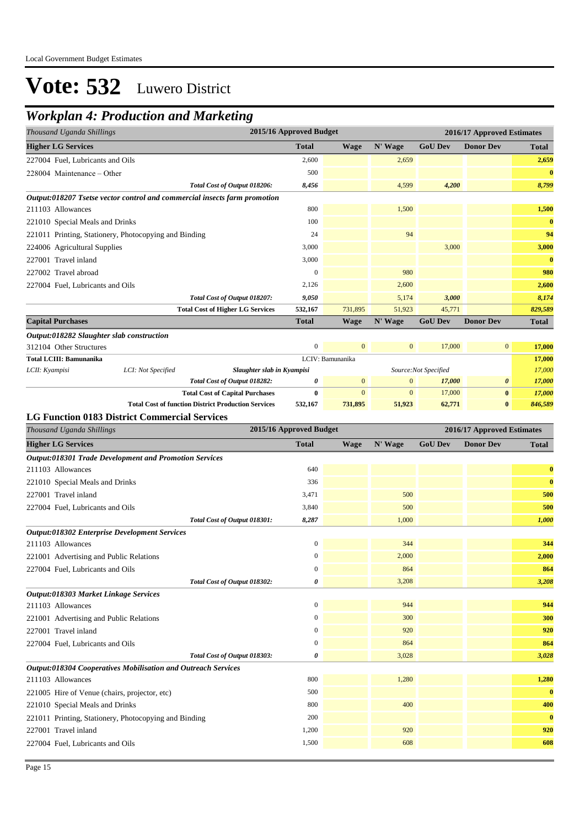### *Workplan 4: Production and Marketing*

| Thousand Uganda Shillings        |                                                                           |                                         | 2015/16 Approved Budget |                  |              | 2016/17 Approved Estimates |                       |              |  |
|----------------------------------|---------------------------------------------------------------------------|-----------------------------------------|-------------------------|------------------|--------------|----------------------------|-----------------------|--------------|--|
| <b>Higher LG Services</b>        |                                                                           |                                         | <b>Total</b>            | <b>Wage</b>      | N' Wage      | <b>GoU Dev</b>             | <b>Donor Dev</b>      | <b>Total</b> |  |
| 227004 Fuel, Lubricants and Oils |                                                                           |                                         | 2,600                   |                  | 2,659        |                            |                       | 2,659        |  |
| 228004 Maintenance – Other       |                                                                           |                                         | 500                     |                  |              |                            |                       | $\bf{0}$     |  |
|                                  |                                                                           | Total Cost of Output 018206:            | 8,456                   |                  | 4,599        | 4,200                      |                       | 8,799        |  |
|                                  | Output:018207 Tsetse vector control and commercial insects farm promotion |                                         |                         |                  |              |                            |                       |              |  |
| 211103 Allowances                |                                                                           |                                         | 800                     |                  | 1,500        |                            |                       | 1,500        |  |
| 221010 Special Meals and Drinks  |                                                                           |                                         | 100                     |                  |              |                            |                       | $\bf{0}$     |  |
|                                  | 221011 Printing, Stationery, Photocopying and Binding                     |                                         | 24                      |                  | 94           |                            |                       | 94           |  |
| 224006 Agricultural Supplies     |                                                                           |                                         | 3,000                   |                  |              | 3,000                      |                       | 3,000        |  |
| 227001 Travel inland             |                                                                           |                                         | 3,000                   |                  |              |                            |                       | $\bf{0}$     |  |
| 227002 Travel abroad             |                                                                           |                                         | $\theta$                |                  | 980          |                            |                       | 980          |  |
| 227004 Fuel, Lubricants and Oils |                                                                           |                                         | 2,126                   |                  | 2,600        |                            |                       | 2,600        |  |
|                                  |                                                                           | Total Cost of Output 018207:            | 9,050                   |                  | 5,174        | 3,000                      |                       | 8,174        |  |
|                                  |                                                                           | <b>Total Cost of Higher LG Services</b> | 532,167                 | 731,895          | 51,923       | 45,771                     |                       | 829,589      |  |
| <b>Capital Purchases</b>         |                                                                           |                                         | <b>Total</b>            | <b>Wage</b>      | N' Wage      | <b>GoU Dev</b>             | <b>Donor Dev</b>      | <b>Total</b> |  |
|                                  | Output:018282 Slaughter slab construction                                 |                                         |                         |                  |              |                            |                       |              |  |
| 312104 Other Structures          |                                                                           |                                         | $\mathbf{0}$            | $\mathbf{0}$     | $\mathbf{0}$ | 17,000                     | $\overline{0}$        | 17,000       |  |
| Total LCIII: Bamunanika          |                                                                           |                                         |                         | LCIV: Bamunanika |              |                            |                       | 17,000       |  |
| LCII: Kyampisi                   | LCI: Not Specified                                                        | Slaughter slab in Kyampisi              |                         |                  |              | Source:Not Specified       |                       | 17,000       |  |
|                                  |                                                                           | Total Cost of Output 018282:            | 0                       | $\mathbf{0}$     | $\mathbf{0}$ | 17,000                     | $\boldsymbol{\theta}$ | 17,000       |  |

**Total Cost of Capital Purchases 0** 0 0 17,000 **0** *17,000*

**Total Cost of function District Production Services 532,167 731,895 51,923 62,771 0** *846,589*

#### **LG Function 0183 District Commercial Services**

| Thousand Uganda Shillings                                     | 2015/16 Approved Budget |             |         |                | 2016/17 Approved Estimates |              |  |
|---------------------------------------------------------------|-------------------------|-------------|---------|----------------|----------------------------|--------------|--|
| <b>Higher LG Services</b>                                     | <b>Total</b>            | <b>Wage</b> | N' Wage | <b>GoU Dev</b> | <b>Donor Dev</b>           | <b>Total</b> |  |
| <b>Output:018301 Trade Development and Promotion Services</b> |                         |             |         |                |                            |              |  |
| 211103 Allowances                                             | 640                     |             |         |                |                            | $\bf{0}$     |  |
| 221010 Special Meals and Drinks                               | 336                     |             |         |                |                            | $\bf{0}$     |  |
| 227001 Travel inland                                          | 3,471                   |             | 500     |                |                            | 500          |  |
| 227004 Fuel, Lubricants and Oils                              | 3,840                   |             | 500     |                |                            | 500          |  |
| Total Cost of Output 018301:                                  | 8,287                   |             | 1,000   |                |                            | 1,000        |  |
| <b>Output:018302 Enterprise Development Services</b>          |                         |             |         |                |                            |              |  |
| 211103 Allowances                                             | $\boldsymbol{0}$        |             | 344     |                |                            | 344          |  |
| 221001 Advertising and Public Relations                       | $\boldsymbol{0}$        |             | 2,000   |                |                            | 2,000        |  |
| 227004 Fuel, Lubricants and Oils                              | $\mathbf{0}$            |             | 864     |                |                            | 864          |  |
| Total Cost of Output 018302:                                  | 0                       |             | 3,208   |                |                            | 3,208        |  |
| Output:018303 Market Linkage Services                         |                         |             |         |                |                            |              |  |
| 211103 Allowances                                             | $\boldsymbol{0}$        |             | 944     |                |                            | 944          |  |
| 221001 Advertising and Public Relations                       | $\mathbf{0}$            |             | 300     |                |                            | 300          |  |
| 227001 Travel inland                                          | $\boldsymbol{0}$        |             | 920     |                |                            | 920          |  |
| 227004 Fuel, Lubricants and Oils                              | $\mathbf{0}$            |             | 864     |                |                            | 864          |  |
| Total Cost of Output 018303:                                  | 0                       |             | 3,028   |                |                            | 3,028        |  |
| Output:018304 Cooperatives Mobilisation and Outreach Services |                         |             |         |                |                            |              |  |
| 211103 Allowances                                             | 800                     |             | 1,280   |                |                            | 1,280        |  |
| 221005 Hire of Venue (chairs, projector, etc)                 | 500                     |             |         |                |                            | $\bf{0}$     |  |
| 221010 Special Meals and Drinks                               | 800                     |             | 400     |                |                            | 400          |  |
| 221011 Printing, Stationery, Photocopying and Binding         | 200                     |             |         |                |                            | $\bf{0}$     |  |
| 227001 Travel inland                                          | 1,200                   |             | 920     |                |                            | 920          |  |
| 227004 Fuel, Lubricants and Oils                              | 1,500                   |             | 608     |                |                            | 608          |  |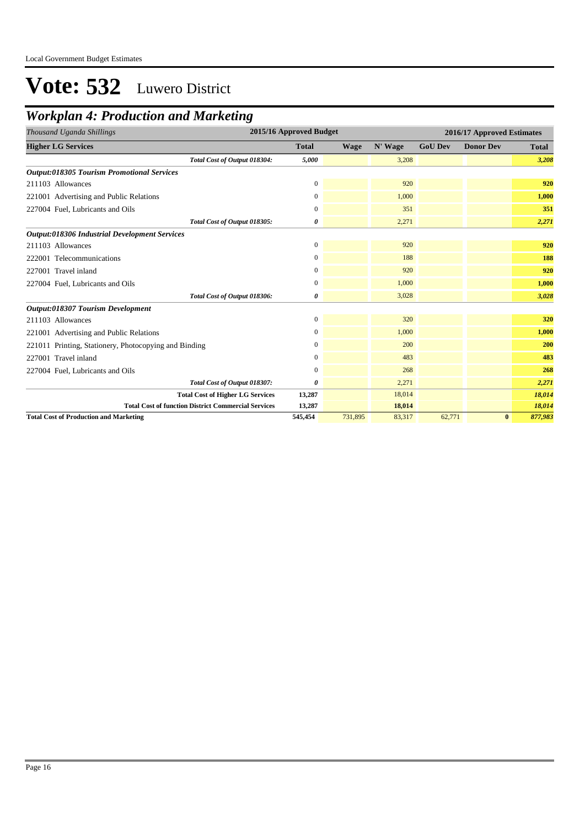### *Workplan 4: Production and Marketing*

| 2015/16 Approved Budget<br>Thousand Uganda Shillings       |                  |             |         |                | 2016/17 Approved Estimates |              |  |  |  |
|------------------------------------------------------------|------------------|-------------|---------|----------------|----------------------------|--------------|--|--|--|
| <b>Higher LG Services</b>                                  | <b>Total</b>     | <b>Wage</b> | N' Wage | <b>GoU Dev</b> | <b>Donor Dev</b>           | <b>Total</b> |  |  |  |
| Total Cost of Output 018304:                               | 5,000            |             | 3,208   |                |                            | 3,208        |  |  |  |
| <b>Output:018305 Tourism Promotional Services</b>          |                  |             |         |                |                            |              |  |  |  |
| 211103 Allowances                                          | $\mathbf{0}$     |             | 920     |                |                            | 920          |  |  |  |
| 221001 Advertising and Public Relations                    | 0                |             | 1,000   |                |                            | 1,000        |  |  |  |
| 227004 Fuel, Lubricants and Oils                           | 0                |             | 351     |                |                            | 351          |  |  |  |
| Total Cost of Output 018305:                               | 0                |             | 2,271   |                |                            | 2,271        |  |  |  |
| Output:018306 Industrial Development Services              |                  |             |         |                |                            |              |  |  |  |
| 211103 Allowances                                          | $\boldsymbol{0}$ |             | 920     |                |                            | 920          |  |  |  |
| 222001 Telecommunications                                  | 0                |             | 188     |                |                            | 188          |  |  |  |
| 227001 Travel inland                                       | $\overline{0}$   |             | 920     |                |                            | 920          |  |  |  |
| 227004 Fuel, Lubricants and Oils                           | 0                |             | 1,000   |                |                            | 1,000        |  |  |  |
| Total Cost of Output 018306:                               | 0                |             | 3,028   |                |                            | 3,028        |  |  |  |
| Output:018307 Tourism Development                          |                  |             |         |                |                            |              |  |  |  |
| 211103 Allowances                                          | $\mathbf{0}$     |             | 320     |                |                            | 320          |  |  |  |
| 221001 Advertising and Public Relations                    | 0                |             | 1,000   |                |                            | 1,000        |  |  |  |
| 221011 Printing, Stationery, Photocopying and Binding      | 0                |             | 200     |                |                            | 200          |  |  |  |
| 227001 Travel inland                                       | 0                |             | 483     |                |                            | 483          |  |  |  |
| 227004 Fuel, Lubricants and Oils                           | $\boldsymbol{0}$ |             | 268     |                |                            | 268          |  |  |  |
| Total Cost of Output 018307:                               | 0                |             | 2,271   |                |                            | 2,271        |  |  |  |
| <b>Total Cost of Higher LG Services</b>                    | 13,287           |             | 18,014  |                |                            | 18,014       |  |  |  |
| <b>Total Cost of function District Commercial Services</b> | 13,287           |             | 18,014  |                |                            | 18,014       |  |  |  |
| <b>Total Cost of Production and Marketing</b>              | 545,454          | 731,895     | 83,317  | 62,771         | $\bf{0}$                   | 877,983      |  |  |  |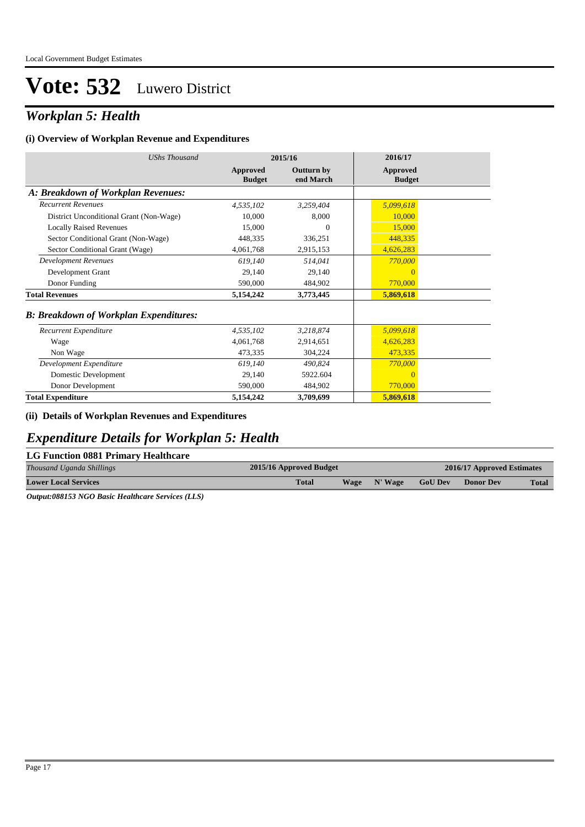### *Workplan 5: Health*

#### **(i) Overview of Workplan Revenue and Expenditures**

| <b>UShs Thousand</b>                           | 2015/16                   |                                | 2016/17                          |  |
|------------------------------------------------|---------------------------|--------------------------------|----------------------------------|--|
|                                                | Approved<br><b>Budget</b> | <b>Outturn by</b><br>end March | <b>Approved</b><br><b>Budget</b> |  |
| A: Breakdown of Workplan Revenues:             |                           |                                |                                  |  |
| <b>Recurrent Revenues</b>                      | 4,535,102                 | 3,259,404                      | 5,099,618                        |  |
| District Unconditional Grant (Non-Wage)        | 10,000                    | 8,000                          | 10,000                           |  |
| <b>Locally Raised Revenues</b>                 | 15,000                    | $\Omega$                       | 15,000                           |  |
| Sector Conditional Grant (Non-Wage)            | 448,335                   | 336,251                        | 448,335                          |  |
| Sector Conditional Grant (Wage)                | 4,061,768                 | 2,915,153                      | 4,626,283                        |  |
| <b>Development Revenues</b>                    | 619,140                   | 514,041                        | 770,000                          |  |
| Development Grant                              | 29,140                    | 29,140                         | $\overline{0}$                   |  |
| Donor Funding                                  | 590,000                   | 484,902                        | 770,000                          |  |
| <b>Total Revenues</b>                          | 5,154,242                 | 3,773,445                      | 5,869,618                        |  |
| <b>B</b> : Breakdown of Workplan Expenditures: |                           |                                |                                  |  |
| Recurrent Expenditure                          | 4,535,102                 | 3,218,874                      | 5,099,618                        |  |
| Wage                                           | 4.061.768                 | 2,914,651                      | 4,626,283                        |  |
| Non Wage                                       | 473,335                   | 304,224                        | 473,335                          |  |
| Development Expenditure                        | 619,140                   | 490,824                        | 770,000                          |  |
| Domestic Development                           | 29.140                    | 5922.604                       | $\overline{0}$                   |  |
| Donor Development                              | 590,000                   | 484,902                        | 770,000                          |  |
| <b>Total Expenditure</b>                       | 5,154,242                 | 3,709,699                      | 5,869,618                        |  |

#### **(ii) Details of Workplan Revenues and Expenditures**

### *Expenditure Details for Workplan 5: Health*

#### **LG Function 0881 Primary Healthcare**

| Thousand Uganda Shillings   | 2015/16 Approved Budget |             |         |                | 2016/17 Approved Estimates |              |  |
|-----------------------------|-------------------------|-------------|---------|----------------|----------------------------|--------------|--|
| <b>Lower Local Services</b> | <b>Total</b>            | <b>Wage</b> | N' Wage | <b>GoU Dev</b> | Donor Dev                  | <b>Total</b> |  |

*Output:088153 NGO Basic Healthcare Services (LLS)*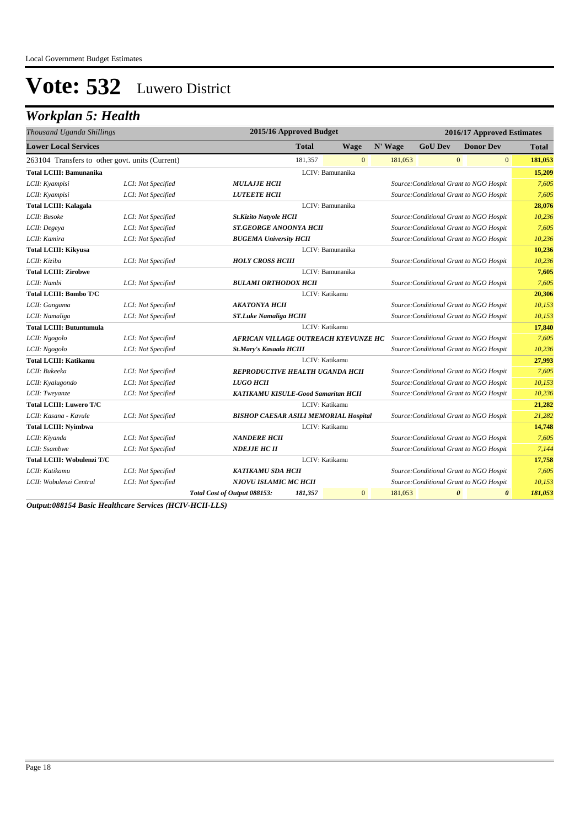### *Workplan 5: Health*

| Thousand Uganda Shillings                       |                    | 2015/16 Approved Budget                                         |                                                                          |                  | 2016/17 Approved Estimates |                                         |                       |                       |              |
|-------------------------------------------------|--------------------|-----------------------------------------------------------------|--------------------------------------------------------------------------|------------------|----------------------------|-----------------------------------------|-----------------------|-----------------------|--------------|
| <b>Lower Local Services</b>                     |                    |                                                                 | <b>Total</b>                                                             | <b>Wage</b>      | N' Wage                    | <b>GoU Dev</b>                          | <b>Donor Dev</b>      |                       | <b>Total</b> |
| 263104 Transfers to other govt. units (Current) |                    |                                                                 | 181.357                                                                  | $\mathbf{0}$     | 181,053                    |                                         | $\mathbf{0}$          | $\mathbf{0}$          | 181,053      |
| <b>Total LCIII: Bamunanika</b>                  |                    |                                                                 |                                                                          | LCIV: Bamunanika |                            |                                         |                       |                       | 15,209       |
| LCII: Kyampisi                                  | LCI: Not Specified | <b>MULAJJE HCII</b>                                             |                                                                          |                  |                            | Source: Conditional Grant to NGO Hospit |                       |                       | 7,605        |
| LCII: Kyampisi                                  | LCI: Not Specified | <b>LUTEETE HCII</b>                                             |                                                                          |                  |                            | Source: Conditional Grant to NGO Hospit |                       |                       | 7.605        |
| <b>Total LCIII: Kalagala</b>                    |                    |                                                                 |                                                                          | LCIV: Bamunanika |                            |                                         |                       |                       | 28,076       |
| LCII: Busoke                                    | LCI: Not Specified | <b>St.Kizito Natyole HCII</b>                                   |                                                                          |                  |                            | Source: Conditional Grant to NGO Hospit |                       |                       | 10,236       |
| LCII: Degeya                                    | LCI: Not Specified | <b>ST.GEORGE ANOONYA HCII</b>                                   |                                                                          |                  |                            | Source: Conditional Grant to NGO Hospit |                       |                       | 7,605        |
| LCII: Kamira                                    | LCI: Not Specified | <b>BUGEMA University HCII</b>                                   |                                                                          |                  |                            | Source: Conditional Grant to NGO Hospit |                       |                       | 10,236       |
| <b>Total LCIII: Kikyusa</b>                     |                    |                                                                 |                                                                          | LCIV: Bamunanika |                            |                                         |                       |                       | 10,236       |
| LCII: Kiziba                                    | LCI: Not Specified | <b>HOLY CROSS HCIII</b>                                         |                                                                          |                  |                            | Source: Conditional Grant to NGO Hospit |                       |                       | 10,236       |
| <b>Total LCIII: Zirobwe</b>                     |                    |                                                                 |                                                                          | LCIV: Bamunanika |                            |                                         |                       |                       | 7,605        |
| LCII: Nambi                                     | LCI: Not Specified | <b>BULAMI ORTHODOX HCII</b>                                     |                                                                          |                  |                            | Source: Conditional Grant to NGO Hospit |                       |                       | 7,605        |
| <b>Total LCIII: Bombo T/C</b>                   |                    |                                                                 |                                                                          | LCIV: Katikamu   |                            |                                         |                       |                       | 20,306       |
| LCII: Gangama                                   | LCI: Not Specified | <b>AKATONYA HCII</b><br>Source: Conditional Grant to NGO Hospit |                                                                          |                  |                            |                                         | 10,153                |                       |              |
| LCII: Namaliga                                  | LCI: Not Specified |                                                                 | Source: Conditional Grant to NGO Hospit<br><b>ST.Luke Namaliga HCIII</b> |                  |                            |                                         |                       | 10,153                |              |
| <b>Total LCIII: Butuntumula</b>                 |                    |                                                                 |                                                                          | LCIV: Katikamu   |                            |                                         |                       |                       | 17,840       |
| LCII: Ngogolo                                   | LCI: Not Specified | AFRICAN VILLAGE OUTREACH KYEVUNZE HC                            |                                                                          |                  |                            | Source: Conditional Grant to NGO Hospit |                       |                       | 7.605        |
| LCII: Ngogolo                                   | LCI: Not Specified | St.Mary's Kasaala HCIII                                         |                                                                          |                  |                            | Source: Conditional Grant to NGO Hospit |                       |                       | 10,236       |
| <b>Total LCIII: Katikamu</b>                    |                    |                                                                 |                                                                          | LCIV: Katikamu   |                            |                                         |                       |                       | 27,993       |
| LCII: Bukeeka                                   | LCI: Not Specified | REPRODUCTIVE HEALTH UGANDA HCII                                 |                                                                          |                  |                            | Source: Conditional Grant to NGO Hospit |                       |                       | 7,605        |
| LCII: Kyalugondo                                | LCI: Not Specified | LUGO HCII                                                       |                                                                          |                  |                            | Source: Conditional Grant to NGO Hospit |                       |                       | 10,153       |
| LCII: Tweyanze                                  | LCI: Not Specified | KATIKAMU KISULE-Good Samaritan HCII                             |                                                                          |                  |                            | Source: Conditional Grant to NGO Hospit |                       |                       | 10,236       |
| <b>Total LCIII: Luwero T/C</b>                  |                    |                                                                 |                                                                          | LCIV: Katikamu   |                            |                                         |                       |                       | 21,282       |
| LCII: Kasana - Kavule                           | LCI: Not Specified | <b>BISHOP CAESAR ASILI MEMORIAL Hospital</b>                    |                                                                          |                  |                            | Source: Conditional Grant to NGO Hospit |                       |                       | 21,282       |
| <b>Total LCIII: Nyimbwa</b>                     |                    |                                                                 |                                                                          | LCIV: Katikamu   |                            |                                         |                       |                       | 14,748       |
| LCII: Kiyanda                                   | LCI: Not Specified | <b>NANDERE HCII</b>                                             |                                                                          |                  |                            | Source: Conditional Grant to NGO Hospit |                       |                       | 7.605        |
| LCII: Ssambwe                                   | LCI: Not Specified | <b>NDEJJE HC II</b>                                             |                                                                          |                  |                            | Source: Conditional Grant to NGO Hospit |                       |                       | 7,144        |
| Total LCIII: Wobulenzi T/C                      |                    |                                                                 |                                                                          | LCIV: Katikamu   |                            |                                         |                       |                       | 17,758       |
| LCII: Katikamu                                  | LCI: Not Specified | <b>KATIKAMU SDA HCII</b>                                        |                                                                          |                  |                            | Source: Conditional Grant to NGO Hospit |                       |                       | 7,605        |
| LCII: Wobulenzi Central                         | LCI: Not Specified | NJOVU ISLAMIC MC HCII                                           |                                                                          |                  |                            | Source: Conditional Grant to NGO Hospit |                       |                       | 10,153       |
|                                                 |                    | Total Cost of Output 088153:                                    | 181,357                                                                  | $\overline{0}$   | 181,053                    |                                         | $\boldsymbol{\theta}$ | $\boldsymbol{\theta}$ | 181,053      |

*Output:088154 Basic Healthcare Services (HCIV-HCII-LLS)*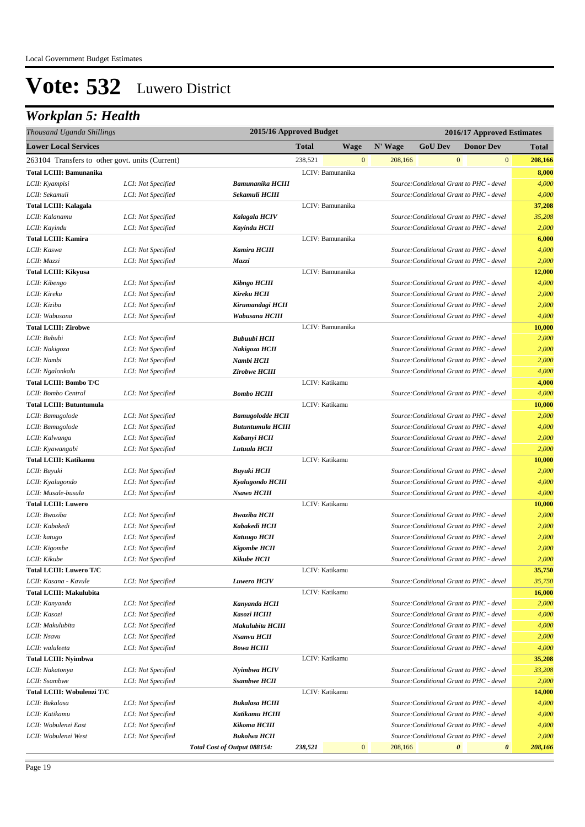## *Workplan 5: Health*

| Thousand Uganda Shillings                       |                    | 2015/16 Approved Budget      |         |                  |                           |                                          |                       | 2016/17 Approved Estimates |              |
|-------------------------------------------------|--------------------|------------------------------|---------|------------------|---------------------------|------------------------------------------|-----------------------|----------------------------|--------------|
| <b>Lower Local Services</b>                     |                    |                              | Total   | <b>Wage</b>      | N' Wage                   | <b>GoU Dev</b>                           |                       | <b>Donor Dev</b>           | <b>Total</b> |
| 263104 Transfers to other govt. units (Current) |                    |                              | 238,521 |                  | $\mathbf{0}$<br>208,166   |                                          | $\bf{0}$              | $\mathbf{0}$               | 208,166      |
| <b>Total LCIII: Bamunanika</b>                  |                    |                              |         | LCIV: Bamunanika |                           |                                          |                       |                            | 8,000        |
| LCII: Kyampisi                                  | LCI: Not Specified | <b>Bamunanika HCIII</b>      |         |                  |                           | Source: Conditional Grant to PHC - devel |                       |                            | 4,000        |
| LCII: Sekamuli                                  | LCI: Not Specified | Sekamuli HCIII               |         |                  |                           | Source: Conditional Grant to PHC - devel |                       |                            | 4,000        |
| <b>Total LCIII: Kalagala</b>                    |                    |                              |         | LCIV: Bamunanika |                           |                                          |                       |                            | 37,208       |
| LCII: Kalanamu                                  | LCI: Not Specified | Kalagala HCIV                |         |                  |                           | Source: Conditional Grant to PHC - devel |                       |                            | 35,208       |
| LCII: Kayindu                                   | LCI: Not Specified | <b>Kayindu HCII</b>          |         |                  |                           | Source: Conditional Grant to PHC - devel |                       |                            | 2,000        |
| <b>Total LCIII: Kamira</b>                      |                    |                              |         | LCIV: Bamunanika |                           |                                          |                       |                            | 6,000        |
| LCII: Kaswa                                     | LCI: Not Specified | <b>Kamira HCIII</b>          |         |                  |                           | Source: Conditional Grant to PHC - devel |                       |                            | 4,000        |
| LCII: Mazzi                                     | LCI: Not Specified | Mazzi                        |         |                  |                           | Source: Conditional Grant to PHC - devel |                       |                            | 2,000        |
| <b>Total LCIII: Kikyusa</b>                     |                    |                              |         | LCIV: Bamunanika |                           |                                          |                       |                            | 12,000       |
| LCII: Kibengo                                   | LCI: Not Specified | Kibngo HCIII                 |         |                  |                           | Source: Conditional Grant to PHC - devel |                       |                            | 4,000        |
| LCII: Kireku                                    | LCI: Not Specified | Kireku HCII                  |         |                  |                           | Source: Conditional Grant to PHC - devel |                       |                            | 2,000        |
| LCII: Kiziba                                    | LCI: Not Specified | Kirumandagi HCII             |         |                  |                           | Source: Conditional Grant to PHC - devel |                       |                            | 2,000        |
| LCII: Wabusana                                  | LCI: Not Specified | Wabusana HCIII               |         |                  |                           | Source: Conditional Grant to PHC - devel |                       |                            | 4,000        |
| <b>Total LCIII: Zirobwe</b>                     |                    |                              |         | LCIV: Bamunanika |                           |                                          |                       |                            | 10,000       |
| LCII: Bububi                                    | LCI: Not Specified | <b>Bubuubi HCII</b>          |         |                  |                           | Source: Conditional Grant to PHC - devel |                       |                            | 2,000        |
| LCII: Nakigoza                                  | LCI: Not Specified | Nakigoza HCII                |         |                  |                           | Source: Conditional Grant to PHC - devel |                       |                            | 2,000        |
| LCII: Nambi                                     | LCI: Not Specified | Nambi HCII                   |         |                  |                           | Source: Conditional Grant to PHC - devel |                       |                            | 2,000        |
| LCII: Ngalonkalu                                | LCI: Not Specified | Zirobwe HCIII                |         |                  |                           | Source: Conditional Grant to PHC - devel |                       |                            | 4,000        |
| Total LCIII: Bombo T/C                          |                    |                              |         | LCIV: Katikamu   |                           |                                          |                       |                            | 4,000        |
| LCII: Bombo Central                             | LCI: Not Specified | <b>Bombo HCIII</b>           |         |                  |                           | Source: Conditional Grant to PHC - devel |                       |                            | 4,000        |
| <b>Total LCIII: Butuntumula</b>                 |                    |                              |         | LCIV: Katikamu   |                           |                                          |                       |                            | 10,000       |
| LCII: Bamugolode                                | LCI: Not Specified | <b>Bamugolodde HCII</b>      |         |                  |                           | Source: Conditional Grant to PHC - devel |                       |                            | 2,000        |
| LCII: Bamugolode                                | LCI: Not Specified | <b>Butuntumula HCIII</b>     |         |                  |                           | Source: Conditional Grant to PHC - devel |                       |                            | 4,000        |
| LCII: Kalwanga                                  | LCI: Not Specified | Kabanyi HCII                 |         |                  |                           | Source: Conditional Grant to PHC - devel |                       |                            | 2,000        |
| LCII: Kyawangabi                                | LCI: Not Specified | Lutuula HCII                 |         |                  |                           | Source: Conditional Grant to PHC - devel |                       |                            | 2,000        |
| <b>Total LCIII: Katikamu</b>                    |                    |                              |         | LCIV: Katikamu   |                           |                                          |                       |                            | 10,000       |
| LCII: Buyuki                                    | LCI: Not Specified | Buyuki HCII                  |         |                  |                           | Source: Conditional Grant to PHC - devel |                       |                            | 2,000        |
| LCII: Kyalugondo                                | LCI: Not Specified | Kyalugondo HCIII             |         |                  |                           | Source: Conditional Grant to PHC - devel |                       |                            | 4,000        |
| LCII: Musale-busula                             | LCI: Not Specified | Nsawo HCIII                  |         |                  |                           | Source: Conditional Grant to PHC - devel |                       |                            | 4,000        |
| <b>Total LCIII: Luwero</b>                      |                    |                              |         | LCIV: Katikamu   |                           |                                          |                       |                            | 10,000       |
| LCII: Bwaziba                                   | LCI: Not Specified | <b>Bwaziba HCII</b>          |         |                  |                           | Source: Conditional Grant to PHC - devel |                       |                            | 2,000        |
| LCII: Kabakedi                                  | LCI: Not Specified | Kabakedi HCII                |         |                  |                           | Source: Conditional Grant to PHC - devel |                       |                            | 2,000        |
| LCII: katugo                                    | LCI: Not Specified | <b>Katuugo HCII</b>          |         |                  |                           | Source: Conditional Grant to PHC - devel |                       |                            | 2,000        |
| LCII: Kigombe                                   | LCI: Not Specified | <b>Kigombe HCII</b>          |         |                  |                           | Source: Conditional Grant to PHC - devel |                       |                            | 2,000        |
| LCII: Kikube                                    | LCI: Not Specified | Kikube HCII                  |         |                  |                           | Source: Conditional Grant to PHC - devel |                       |                            | 2,000        |
| Total LCIII: Luwero T/C                         |                    |                              |         | LCIV: Katikamu   |                           |                                          |                       |                            | 35,750       |
| LCII: Kasana - Kavule                           | LCI: Not Specified | <b>Luwero HCIV</b>           |         |                  |                           | Source: Conditional Grant to PHC - devel |                       |                            | 35,750       |
| <b>Total LCIII: Makulubita</b>                  |                    |                              |         | LCIV: Katikamu   |                           |                                          |                       |                            | 16,000       |
| LCII: Kanyanda                                  | LCI: Not Specified | Kanyanda HCII                |         |                  |                           | Source: Conditional Grant to PHC - devel |                       |                            | 2,000        |
| LCII: Kasozi                                    | LCI: Not Specified | Kasozi HCIII                 |         |                  |                           | Source: Conditional Grant to PHC - devel |                       |                            | 4,000        |
| LCII: Makulubita                                | LCI: Not Specified | Makulubita HCIII             |         |                  |                           | Source: Conditional Grant to PHC - devel |                       |                            | 4,000        |
| LCII: Nsavu                                     | LCI: Not Specified | Nsanvu HCII                  |         |                  |                           | Source: Conditional Grant to PHC - devel |                       |                            | 2,000        |
| LCII: waluleeta                                 | LCI: Not Specified | <b>Bowa HCIII</b>            |         |                  |                           | Source: Conditional Grant to PHC - devel |                       |                            | 4,000        |
| <b>Total LCIII: Nyimbwa</b>                     |                    |                              |         | LCIV: Katikamu   |                           |                                          |                       |                            | 35,208       |
| LCII: Nakatonya                                 | LCI: Not Specified | Nyimbwa HCIV                 |         |                  |                           | Source: Conditional Grant to PHC - devel |                       |                            | 33,208       |
| LCII: Ssambwe                                   | LCI: Not Specified | <b>Ssambwe HCII</b>          |         |                  |                           | Source: Conditional Grant to PHC - devel |                       |                            | 2,000        |
| Total LCIII: Wobulenzi T/C                      |                    |                              |         | LCIV: Katikamu   |                           |                                          |                       |                            | 14,000       |
| LCII: Bukalasa                                  | LCI: Not Specified | <b>Bukalasa HCIII</b>        |         |                  |                           | Source: Conditional Grant to PHC - devel |                       |                            | 4,000        |
| LCII: Katikamu                                  | LCI: Not Specified | Katikamu HCIII               |         |                  |                           | Source: Conditional Grant to PHC - devel |                       |                            | 4,000        |
| LCII: Wobulenzi East                            | LCI: Not Specified | Kikoma HCIII                 |         |                  |                           | Source: Conditional Grant to PHC - devel |                       |                            | 4,000        |
| LCII: Wobulenzi West                            | LCI: Not Specified | <b>Bukolwa HCII</b>          |         |                  |                           | Source: Conditional Grant to PHC - devel |                       |                            | 2,000        |
|                                                 |                    | Total Cost of Output 088154: | 238,521 |                  | $\overline{0}$<br>208,166 |                                          | $\boldsymbol{\theta}$ | $\boldsymbol{\theta}$      | 208,166      |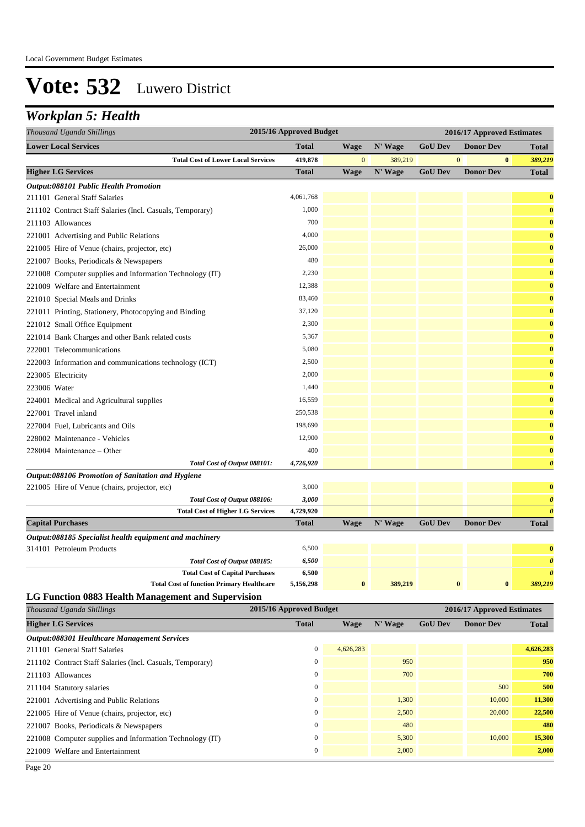#### *Workplan 5: Health*

| Thousand Uganda Shillings                                 | 2015/16 Approved Budget |              |         | 2016/17 Approved Estimates |                            |                       |  |
|-----------------------------------------------------------|-------------------------|--------------|---------|----------------------------|----------------------------|-----------------------|--|
| <b>Lower Local Services</b>                               | <b>Total</b>            | <b>Wage</b>  | N' Wage | <b>GoU Dev</b>             | <b>Donor Dev</b>           | <b>Total</b>          |  |
| <b>Total Cost of Lower Local Services</b>                 | 419,878                 | $\mathbf{0}$ | 389,219 |                            | $\mathbf{0}$               | $\bf{0}$<br>389,219   |  |
| <b>Higher LG Services</b>                                 | <b>Total</b>            | Wage         | N' Wage | <b>GoU Dev</b>             | <b>Donor Dev</b>           | <b>Total</b>          |  |
| Output:088101 Public Health Promotion                     |                         |              |         |                            |                            |                       |  |
| 211101 General Staff Salaries                             | 4,061,768               |              |         |                            |                            | $\bf{0}$              |  |
| 211102 Contract Staff Salaries (Incl. Casuals, Temporary) | 1,000                   |              |         |                            |                            | $\bf{0}$              |  |
| 211103 Allowances                                         | 700                     |              |         |                            |                            | $\bf{0}$              |  |
| 221001 Advertising and Public Relations                   | 4,000                   |              |         |                            |                            | $\bf{0}$              |  |
| 221005 Hire of Venue (chairs, projector, etc)             | 26,000                  |              |         |                            |                            | $\mathbf{0}$          |  |
| 221007 Books, Periodicals & Newspapers                    | 480                     |              |         |                            |                            | $\bf{0}$              |  |
| 221008 Computer supplies and Information Technology (IT)  | 2,230                   |              |         |                            |                            | $\bf{0}$              |  |
| 221009 Welfare and Entertainment                          | 12,388                  |              |         |                            |                            | $\bf{0}$              |  |
| 221010 Special Meals and Drinks                           | 83,460                  |              |         |                            |                            | $\bf{0}$              |  |
| 221011 Printing, Stationery, Photocopying and Binding     | 37,120                  |              |         |                            |                            | $\bf{0}$              |  |
| 221012 Small Office Equipment                             | 2,300                   |              |         |                            |                            | $\bf{0}$              |  |
| 221014 Bank Charges and other Bank related costs          | 5,367                   |              |         |                            |                            | $\bf{0}$              |  |
| 222001 Telecommunications                                 | 5,080                   |              |         |                            |                            | $\bf{0}$              |  |
| 222003 Information and communications technology (ICT)    | 2,500                   |              |         |                            |                            | $\bf{0}$              |  |
| 223005 Electricity                                        | 2,000                   |              |         |                            |                            | $\bf{0}$              |  |
| 223006 Water                                              | 1,440                   |              |         |                            |                            | $\bf{0}$              |  |
| 224001 Medical and Agricultural supplies                  | 16,559                  |              |         |                            |                            | $\mathbf{0}$          |  |
| 227001 Travel inland                                      | 250,538                 |              |         |                            |                            | $\bf{0}$              |  |
| 227004 Fuel, Lubricants and Oils                          | 198,690                 |              |         |                            |                            | $\bf{0}$              |  |
| 228002 Maintenance - Vehicles                             | 12,900                  |              |         |                            |                            | $\bf{0}$              |  |
| 228004 Maintenance - Other                                | 400                     |              |         |                            |                            | $\bf{0}$              |  |
| Total Cost of Output 088101:                              | 4,726,920               |              |         |                            |                            | $\boldsymbol{\theta}$ |  |
| Output:088106 Promotion of Sanitation and Hygiene         |                         |              |         |                            |                            |                       |  |
| 221005 Hire of Venue (chairs, projector, etc)             | 3,000                   |              |         |                            |                            | $\mathbf{0}$          |  |
| Total Cost of Output 088106:                              | 3,000                   |              |         |                            |                            | $\boldsymbol{\theta}$ |  |
| <b>Total Cost of Higher LG Services</b>                   | 4,729,920               |              |         |                            |                            | $\boldsymbol{\theta}$ |  |
| <b>Capital Purchases</b>                                  | <b>Total</b>            | <b>Wage</b>  | N' Wage | <b>GoU Dev</b>             | <b>Donor Dev</b>           | <b>Total</b>          |  |
| Output:088185 Specialist health equipment and machinery   |                         |              |         |                            |                            |                       |  |
| 314101 Petroleum Products                                 | 6,500                   |              |         |                            |                            | $\bf{0}$              |  |
| Total Cost of Output 088185:                              | 6,500                   |              |         |                            |                            | $\boldsymbol{\theta}$ |  |
| <b>Total Cost of Capital Purchases</b>                    | 6,500                   |              |         |                            |                            | $\boldsymbol{\theta}$ |  |
| <b>Total Cost of function Primary Healthcare</b>          | 5,156,298               | $\bf{0}$     | 389,219 |                            | $\pmb{0}$<br>$\pmb{0}$     | 389,219               |  |
| LG Function 0883 Health Management and Supervision        |                         |              |         |                            |                            |                       |  |
| Thousand Uganda Shillings                                 | 2015/16 Approved Budget |              |         |                            | 2016/17 Approved Estimates |                       |  |
|                                                           |                         |              |         |                            |                            |                       |  |

**Higher LG Services Total Wage N' Wage GoU Dev Donor Dev Total** *Output:088301 Healthcare Management Services*

| <i><b>Output:088301 Healthcare Management Services</b></i> |           |       |        |           |
|------------------------------------------------------------|-----------|-------|--------|-----------|
| 211101 General Staff Salaries                              | 4,626,283 |       |        | 4,626,283 |
| 211102 Contract Staff Salaries (Incl. Casuals, Temporary)  |           | 950   |        | 950       |
| 211103 Allowances                                          |           | 700   |        | 700       |
| 211104 Statutory salaries                                  |           |       | 500    | 500       |
| 221001 Advertising and Public Relations                    |           | 1,300 | 10,000 | 11,300    |
| 221005 Hire of Venue (chairs, projector, etc)              |           | 2,500 | 20,000 | 22,500    |
| 221007 Books, Periodicals & Newspapers                     |           | 480   |        | 480       |
| 221008 Computer supplies and Information Technology (IT)   |           | 5,300 | 10,000 | 15,300    |
| 221009 Welfare and Entertainment                           |           | 2,000 |        | 2,000     |
|                                                            |           |       |        |           |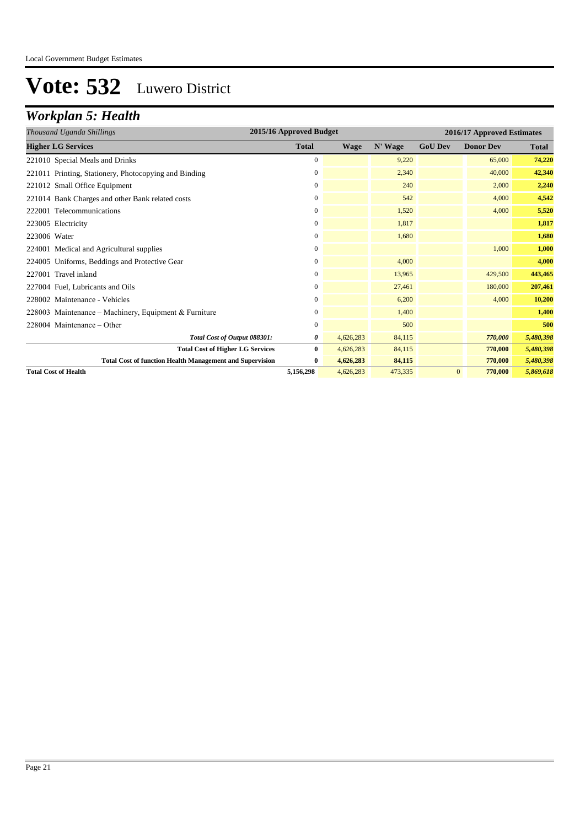## *Workplan 5: Health*

| Thousand Uganda Shillings                                       | 2015/16 Approved Budget<br>2016/17 Approved Estimates |             |         |                |                  |              |
|-----------------------------------------------------------------|-------------------------------------------------------|-------------|---------|----------------|------------------|--------------|
| <b>Higher LG Services</b>                                       | <b>Total</b>                                          | <b>Wage</b> | N' Wage | <b>GoU Dev</b> | <b>Donor Dev</b> | <b>Total</b> |
| 221010 Special Meals and Drinks                                 | $\mathbf{0}$                                          |             | 9,220   |                | 65,000           | 74,220       |
| 221011 Printing, Stationery, Photocopying and Binding           | 0                                                     |             | 2,340   |                | 40,000           | 42,340       |
| 221012 Small Office Equipment                                   | $\mathbf{0}$                                          |             | 240     |                | 2,000            | 2,240        |
| 221014 Bank Charges and other Bank related costs                | $\boldsymbol{0}$                                      |             | 542     |                | 4,000            | 4,542        |
| 222001 Telecommunications                                       | $\mathbf{0}$                                          |             | 1,520   |                | 4,000            | 5,520        |
| 223005 Electricity                                              | $\mathbf{0}$                                          |             | 1,817   |                |                  | 1,817        |
| 223006 Water                                                    | $\mathbf{0}$                                          |             | 1,680   |                |                  | 1,680        |
| 224001 Medical and Agricultural supplies                        | $\mathbf{0}$                                          |             |         |                | 1,000            | 1,000        |
| 224005 Uniforms, Beddings and Protective Gear                   | 0                                                     |             | 4,000   |                |                  | 4,000        |
| 227001 Travel inland                                            | $\mathbf{0}$                                          |             | 13,965  |                | 429,500          | 443,465      |
| 227004 Fuel, Lubricants and Oils                                | 0                                                     |             | 27,461  |                | 180,000          | 207,461      |
| 228002 Maintenance - Vehicles                                   | $\mathbf{0}$                                          |             | 6,200   |                | 4,000            | 10,200       |
| 228003 Maintenance – Machinery, Equipment & Furniture           | $\boldsymbol{0}$                                      |             | 1,400   |                |                  | 1,400        |
| $228004$ Maintenance – Other                                    | $\mathbf{0}$                                          |             | 500     |                |                  | 500          |
| Total Cost of Output 088301:                                    | 0                                                     | 4,626,283   | 84,115  |                | 770,000          | 5,480,398    |
| <b>Total Cost of Higher LG Services</b>                         | $\bf{0}$                                              | 4,626,283   | 84,115  |                | 770,000          | 5,480,398    |
| <b>Total Cost of function Health Management and Supervision</b> | $\bf{0}$                                              | 4,626,283   | 84,115  |                | 770,000          | 5,480,398    |
| <b>Total Cost of Health</b>                                     | 5,156,298                                             | 4,626,283   | 473,335 | $\mathbf{0}$   | 770,000          | 5,869,618    |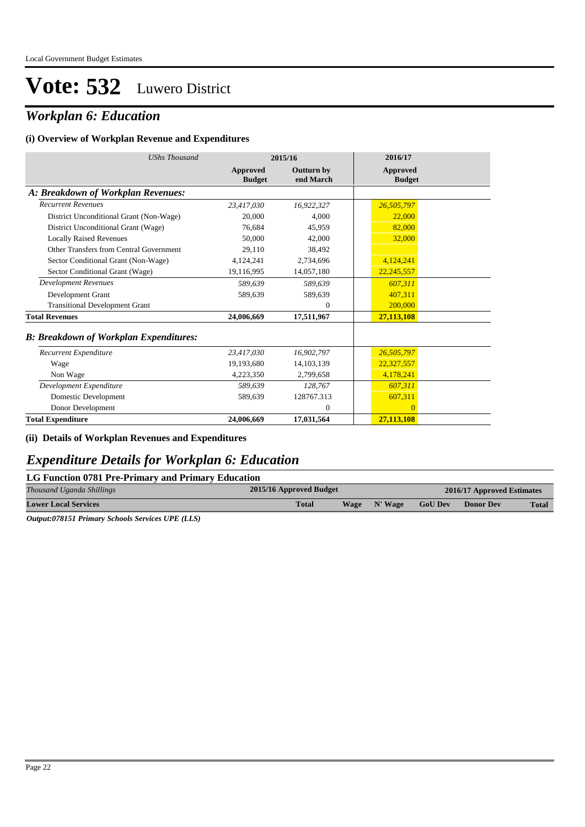### *Workplan 6: Education*

#### **(i) Overview of Workplan Revenue and Expenditures**

| <b>UShs Thousand</b>                          | 2015/16                   |                         | 2016/17                          |
|-----------------------------------------------|---------------------------|-------------------------|----------------------------------|
|                                               | Approved<br><b>Budget</b> | Outturn by<br>end March | <b>Approved</b><br><b>Budget</b> |
| A: Breakdown of Workplan Revenues:            |                           |                         |                                  |
| <b>Recurrent Revenues</b>                     | 23,417,030                | 16,922,327              | 26,505,797                       |
| District Unconditional Grant (Non-Wage)       | 20,000                    | 4.000                   | 22,000                           |
| District Unconditional Grant (Wage)           | 76.684                    | 45,959                  | 82,000                           |
| <b>Locally Raised Revenues</b>                | 50,000                    | 42,000                  | 32,000                           |
| Other Transfers from Central Government       | 29.110                    | 38.492                  |                                  |
| Sector Conditional Grant (Non-Wage)           | 4,124,241                 | 2,734,696               | 4,124,241                        |
| Sector Conditional Grant (Wage)               | 19,116,995                | 14,057,180              | 22,245,557                       |
| <b>Development Revenues</b>                   | 589.639                   | 589,639                 | 607,311                          |
| Development Grant                             | 589,639                   | 589,639                 | 407,311                          |
| <b>Transitional Development Grant</b>         |                           | $\mathbf{0}$            | 200,000                          |
| <b>Total Revenues</b>                         | 24,006,669                | 17,511,967              | 27,113,108                       |
| <b>B: Breakdown of Workplan Expenditures:</b> |                           |                         |                                  |
| Recurrent Expenditure                         | 23,417,030                | 16,902,797              | 26,505,797                       |
| Wage                                          | 19,193,680                | 14, 103, 139            | 22,327,557                       |
| Non Wage                                      | 4,223,350                 | 2,799,658               | 4,178,241                        |
| Development Expenditure                       | 589.639                   | 128,767                 | 607,311                          |
| Domestic Development                          | 589,639                   | 128767.313              | 607,311                          |
| Donor Development                             |                           | $\mathbf{0}$            | $\overline{0}$                   |
| <b>Total Expenditure</b>                      | 24,006,669                | 17,031,564              | 27,113,108                       |

**(ii) Details of Workplan Revenues and Expenditures**

### *Expenditure Details for Workplan 6: Education*

| LG Function 0781 Pre-Primary and Primary Education |                         |                            |                |                  |              |  |  |
|----------------------------------------------------|-------------------------|----------------------------|----------------|------------------|--------------|--|--|
| Thousand Uganda Shillings                          | 2015/16 Approved Budget | 2016/17 Approved Estimates |                |                  |              |  |  |
| <b>Lower Local Services</b>                        | <b>Total</b><br>Wage    | N' Wage                    | <b>GoU Dev</b> | <b>Donor Dev</b> | <b>Total</b> |  |  |

*Output:078151 Primary Schools Services UPE (LLS)*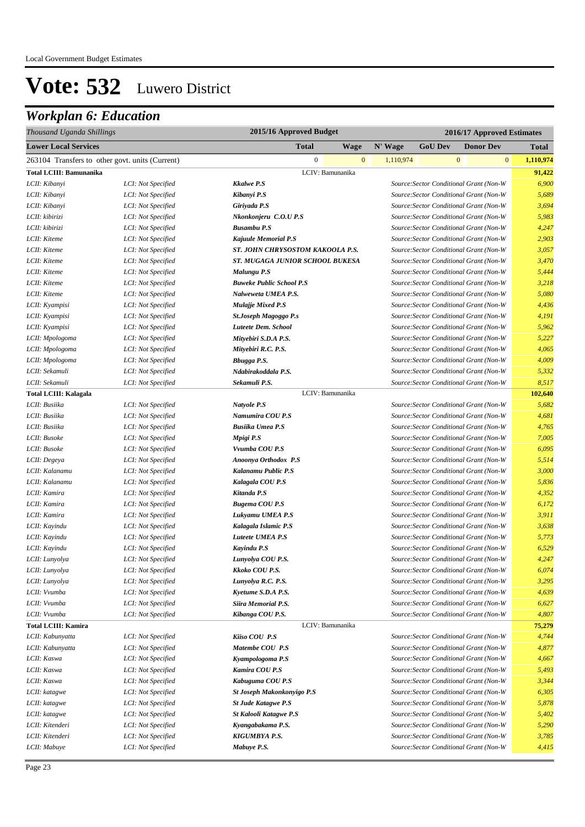| Thousand Uganda Shillings                       |                    |                                   | 2015/16 Approved Budget |           |                | 2016/17 Approved Estimates              |                           |  |  |
|-------------------------------------------------|--------------------|-----------------------------------|-------------------------|-----------|----------------|-----------------------------------------|---------------------------|--|--|
| <b>Lower Local Services</b>                     |                    | <b>Total</b>                      | <b>Wage</b>             | N' Wage   | <b>GoU Dev</b> | <b>Donor Dev</b>                        | <b>Total</b>              |  |  |
| 263104 Transfers to other govt. units (Current) |                    | $\overline{0}$                    | $\mathbf{0}$            | 1,110,974 |                | $\boldsymbol{0}$                        | $\mathbf{0}$<br>1,110,974 |  |  |
| <b>Total LCIII: Bamunanika</b>                  |                    | LCIV: Bamunanika                  |                         |           |                |                                         | 91,422                    |  |  |
| LCII: Kibanyi                                   | LCI: Not Specified | <b>Kkalwe P.S</b>                 |                         |           |                | Source: Sector Conditional Grant (Non-W | 6,900                     |  |  |
| LCII: Kibanyi                                   | LCI: Not Specified | Kibanyi P.S                       |                         |           |                | Source: Sector Conditional Grant (Non-W | 5,689                     |  |  |
| LCII: Kibanyi                                   | LCI: Not Specified | Giriyada P.S                      |                         |           |                | Source: Sector Conditional Grant (Non-W | 3,694                     |  |  |
| LCII: kibirizi                                  | LCI: Not Specified | Nkonkonjeru C.O.U P.S             |                         |           |                | Source: Sector Conditional Grant (Non-W | 5,983                     |  |  |
| LCII: kibirizi                                  | LCI: Not Specified | <b>Busambu P.S</b>                |                         |           |                | Source: Sector Conditional Grant (Non-W | 4,247                     |  |  |
| LCII: Kiteme                                    | LCI: Not Specified | <b>Kajuule Memorial P.S</b>       |                         |           |                | Source: Sector Conditional Grant (Non-W | 2,903                     |  |  |
| LCII: Kiteme                                    | LCI: Not Specified | ST. JOHN CHRYSOSTOM KAKOOLA P.S.  |                         |           |                | Source: Sector Conditional Grant (Non-W | 3,057                     |  |  |
| LCII: Kiteme                                    | LCI: Not Specified | ST. MUGAGA JUNIOR SCHOOL BUKESA   |                         |           |                | Source: Sector Conditional Grant (Non-W | 3,470                     |  |  |
| LCII: Kiteme                                    | LCI: Not Specified | Malungu P.S                       |                         |           |                | Source: Sector Conditional Grant (Non-W | 5,444                     |  |  |
| LCII: Kiteme                                    | LCI: Not Specified | <b>Buweke Public School P.S</b>   |                         |           |                | Source: Sector Conditional Grant (Non-W | 3,218                     |  |  |
| LCII: Kiteme                                    | LCI: Not Specified | Nalweweta UMEA P.S.               |                         |           |                | Source: Sector Conditional Grant (Non-W | 5,080                     |  |  |
| LCII: Kyampisi                                  | LCI: Not Specified | <b>Mulajje Mixed P.S</b>          |                         |           |                | Source: Sector Conditional Grant (Non-W | 4,436                     |  |  |
| LCII: Kyampisi                                  | LCI: Not Specified | <b>St.Joseph Magoggo P.s</b>      |                         |           |                | Source: Sector Conditional Grant (Non-W | 4,191                     |  |  |
| LCII: Kyampisi                                  | LCI: Not Specified | Luteete Dem. School               |                         |           |                | Source: Sector Conditional Grant (Non-W | 5,962                     |  |  |
| LCII: Mpologoma                                 | LCI: Not Specified | Mityebiri S.D.A P.S.              |                         |           |                | Source: Sector Conditional Grant (Non-W | 5,227                     |  |  |
| LCII: Mpologoma                                 | LCI: Not Specified | Mityebiri R.C. P.S.               |                         |           |                | Source: Sector Conditional Grant (Non-W | 4,065                     |  |  |
| LCII: Mpologoma                                 | LCI: Not Specified | Bbugga P.S.                       |                         |           |                | Source: Sector Conditional Grant (Non-W | 4,009                     |  |  |
| LCII: Sekamuli                                  | LCI: Not Specified | Ndabirakoddala P.S.               |                         |           |                | Source: Sector Conditional Grant (Non-W | 5,332                     |  |  |
| LCII: Sekamuli                                  | LCI: Not Specified | Sekamuli P.S.                     |                         |           |                | Source: Sector Conditional Grant (Non-W | 8,517                     |  |  |
| <b>Total LCIII: Kalagala</b>                    |                    | LCIV: Bamunanika                  |                         |           |                |                                         | 102,640                   |  |  |
| LCII: Busiika                                   | LCI: Not Specified | Natyole P.S                       |                         |           |                | Source: Sector Conditional Grant (Non-W | 5,682                     |  |  |
| LCII: Busiika                                   | LCI: Not Specified | Namumira COU P.S                  |                         |           |                | Source: Sector Conditional Grant (Non-W | 4,681                     |  |  |
| LCII: Busiika                                   | LCI: Not Specified | <b>Busiika Umea P.S</b>           |                         |           |                | Source: Sector Conditional Grant (Non-W | 4,765                     |  |  |
| LCII: Busoke                                    | LCI: Not Specified | Mpigi P.S                         |                         |           |                | Source: Sector Conditional Grant (Non-W | 7,005                     |  |  |
| LCII: Busoke                                    | LCI: Not Specified | Vvumba COU P.S                    |                         |           |                | Source: Sector Conditional Grant (Non-W | 6,095                     |  |  |
| LCII: Degeya                                    | LCI: Not Specified | Anoonya Orthodox P.S              |                         |           |                | Source: Sector Conditional Grant (Non-W | 5,514                     |  |  |
| LCII: Kalanamu                                  | LCI: Not Specified | Kalanamu Public P.S               |                         |           |                | Source: Sector Conditional Grant (Non-W | 3,000                     |  |  |
| LCII: Kalanamu                                  | LCI: Not Specified | Kalagala COU P.S                  |                         |           |                | Source: Sector Conditional Grant (Non-W | 5,836                     |  |  |
| LCII: Kamira                                    | LCI: Not Specified | Kitanda P.S                       |                         |           |                | Source: Sector Conditional Grant (Non-W | 4,352                     |  |  |
| LCII: Kamira                                    | LCI: Not Specified | <b>Bugema COU P.S</b>             |                         |           |                | Source: Sector Conditional Grant (Non-W | 6,172                     |  |  |
| LCII: Kamira                                    | LCI: Not Specified | Lukyamu UMEA P.S                  |                         |           |                | Source: Sector Conditional Grant (Non-W | 3,911                     |  |  |
| LCII: Kayindu                                   | LCI: Not Specified | Kalagala Islamic P.S              |                         |           |                | Source: Sector Conditional Grant (Non-W | 3,638                     |  |  |
| LCII: Kayindu                                   | LCI: Not Specified | Luteete UMEA P.S                  |                         |           |                | Source: Sector Conditional Grant (Non-W | 5,773                     |  |  |
| LCII: Kayindu                                   | LCI: Not Specified | Kayindu P.S                       |                         |           |                | Source: Sector Conditional Grant (Non-W | 6,529                     |  |  |
| LCII: Lunyolya                                  | LCI: Not Specified | Lunyolya COU P.S.                 |                         |           |                | Source: Sector Conditional Grant (Non-W | 4,247                     |  |  |
| LCII: Lunyolya                                  | LCI: Not Specified | Kkoko COU P.S.                    |                         |           |                | Source: Sector Conditional Grant (Non-W | 6,074                     |  |  |
| LCII: Lunyolya                                  | LCI: Not Specified | Lunyolya R.C. P.S.                |                         |           |                | Source: Sector Conditional Grant (Non-W | 3,295                     |  |  |
| LCII: Vvumba                                    | LCI: Not Specified | Kyetume S.D.A P.S.                |                         |           |                | Source: Sector Conditional Grant (Non-W | 4,639                     |  |  |
| LCII: Vvumba                                    | LCI: Not Specified | Siira Memorial P.S.               |                         |           |                | Source: Sector Conditional Grant (Non-W | 6,627                     |  |  |
| LCII: Vvumba                                    | LCI: Not Specified | Kibanga COU P.S.                  |                         |           |                | Source: Sector Conditional Grant (Non-W | 4,807                     |  |  |
| <b>Total LCIII: Kamira</b>                      |                    | LCIV: Bamunanika                  |                         |           |                |                                         | 75,279                    |  |  |
| LCII: Kabunyatta                                | LCI: Not Specified | Kiiso COU P.S                     |                         |           |                | Source: Sector Conditional Grant (Non-W | 4,744                     |  |  |
| LCII: Kabunyatta                                | LCI: Not Specified | Matembe COU P.S                   |                         |           |                | Source: Sector Conditional Grant (Non-W | 4,877                     |  |  |
| LCII: Kaswa                                     | LCI: Not Specified | Kyampologoma P.S                  |                         |           |                | Source: Sector Conditional Grant (Non-W | 4,667                     |  |  |
| LCII: Kaswa                                     | LCI: Not Specified | Kamira COU P.S                    |                         |           |                | Source: Sector Conditional Grant (Non-W | 5,493                     |  |  |
| LCII: Kaswa                                     | LCI: Not Specified | Kabuguma COU P.S                  |                         |           |                | Source: Sector Conditional Grant (Non-W | 3,344                     |  |  |
| LCII: katagwe                                   | LCI: Not Specified | <b>St Joseph Makonkonyigo P.S</b> |                         |           |                | Source: Sector Conditional Grant (Non-W | 6,305                     |  |  |
| LCII: katagwe                                   | LCI: Not Specified | <b>St Jude Katagwe P.S</b>        |                         |           |                | Source: Sector Conditional Grant (Non-W | 5,878                     |  |  |
| LCII: katagwe                                   | LCI: Not Specified | <b>St Kalooli Katagwe P.S</b>     |                         |           |                | Source: Sector Conditional Grant (Non-W | 5,402                     |  |  |
| LCII: Kitenderi                                 | LCI: Not Specified | Kyangabakama P.S.                 |                         |           |                | Source: Sector Conditional Grant (Non-W | 5,290                     |  |  |
| LCII: Kitenderi                                 | LCI: Not Specified | KIGUMBYA P.S.                     |                         |           |                | Source: Sector Conditional Grant (Non-W | 3,785                     |  |  |
| LCII: Mabuye                                    | LCI: Not Specified | Mabuye P.S.                       |                         |           |                | Source: Sector Conditional Grant (Non-W | 4,415                     |  |  |
|                                                 |                    |                                   |                         |           |                |                                         |                           |  |  |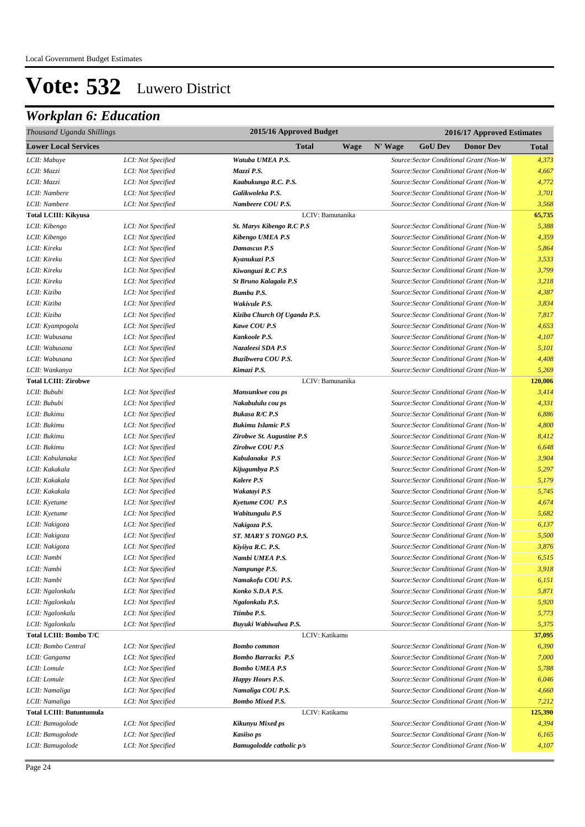| Thousand Uganda Shillings       |                    | 2015/16 Approved Budget         |             |         |                | 2016/17 Approved Estimates              |              |  |
|---------------------------------|--------------------|---------------------------------|-------------|---------|----------------|-----------------------------------------|--------------|--|
| <b>Lower Local Services</b>     |                    | <b>Total</b>                    | <b>Wage</b> | N' Wage | <b>GoU Dev</b> | <b>Donor Dev</b>                        | <b>Total</b> |  |
| LCII: Mabuye                    | LCI: Not Specified | Watuba UMEA P.S.                |             |         |                | Source: Sector Conditional Grant (Non-W | 4,373        |  |
| LCII: Mazzi                     | LCI: Not Specified | Mazzi P.S.                      |             |         |                | Source: Sector Conditional Grant (Non-W | 4,667        |  |
| LCII: Mazzi                     | LCI: Not Specified | Kaabukunga R.C. P.S.            |             |         |                | Source: Sector Conditional Grant (Non-W | 4,772        |  |
| LCII: Nambere                   | LCI: Not Specified | Galikwoleka P.S.                |             |         |                | Source: Sector Conditional Grant (Non-W | 3,701        |  |
| LCII: Nambere                   | LCI: Not Specified | Nambeere COU P.S.               |             |         |                | Source: Sector Conditional Grant (Non-W | 3,568        |  |
| <b>Total LCIII: Kikyusa</b>     |                    | LCIV: Bamunanika                |             |         |                |                                         | 65,735       |  |
| LCII: Kibengo                   | LCI: Not Specified | St. Marys Kibengo R.C P.S       |             |         |                | Source: Sector Conditional Grant (Non-W | 5,388        |  |
| LCII: Kibengo                   | LCI: Not Specified | Kibengo UMEA P.S                |             |         |                | Source: Sector Conditional Grant (Non-W | 4,359        |  |
| LCII: Kireku                    | LCI: Not Specified | Damascus P.S                    |             |         |                | Source: Sector Conditional Grant (Non-W | 5,864        |  |
| LCII: Kireku                    | LCI: Not Specified | Kyanukuzi P.S                   |             |         |                | Source: Sector Conditional Grant (Non-W | 3,533        |  |
| LCII: Kireku                    | LCI: Not Specified | Kiwanguzi R.C P.S               |             |         |                | Source: Sector Conditional Grant (Non-W | 3,799        |  |
| LCII: Kireku                    | LCI: Not Specified | <b>St Bruno Kalagala P.S</b>    |             |         |                | Source: Sector Conditional Grant (Non-W | 3,218        |  |
| LCII: Kiziba                    | LCI: Not Specified | <b>Bumbu P.S.</b>               |             |         |                | Source: Sector Conditional Grant (Non-W | 4,387        |  |
| LCII: Kiziba                    | LCI: Not Specified | Wakivule P.S.                   |             |         |                | Source: Sector Conditional Grant (Non-W | 3,834        |  |
| LCII: Kiziba                    | LCI: Not Specified | Kiziba Church Of Uganda P.S.    |             |         |                | Source: Sector Conditional Grant (Non-W | 7,817        |  |
| LCII: Kyampogola                | LCI: Not Specified | <b>Kawe COU P.S</b>             |             |         |                | Source: Sector Conditional Grant (Non-W | 4,653        |  |
| LCII: Wabusana                  | LCI: Not Specified | Kankoole P.S.                   |             |         |                | Source: Sector Conditional Grant (Non-W | 4,107        |  |
| LCII: Wabusana                  | LCI: Not Specified | Nazaleesi SDA P.S               |             |         |                | Source: Sector Conditional Grant (Non-W | 5,101        |  |
| LCII: Wabusana                  | LCI: Not Specified | Buzibwera COU P.S.              |             |         |                | Source: Sector Conditional Grant (Non-W | 4,408        |  |
| LCII: Wankanya                  | LCI: Not Specified | Kimazi P.S.                     |             |         |                | Source: Sector Conditional Grant (Non-W | 5,269        |  |
| <b>Total LCIII: Zirobwe</b>     |                    | LCIV: Bamunanika                |             |         |                |                                         | 120,006      |  |
| LCII: Bububi                    | LCI: Not Specified | Mansunkwe cou ps                |             |         |                | Source: Sector Conditional Grant (Non-W | 3,414        |  |
| LCII: Bububi                    | LCI: Not Specified | Nakabululu cou ps               |             |         |                | Source: Sector Conditional Grant (Non-W | 4,331        |  |
| LCII: Bukimu                    | LCI: Not Specified | <b>Bukasa R/C P.S</b>           |             |         |                | Source: Sector Conditional Grant (Non-W | 6,886        |  |
| LCII: Bukimu                    | LCI: Not Specified | <b>Bukimu Islamic P.S</b>       |             |         |                | Source: Sector Conditional Grant (Non-W | 4,800        |  |
| LCII: Bukimu                    | LCI: Not Specified | Zirobwe St. Augustine P.S       |             |         |                | Source: Sector Conditional Grant (Non-W | 8,412        |  |
| LCII: Bukimu                    | LCI: Not Specified | Zirobwe COU P.S                 |             |         |                | Source: Sector Conditional Grant (Non-W | 6,648        |  |
| LCII: Kabulanaka                | LCI: Not Specified | Kabulanaka P.S                  |             |         |                | Source: Sector Conditional Grant (Non-W | 3,904        |  |
| LCII: Kakakala                  | LCI: Not Specified | Kijugumbya P.S                  |             |         |                | Source: Sector Conditional Grant (Non-W | 5,297        |  |
| LCII: Kakakala                  | LCI: Not Specified | Kalere P.S                      |             |         |                | Source: Sector Conditional Grant (Non-W | 5,179        |  |
| LCII: Kakakala                  | LCI: Not Specified | Wakatayi P.S                    |             |         |                | Source: Sector Conditional Grant (Non-W | 5,745        |  |
| LCII: Kyetume                   | LCI: Not Specified | Kyetume COU P.S                 |             |         |                | Source: Sector Conditional Grant (Non-W | 4,674        |  |
| LCII: Kyetume                   | LCI: Not Specified | Wabitungulu P.S                 |             |         |                | Source: Sector Conditional Grant (Non-W | 5,682        |  |
| LCII: Nakigoza                  | LCI: Not Specified | Nakigoza P.S.                   |             |         |                | Source: Sector Conditional Grant (Non-W | 6,137        |  |
| LCII: Nakigoza                  | LCI: Not Specified | ST. MARY S TONGO P.S.           |             |         |                | Source: Sector Conditional Grant (Non-W | 5,500        |  |
| LCII: Nakigoza                  | LCI: Not Specified | Kiyiiya R.C. P.S.               |             |         |                | Source: Sector Conditional Grant (Non-W | 3,876        |  |
| LCII: Nambi                     | LCI: Not Specified | Nambi UMEA P.S.                 |             |         |                | Source: Sector Conditional Grant (Non-W | 6,515        |  |
| LCII: Nambi                     | LCI: Not Specified | Nampunge P.S.                   |             |         |                | Source: Sector Conditional Grant (Non-W | 3,918        |  |
| LCII: Nambi                     | LCI: Not Specified | Namakofu COU P.S.               |             |         |                | Source: Sector Conditional Grant (Non-W | 6,151        |  |
| LCII: Ngalonkalu                | LCI: Not Specified | Konko S.D.A P.S.                |             |         |                | Source: Sector Conditional Grant (Non-W | 5,871        |  |
| LCII: Ngalonkalu                | LCI: Not Specified | Ngalonkalu P.S.                 |             |         |                | Source: Sector Conditional Grant (Non-W | 5,920        |  |
| LCII: Ngalonkalu                | LCI: Not Specified | Ttimba P.S.                     |             |         |                | Source: Sector Conditional Grant (Non-W | 5,773        |  |
| LCII: Ngalonkalu                | LCI: Not Specified | Buyuki Wabiwalwa P.S.           |             |         |                | Source: Sector Conditional Grant (Non-W | 5,375        |  |
| <b>Total LCIII: Bombo T/C</b>   |                    | LCIV: Katikamu                  |             |         |                |                                         | 37,095       |  |
| LCII: Bombo Central             | LCI: Not Specified | <b>Bombo</b> common             |             |         |                | Source: Sector Conditional Grant (Non-W | 6,390        |  |
| LCII: Gangama                   | LCI: Not Specified | <b>Bombo Barracks P.S</b>       |             |         |                | Source: Sector Conditional Grant (Non-W | 7,000        |  |
| LCII: Lomule                    | LCI: Not Specified | <b>Bombo UMEA P.S</b>           |             |         |                | Source: Sector Conditional Grant (Non-W | 5,788        |  |
| LCII: Lomule                    | LCI: Not Specified | <b>Happy Hours P.S.</b>         |             |         |                | Source: Sector Conditional Grant (Non-W | 6,046        |  |
| LCII: Namaliga                  | LCI: Not Specified | Namaliga COU P.S.               |             |         |                | Source: Sector Conditional Grant (Non-W | 4,660        |  |
| LCII: Namaliga                  | LCI: Not Specified | <b>Bombo Mixed P.S.</b>         |             |         |                | Source: Sector Conditional Grant (Non-W | 7,212        |  |
| <b>Total LCIII: Butuntumula</b> |                    | LCIV: Katikamu                  |             |         |                |                                         | 125,390      |  |
| LCII: Bamugolode                | LCI: Not Specified | <b>Kikunyu Mixed ps</b>         |             |         |                | Source: Sector Conditional Grant (Non-W | 4,394        |  |
| LCII: Bamugolode                | LCI: Not Specified | Kasiiso ps                      |             |         |                | Source: Sector Conditional Grant (Non-W | 6,165        |  |
| LCII: Bamugolode                | LCI: Not Specified | <b>Bamugolodde catholic p/s</b> |             |         |                | Source: Sector Conditional Grant (Non-W | 4,107        |  |
|                                 |                    |                                 |             |         |                |                                         |              |  |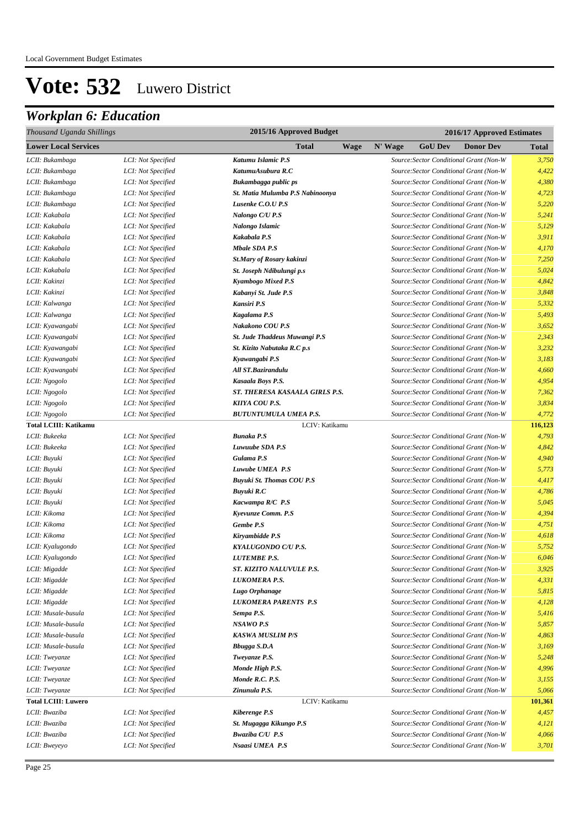| Thousand Uganda Shillings    |                    | 2015/16 Approved Budget          |         | 2016/17 Approved Estimates |                                         |         |  |  |  |
|------------------------------|--------------------|----------------------------------|---------|----------------------------|-----------------------------------------|---------|--|--|--|
| <b>Lower Local Services</b>  |                    | <b>Total</b><br>Wage             | N' Wage | <b>GoU Dev</b>             | <b>Donor Dev</b>                        | Total   |  |  |  |
| LCII: Bukambaga              | LCI: Not Specified | Katumu Islamic P.S               |         |                            | Source: Sector Conditional Grant (Non-W | 3,750   |  |  |  |
| LCII: Bukambaga              | LCI: Not Specified | KatumuAsubura R.C                |         |                            | Source: Sector Conditional Grant (Non-W | 4,422   |  |  |  |
| LCII: Bukambaga              | LCI: Not Specified | Bukambagga public ps             |         |                            | Source: Sector Conditional Grant (Non-W | 4,380   |  |  |  |
| LCII: Bukambaga              | LCI: Not Specified | St. Matia Mulumba P.S Nabinoonya |         |                            | Source: Sector Conditional Grant (Non-W | 4,723   |  |  |  |
| LCII: Bukambaga              | LCI: Not Specified | Lusenke C.O.U P.S                |         |                            | Source: Sector Conditional Grant (Non-W | 5,220   |  |  |  |
| LCII: Kakabala               | LCI: Not Specified | Nalongo C/U P.S                  |         |                            | Source: Sector Conditional Grant (Non-W | 5,241   |  |  |  |
| LCII: Kakabala               | LCI: Not Specified | Nalongo Islamic                  |         |                            | Source: Sector Conditional Grant (Non-W | 5,129   |  |  |  |
| LCII: Kakabala               | LCI: Not Specified | Kakabala P.S                     |         |                            | Source: Sector Conditional Grant (Non-W | 3,911   |  |  |  |
| LCII: Kakabala               | LCI: Not Specified | <b>Mbale SDA P.S</b>             |         |                            | Source: Sector Conditional Grant (Non-W | 4,170   |  |  |  |
| LCII: Kakabala               | LCI: Not Specified | St.Mary of Rosary kakinzi        |         |                            | Source: Sector Conditional Grant (Non-W | 7,250   |  |  |  |
| LCII: Kakabala               | LCI: Not Specified | St. Joseph Ndibulungi p.s        |         |                            | Source: Sector Conditional Grant (Non-W | 5,024   |  |  |  |
| LCII: Kakinzi                | LCI: Not Specified | Kyambogo Mixed P.S               |         |                            | Source: Sector Conditional Grant (Non-W | 4,842   |  |  |  |
| LCII: Kakinzi                | LCI: Not Specified | Kabanyi St. Jude P.S             |         |                            | Source: Sector Conditional Grant (Non-W | 3,848   |  |  |  |
| LCII: Kalwanga               | LCI: Not Specified | Kansiri P.S                      |         |                            | Source: Sector Conditional Grant (Non-W | 5,332   |  |  |  |
| LCII: Kalwanga               | LCI: Not Specified | Kagalama P.S                     |         |                            | Source: Sector Conditional Grant (Non-W | 5,493   |  |  |  |
| LCII: Kyawangabi             | LCI: Not Specified | Nakakono COU P.S                 |         |                            | Source: Sector Conditional Grant (Non-W | 3,652   |  |  |  |
| LCII: Kyawangabi             | LCI: Not Specified | St. Jude Thaddeus Muwangi P.S    |         |                            | Source: Sector Conditional Grant (Non-W | 2,343   |  |  |  |
| LCII: Kyawangabi             | LCI: Not Specified | St. Kizito Nabutaka R.C p.s      |         |                            | Source: Sector Conditional Grant (Non-W | 3,232   |  |  |  |
| LCII: Kyawangabi             | LCI: Not Specified | Kyawangabi P.S                   |         |                            | Source: Sector Conditional Grant (Non-W | 3,183   |  |  |  |
| LCII: Kyawangabi             | LCI: Not Specified | All ST.Bazirandulu               |         |                            | Source: Sector Conditional Grant (Non-W | 4,660   |  |  |  |
| LCII: Ngogolo                | LCI: Not Specified | Kasaala Boys P.S.                |         |                            | Source: Sector Conditional Grant (Non-W | 4,954   |  |  |  |
| LCII: Ngogolo                | LCI: Not Specified | ST. THERESA KASAALA GIRLS P.S.   |         |                            | Source: Sector Conditional Grant (Non-W | 7,362   |  |  |  |
| LCII: Ngogolo                | LCI: Not Specified | KIIYA COU P.S.                   |         |                            | Source: Sector Conditional Grant (Non-W | 3,834   |  |  |  |
| LCII: Ngogolo                | LCI: Not Specified | <b>BUTUNTUMULA UMEA P.S.</b>     |         |                            | Source: Sector Conditional Grant (Non-W | 4,772   |  |  |  |
| <b>Total LCIII: Katikamu</b> |                    | LCIV: Katikamu                   |         |                            |                                         | 116,123 |  |  |  |
| LCII: Bukeeka                | LCI: Not Specified | <b>Bunaka P.S</b>                |         |                            | Source: Sector Conditional Grant (Non-W | 4,793   |  |  |  |
| LCII: Bukeeka                | LCI: Not Specified | Luwuube SDA P.S                  |         |                            | Source: Sector Conditional Grant (Non-W | 4,842   |  |  |  |
| LCII: Buyuki                 | LCI: Not Specified | Gulama P.S                       |         |                            | Source: Sector Conditional Grant (Non-W | 4,940   |  |  |  |
| LCII: Buyuki                 | LCI: Not Specified | Luwube UMEA P.S                  |         |                            | Source: Sector Conditional Grant (Non-W | 5,773   |  |  |  |
| LCII: Buyuki                 | LCI: Not Specified | Buyuki St. Thomas COU P.S        |         |                            | Source: Sector Conditional Grant (Non-W | 4,417   |  |  |  |
| LCII: Buyuki                 | LCI: Not Specified | Buyuki R.C                       |         |                            | Source: Sector Conditional Grant (Non-W | 4,786   |  |  |  |
| LCII: Buyuki                 | LCI: Not Specified | Kacwampa R/C P.S                 |         |                            | Source: Sector Conditional Grant (Non-W | 5,045   |  |  |  |
| LCII: Kikoma                 | LCI: Not Specified | Kyevunze Comm. P.S               |         |                            | Source: Sector Conditional Grant (Non-W | 4,394   |  |  |  |
| LCII: Kikoma                 | LCI: Not Specified | Gembe P.S                        |         |                            | Source: Sector Conditional Grant (Non-W | 4,751   |  |  |  |
| LCII: Kikoma                 | LCI: Not Specified | Kiryambidde P.S                  |         |                            | Source: Sector Conditional Grant (Non-W | 4,618   |  |  |  |
| LCII: Kyalugondo             | LCI: Not Specified | KYALUGONDO C/U P.S.              |         |                            | Source: Sector Conditional Grant (Non-W | 5,752   |  |  |  |
| LCII: Kyalugondo             | LCI: Not Specified | <b>LUTEMBE P.S.</b>              |         |                            | Source: Sector Conditional Grant (Non-W | 6,046   |  |  |  |
| LCII: Migadde                | LCI: Not Specified | ST. KIZITO NALUVULE P.S.         |         |                            | Source: Sector Conditional Grant (Non-W | 3.925   |  |  |  |
| LCII: Migadde                | LCI: Not Specified | LUKOMERA P.S.                    |         |                            | Source: Sector Conditional Grant (Non-W | 4,331   |  |  |  |
| LCII: Migadde                | LCI: Not Specified | Lugo Orphanage                   |         |                            | Source: Sector Conditional Grant (Non-W | 5,815   |  |  |  |
| LCII: Migadde                | LCI: Not Specified | LUKOMERA PARENTS P.S             |         |                            | Source: Sector Conditional Grant (Non-W | 4,128   |  |  |  |
| LCII: Musale-busula          | LCI: Not Specified | Sempa P.S.                       |         |                            | Source: Sector Conditional Grant (Non-W | 5,416   |  |  |  |
| LCII: Musale-busula          | LCI: Not Specified | NSAWO P.S                        |         |                            | Source: Sector Conditional Grant (Non-W | 5,857   |  |  |  |
| LCII: Musale-busula          | LCI: Not Specified | <b>KASWA MUSLIM P/S</b>          |         |                            | Source: Sector Conditional Grant (Non-W | 4,863   |  |  |  |
| LCII: Musale-busula          | LCI: Not Specified | <b>Bbugga S.D.A</b>              |         |                            | Source: Sector Conditional Grant (Non-W | 3,169   |  |  |  |
| LCII: Tweyanze               | LCI: Not Specified | Tweyanze P.S.                    |         |                            | Source: Sector Conditional Grant (Non-W | 5,248   |  |  |  |
| LCII: Tweyanze               | LCI: Not Specified | Monde High P.S.                  |         |                            | Source: Sector Conditional Grant (Non-W | 4,996   |  |  |  |
| LCII: Tweyanze               | LCI: Not Specified | Monde R.C. P.S.                  |         |                            | Source: Sector Conditional Grant (Non-W | 3,155   |  |  |  |
| LCII: Tweyanze               | LCI: Not Specified | Zinunula P.S.                    |         |                            | Source: Sector Conditional Grant (Non-W | 5,066   |  |  |  |
| <b>Total LCIII: Luwero</b>   |                    | LCIV: Katikamu                   |         |                            |                                         | 101,361 |  |  |  |
| LCII: Bwaziba                | LCI: Not Specified | <b>Kiberenge P.S</b>             |         |                            | Source: Sector Conditional Grant (Non-W | 4,457   |  |  |  |
| LCII: Bwaziba                | LCI: Not Specified | St. Mugagga Kikungo P.S          |         |                            | Source: Sector Conditional Grant (Non-W | 4,121   |  |  |  |
| LCII: Bwaziba                | LCI: Not Specified | <b>Bwaziba C/U P.S</b>           |         |                            | Source: Sector Conditional Grant (Non-W | 4,066   |  |  |  |
| LCII: Bweyeyo                | LCI: Not Specified | Nsaasi UMEA P.S                  |         |                            | Source: Sector Conditional Grant (Non-W | 3,701   |  |  |  |
|                              |                    |                                  |         |                            |                                         |         |  |  |  |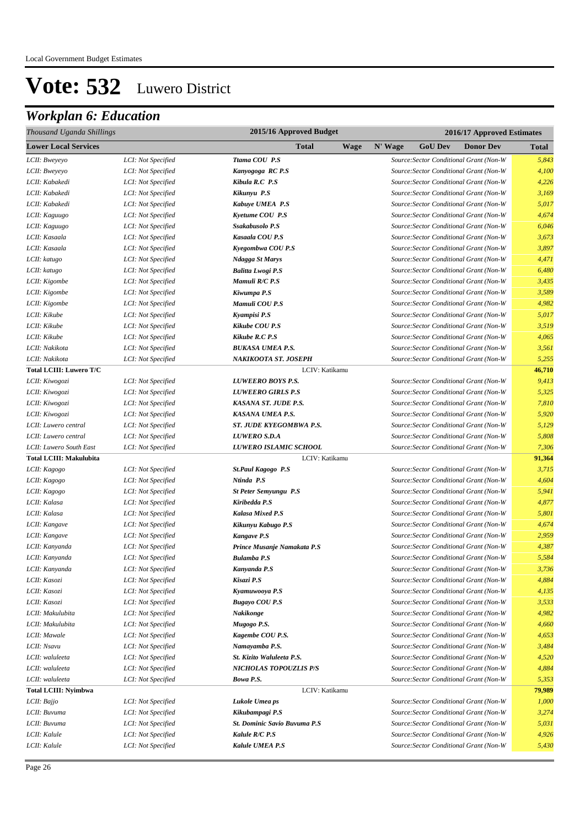| Thousand Uganda Shillings      |                    |                                     | 2015/16 Approved Budget<br>2016/17 Approved Estimates |         |                |                                         |              |
|--------------------------------|--------------------|-------------------------------------|-------------------------------------------------------|---------|----------------|-----------------------------------------|--------------|
| <b>Lower Local Services</b>    |                    | <b>Total</b>                        | <b>Wage</b>                                           | N' Wage | <b>GoU Dev</b> | <b>Donor Dev</b>                        | <b>Total</b> |
| LCII: Bweyeyo                  | LCI: Not Specified | Ttama COU P.S                       |                                                       |         |                | Source: Sector Conditional Grant (Non-W | 5,843        |
| LCII: Bweyeyo                  | LCI: Not Specified | Kanyogoga RC P.S                    |                                                       |         |                | Source: Sector Conditional Grant (Non-W | 4,100        |
| LCII: Kabakedi                 | LCI: Not Specified | Kibula R.C P.S                      |                                                       |         |                | Source: Sector Conditional Grant (Non-W | 4,226        |
| LCII: Kabakedi                 | LCI: Not Specified | Kikunyu P.S                         |                                                       |         |                | Source: Sector Conditional Grant (Non-W | 3,169        |
| LCII: Kabakedi                 | LCI: Not Specified | Kabuye UMEA P.S                     |                                                       |         |                | Source: Sector Conditional Grant (Non-W | 5,017        |
| LCII: Kaguugo                  | LCI: Not Specified | Kyetume COU P.S                     |                                                       |         |                | Source: Sector Conditional Grant (Non-W | 4,674        |
| LCII: Kaguugo                  | LCI: Not Specified | Ssakabusolo P.S                     |                                                       |         |                | Source: Sector Conditional Grant (Non-W | 6,046        |
| LCII: Kasaala                  | LCI: Not Specified | Kasaala COU P.S                     |                                                       |         |                | Source: Sector Conditional Grant (Non-W | 3,673        |
| LCII: Kasaala                  | LCI: Not Specified | Kyegombwa COU P.S                   |                                                       |         |                | Source: Sector Conditional Grant (Non-W | 3,897        |
| LCII: katugo                   | LCI: Not Specified | Ndagga St Marys                     |                                                       |         |                | Source: Sector Conditional Grant (Non-W | 4,471        |
| LCII: katugo                   | LCI: Not Specified | <b>Balitta Lwogi P.S</b>            |                                                       |         |                | Source: Sector Conditional Grant (Non-W | 6,480        |
| LCII: Kigombe                  | LCI: Not Specified | Mamuli R/C P.S                      |                                                       |         |                | Source: Sector Conditional Grant (Non-W | 3,435        |
| LCII: Kigombe                  | LCI: Not Specified | Kiwumpa P.S                         |                                                       |         |                | Source: Sector Conditional Grant (Non-W | 3,589        |
| LCII: Kigombe                  | LCI: Not Specified | Mamuli COU P.S                      |                                                       |         |                | Source: Sector Conditional Grant (Non-W | 4,982        |
| LCII: Kikube                   | LCI: Not Specified | Kyampisi P.S                        |                                                       |         |                | Source: Sector Conditional Grant (Non-W | 5,017        |
| LCII: Kikube                   | LCI: Not Specified | Kikube COU P.S                      |                                                       |         |                | Source: Sector Conditional Grant (Non-W | 3,519        |
| LCII: Kikube                   | LCI: Not Specified | <b>Kikube R.C P.S</b>               |                                                       |         |                | Source: Sector Conditional Grant (Non-W | 4,065        |
| LCII: Nakikota                 | LCI: Not Specified | <b>BUKASA UMEA P.S.</b>             |                                                       |         |                | Source: Sector Conditional Grant (Non-W | 3,561        |
| LCII: Nakikota                 | LCI: Not Specified | NAKIKOOTA ST. JOSEPH                |                                                       |         |                | Source: Sector Conditional Grant (Non-W | 5,255        |
| <b>Total LCIII: Luwero T/C</b> |                    | LCIV: Katikamu                      |                                                       |         |                |                                         | 46,710       |
| LCII: Kiwogozi                 | LCI: Not Specified | <b>LUWEERO BOYS P.S.</b>            |                                                       |         |                | Source: Sector Conditional Grant (Non-W | 9,413        |
| LCII: Kiwogozi                 | LCI: Not Specified | <b>LUWEERO GIRLS P.S</b>            |                                                       |         |                | Source: Sector Conditional Grant (Non-W | 5,325        |
| LCII: Kiwogozi                 | LCI: Not Specified | KASANA ST. JUDE P.S.                |                                                       |         |                | Source: Sector Conditional Grant (Non-W | 7,810        |
| LCII: Kiwogozi                 | LCI: Not Specified | KASANA UMEA P.S.                    |                                                       |         |                | Source: Sector Conditional Grant (Non-W | 5,920        |
| LCII: Luwero central           | LCI: Not Specified | ST. JUDE KYEGOMBWA P.S.             |                                                       |         |                | Source: Sector Conditional Grant (Non-W | 5,129        |
| LCII: Luwero central           | LCI: Not Specified | <b>LUWERO S.D.A</b>                 |                                                       |         |                | Source: Sector Conditional Grant (Non-W | 5,808        |
| LCII: Luwero South East        | LCI: Not Specified | LUWERO ISLAMIC SCHOOL               |                                                       |         |                | Source: Sector Conditional Grant (Non-W | 7,306        |
| <b>Total LCIII: Makulubita</b> |                    | LCIV: Katikamu                      |                                                       |         |                |                                         | 91,364       |
| LCII: Kagogo                   | LCI: Not Specified | <b>St.Paul Kagogo P.S</b>           |                                                       |         |                | Source: Sector Conditional Grant (Non-W | 3,715        |
| LCII: Kagogo                   | LCI: Not Specified | Ntinda P.S                          |                                                       |         |                | Source: Sector Conditional Grant (Non-W | 4,604        |
| LCII: Kagogo                   | LCI: Not Specified | <b>St Peter Semyungu P.S</b>        |                                                       |         |                | Source: Sector Conditional Grant (Non-W | 5,941        |
| LCII: Kalasa                   | LCI: Not Specified | Kiribedda P.S                       |                                                       |         |                | Source: Sector Conditional Grant (Non-W | 4,877        |
| LCII: Kalasa                   | LCI: Not Specified | <b>Kalasa Mixed P.S</b>             |                                                       |         |                | Source: Sector Conditional Grant (Non-W | 5,801        |
| LCII: Kangave                  | LCI: Not Specified | Kikunyu Kabugo P.S                  |                                                       |         |                | Source: Sector Conditional Grant (Non-W | 4,674        |
| LCII: Kangave                  | LCI: Not Specified | <b>Kangave P.S</b>                  |                                                       |         |                | Source: Sector Conditional Grant (Non-W | 2,959        |
| LCII: Kanyanda                 | LCI: Not Specified | Prince Musanje Namakata P.S         |                                                       |         |                | Source: Sector Conditional Grant (Non-W | 4,387        |
| LCII: Kanyanda                 | LCI: Not Specified | Bulamba P.S                         |                                                       |         |                | Source: Sector Conditional Grant (Non-W | 5,584        |
| LCII: Kanyanda                 | LCI: Not Specified | Kanyanda P.S                        |                                                       |         |                | Source: Sector Conditional Grant (Non-W | 3,736        |
| LCII: Kasozi                   | LCI: Not Specified | Kisazi P.S                          |                                                       |         |                | Source: Sector Conditional Grant (Non-W | 4,884        |
| LCII: Kasozi                   | LCI: Not Specified | Kyamuwooya P.S                      |                                                       |         |                | Source: Sector Conditional Grant (Non-W | 4,135        |
| LCII: Kasozi                   | LCI: Not Specified | <b>Bugayo COU P.S</b>               |                                                       |         |                | Source: Sector Conditional Grant (Non-W | 3,533        |
| LCII: Makulubita               | LCI: Not Specified | Nakikonge                           |                                                       |         |                | Source: Sector Conditional Grant (Non-W | 4,982        |
| LCII: Makulubita               | LCI: Not Specified | Mugogo P.S.                         |                                                       |         |                | Source: Sector Conditional Grant (Non-W | 4,660        |
| LCII: Mawale                   | LCI: Not Specified | Kagembe COU P.S.                    |                                                       |         |                | Source: Sector Conditional Grant (Non-W | 4,653        |
| LCII: Nsavu                    | LCI: Not Specified | Namayamba P.S.                      |                                                       |         |                | Source: Sector Conditional Grant (Non-W | 3,484        |
| LCII: waluleeta                | LCI: Not Specified | St. Kizito Waluleeta P.S.           |                                                       |         |                | Source: Sector Conditional Grant (Non-W | 4,520        |
| LCII: waluleeta                | LCI: Not Specified | NICHOLAS TOPOUZLIS P/S              |                                                       |         |                | Source: Sector Conditional Grant (Non-W | 4,884        |
| LCII: waluleeta                | LCI: Not Specified | Bowa P.S.                           |                                                       |         |                | Source: Sector Conditional Grant (Non-W | 5,353        |
| <b>Total LCIII: Nvimbwa</b>    |                    | LCIV: Katikamu                      |                                                       |         |                |                                         | 79,989       |
| LCII: Bajjo                    | LCI: Not Specified | Lukole Umea ps                      |                                                       |         |                | Source: Sector Conditional Grant (Non-W | 1,000        |
| LCII: Buvuma                   | LCI: Not Specified | Kikubampagi P.S                     |                                                       |         |                | Source: Sector Conditional Grant (Non-W | 3,274        |
| LCII: Buvuma                   | LCI: Not Specified | <b>St. Dominic Savio Buvuma P.S</b> |                                                       |         |                | Source: Sector Conditional Grant (Non-W | 5,031        |
| LCII: Kalule                   | LCI: Not Specified | Kalule R/C P.S                      |                                                       |         |                | Source: Sector Conditional Grant (Non-W | 4,926        |
| LCII: Kalule                   | LCI: Not Specified | Kalule UMEA P.S                     |                                                       |         |                | Source: Sector Conditional Grant (Non-W | 5,430        |
|                                |                    |                                     |                                                       |         |                |                                         |              |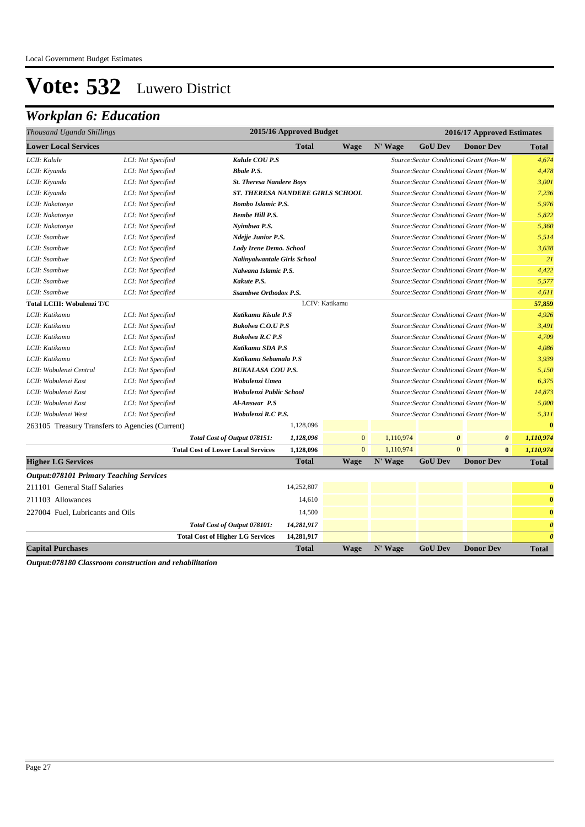## *Workplan 6: Education*

| Thousand Uganda Shillings                       |                    |                                           | 2015/16 Approved Budget                                                                                            |                |                                         | 2016/17 Approved Estimates              |                                         |                       |
|-------------------------------------------------|--------------------|-------------------------------------------|--------------------------------------------------------------------------------------------------------------------|----------------|-----------------------------------------|-----------------------------------------|-----------------------------------------|-----------------------|
| <b>Lower Local Services</b>                     |                    |                                           | <b>Total</b>                                                                                                       | <b>Wage</b>    | N' Wage                                 | <b>GoU Dev</b>                          | <b>Donor Dev</b>                        | <b>Total</b>          |
| LCII: Kalule                                    | LCI: Not Specified | Kalule COU P.S                            |                                                                                                                    |                |                                         |                                         | Source: Sector Conditional Grant (Non-W | 4,674                 |
| LCII: Kiyanda                                   | LCI: Not Specified | <b>Bbale P.S.</b>                         |                                                                                                                    |                |                                         |                                         | Source: Sector Conditional Grant (Non-W | 4,478                 |
| LCII: Kiyanda                                   | LCI: Not Specified | <b>St. Theresa Nandere Boys</b>           |                                                                                                                    |                |                                         | Source: Sector Conditional Grant (Non-W | 3,001                                   |                       |
| LCII: Kiyanda                                   | LCI: Not Specified | <b>ST. THERESA NANDERE GIRLS SCHOOL</b>   |                                                                                                                    |                |                                         |                                         | Source: Sector Conditional Grant (Non-W | 7,236                 |
| LCII: Nakatonya                                 | LCI: Not Specified | <b>Bombo Islamic P.S.</b>                 |                                                                                                                    |                |                                         |                                         | Source: Sector Conditional Grant (Non-W | 5,976                 |
| LCII: Nakatonya                                 | LCI: Not Specified | <b>Bembe Hill P.S.</b>                    |                                                                                                                    |                |                                         |                                         | Source: Sector Conditional Grant (Non-W | 5,822                 |
| LCII: Nakatonya                                 | LCI: Not Specified | Nyimbwa P.S.                              |                                                                                                                    |                |                                         |                                         | Source: Sector Conditional Grant (Non-W | 5,360                 |
| LCII: Ssambwe                                   | LCI: Not Specified | <b>Ndejje Junior P.S.</b>                 |                                                                                                                    |                |                                         |                                         | Source: Sector Conditional Grant (Non-W | 5,514                 |
| LCII: Ssambwe                                   | LCI: Not Specified | Lady Irene Demo. School                   |                                                                                                                    |                |                                         |                                         | Source: Sector Conditional Grant (Non-W | 3,638                 |
| LCII: Ssambwe                                   | LCI: Not Specified | <b>Nalinyalwantale Girls School</b>       |                                                                                                                    |                |                                         |                                         | Source: Sector Conditional Grant (Non-W | 21                    |
| LCII: Ssambwe                                   | LCI: Not Specified | Nalwana Islamic P.S.                      |                                                                                                                    |                | Source: Sector Conditional Grant (Non-W | 4,422                                   |                                         |                       |
| LCII: Ssambwe                                   | LCI: Not Specified | Kakute P.S.                               | Source: Sector Conditional Grant (Non-W<br><b>Ssambwe Orthodox P.S.</b><br>Source: Sector Conditional Grant (Non-W |                |                                         |                                         |                                         |                       |
| LCII: Ssambwe                                   | LCI: Not Specified |                                           |                                                                                                                    |                |                                         |                                         |                                         | 4,611                 |
| <b>Total LCIII: Wobulenzi T/C</b>               |                    |                                           |                                                                                                                    | LCIV: Katikamu |                                         |                                         |                                         | 57,859                |
| LCII: Katikamu                                  | LCI: Not Specified | Katikamu Kisule P.S                       |                                                                                                                    |                |                                         |                                         | Source: Sector Conditional Grant (Non-W | 4,926                 |
| LCII: Katikamu                                  | LCI: Not Specified | <b>Bukolwa C.O.U P.S</b>                  |                                                                                                                    |                |                                         |                                         | Source: Sector Conditional Grant (Non-W | 3,491                 |
| LCII: Katikamu                                  | LCI: Not Specified | <b>Bukolwa R.C P.S</b>                    |                                                                                                                    |                |                                         |                                         | Source: Sector Conditional Grant (Non-W | 4,709                 |
| LCII: Katikamu                                  | LCI: Not Specified | Katikamu SDA P.S                          |                                                                                                                    |                |                                         |                                         | Source: Sector Conditional Grant (Non-W | 4,086                 |
| LCII: Katikamu                                  | LCI: Not Specified | Katikamu Sebamala P.S                     |                                                                                                                    |                |                                         | Source: Sector Conditional Grant (Non-W | 3,939                                   |                       |
| LCII: Wobulenzi Central                         | LCI: Not Specified | <b>BUKALASA COU P.S.</b>                  |                                                                                                                    |                |                                         |                                         | Source: Sector Conditional Grant (Non-W | 5,150                 |
| LCII: Wobulenzi East                            | LCI: Not Specified | Wobulenzi Umea                            |                                                                                                                    |                |                                         |                                         | Source: Sector Conditional Grant (Non-W | 6,375                 |
| LCII: Wobulenzi East                            | LCI: Not Specified | Wobulenzi Public School                   |                                                                                                                    |                |                                         |                                         | Source: Sector Conditional Grant (Non-W | 14,873                |
| LCII: Wobulenzi East                            | LCI: Not Specified | Al-Answar P.S                             |                                                                                                                    |                | Source: Sector Conditional Grant (Non-W | 5,000                                   |                                         |                       |
| LCII: Wobulenzi West                            | LCI: Not Specified | Wobulenzi R.C P.S.                        |                                                                                                                    |                |                                         |                                         | Source: Sector Conditional Grant (Non-W | 5,311                 |
| 263105 Treasury Transfers to Agencies (Current) |                    |                                           | 1,128,096                                                                                                          |                |                                         |                                         |                                         | $\bf{0}$              |
|                                                 |                    | Total Cost of Output 078151:              | 1,128,096                                                                                                          | $\mathbf{0}$   | 1,110,974                               | $\boldsymbol{\theta}$                   | $\boldsymbol{\theta}$                   | 1,110,974             |
|                                                 |                    | <b>Total Cost of Lower Local Services</b> | 1,128,096                                                                                                          | $\mathbf{0}$   | 1,110,974                               | $\overline{0}$                          | $\bf{0}$                                | 1,110,974             |
| <b>Higher LG Services</b>                       |                    |                                           | <b>Total</b>                                                                                                       | Wage           | N' Wage                                 | <b>GoU Dev</b>                          | <b>Donor Dev</b>                        | <b>Total</b>          |
| <b>Output:078101 Primary Teaching Services</b>  |                    |                                           |                                                                                                                    |                |                                         |                                         |                                         |                       |
| 211101 General Staff Salaries                   |                    |                                           | 14,252,807                                                                                                         |                |                                         |                                         |                                         | $\bf{0}$              |
| 211103 Allowances                               |                    |                                           | 14,610                                                                                                             |                |                                         |                                         |                                         | $\bf{0}$              |
| 227004 Fuel, Lubricants and Oils                |                    |                                           | 14,500                                                                                                             |                |                                         |                                         |                                         | $\bf{0}$              |
|                                                 |                    | Total Cost of Output 078101:              | 14,281,917                                                                                                         |                |                                         |                                         |                                         | $\boldsymbol{\theta}$ |
|                                                 |                    | <b>Total Cost of Higher LG Services</b>   | 14,281,917                                                                                                         |                |                                         |                                         |                                         | $\boldsymbol{\theta}$ |
| <b>Capital Purchases</b>                        |                    |                                           | <b>Total</b>                                                                                                       | <b>Wage</b>    | N' Wage                                 | <b>GoU Dev</b>                          | <b>Donor Dev</b>                        | <b>Total</b>          |

*Output:078180 Classroom construction and rehabilitation*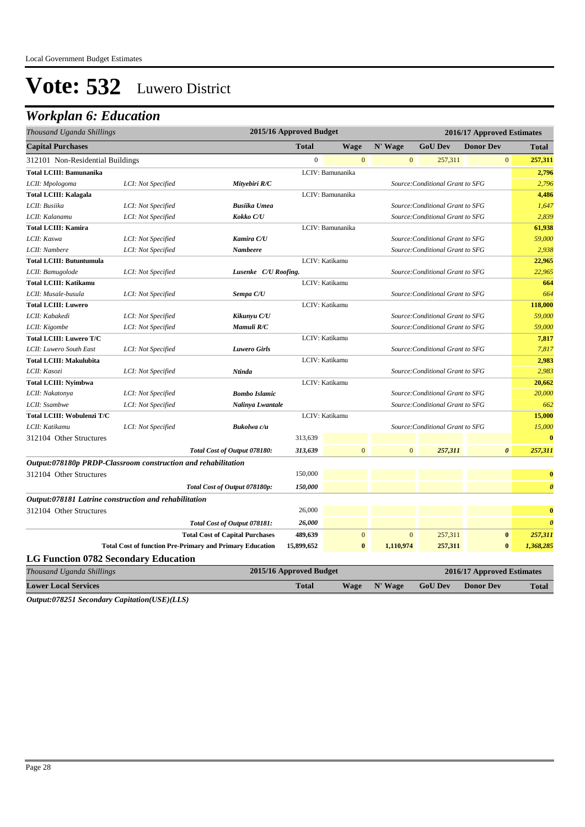### *Workplan 6: Education*

| 2015/16 Approved Budget<br>Thousand Uganda Shillings                                                              | 2016/17 Approved Estimates       |
|-------------------------------------------------------------------------------------------------------------------|----------------------------------|
| <b>Capital Purchases</b><br><b>Total</b><br><b>Wage</b><br>N' Wage<br><b>GoU Dev</b>                              | <b>Donor Dev</b><br><b>Total</b> |
| $\overline{0}$<br>$\boldsymbol{0}$<br>$\Omega$<br>257,311<br>312101 Non-Residential Buildings                     | $\overline{0}$<br>257,311        |
| LCIV: Bamunanika<br><b>Total LCIII: Bamunanika</b>                                                                | 2,796                            |
| LCII: Mpologoma<br>LCI: Not Specified<br>Mityebiri R/C<br>Source: Conditional Grant to SFG                        | 2,796                            |
| LCIV: Bamunanika<br><b>Total LCIII: Kalagala</b>                                                                  | 4,486                            |
| LCII: Busiika<br>LCI: Not Specified<br><b>Busiika Umea</b><br>Source: Conditional Grant to SFG                    | 1,647                            |
| LCII: Kalanamu<br>Kokko C/U<br>LCI: Not Specified<br>Source: Conditional Grant to SFG                             | 2,839                            |
| <b>Total LCIII: Kamira</b><br>LCIV: Bamunanika                                                                    | 61,938                           |
| LCII: Kaswa<br>LCI: Not Specified<br>Kamira C/U<br>Source: Conditional Grant to SFG                               | 59,000                           |
| LCII: Nambere<br>LCI: Not Specified<br>Nambeere<br>Source: Conditional Grant to SFG                               | 2,938                            |
| LCIV: Katikamu<br><b>Total LCIII: Butuntumula</b>                                                                 | 22,965                           |
| Lusenke C/U Roofing.<br>LCII: Bamugolode<br>LCI: Not Specified<br>Source: Conditional Grant to SFG                | 22,965                           |
| LCIV: Katikamu<br><b>Total LCIII: Katikamu</b>                                                                    | 664                              |
| LCII: Musale-busula<br>Sempa C/U<br>Source: Conditional Grant to SFG<br>LCI: Not Specified                        | 664                              |
| LCIV: Katikamu<br><b>Total LCIII: Luwero</b>                                                                      | 118,000                          |
| Kikunyu C/U<br>Source: Conditional Grant to SFG<br>LCII: Kabakedi<br>LCI: Not Specified                           | 59,000                           |
| LCII: Kigombe<br>LCI: Not Specified<br>Mamuli R/C<br>Source: Conditional Grant to SFG                             | 59,000                           |
| LCIV: Katikamu<br><b>Total LCIII: Luwero T/C</b>                                                                  | 7,817                            |
| LCII: Luwero South East<br>LCI: Not Specified<br><b>Luwero Girls</b><br>Source: Conditional Grant to SFG          | 7,817                            |
| <b>Total LCIII: Makulubita</b><br>LCIV: Katikamu                                                                  | 2,983                            |
| LCII: Kasozi<br>LCI: Not Specified<br>Ntinda<br>Source: Conditional Grant to SFG                                  | 2,983                            |
| LCIV: Katikamu<br><b>Total LCIII: Nyimbwa</b>                                                                     | 20,662                           |
| <b>Bombo Islamic</b><br>Source: Conditional Grant to SFG<br>LCII: Nakatonya<br>LCI: Not Specified                 | 20,000                           |
| LCII: Ssambwe<br>LCI: Not Specified<br>Source: Conditional Grant to SFG<br>Nalinya Lwantale                       | 662                              |
| LCIV: Katikamu<br>Total LCIII: Wobulenzi T/C                                                                      | 15,000                           |
| LCII: Katikamu<br>LCI: Not Specified<br>Bukolwa c/u<br>Source: Conditional Grant to SFG                           | 15,000                           |
| 313,639<br>312104 Other Structures                                                                                |                                  |
| $\mathbf{0}$<br>$\mathbf{0}$<br>257,311<br>Total Cost of Output 078180:<br>313,639                                | $\boldsymbol{\theta}$<br>257,311 |
| Output:078180p PRDP-Classroom construction and rehabilitation                                                     |                                  |
| 312104 Other Structures<br>150,000                                                                                |                                  |
| 150,000<br>Total Cost of Output 078180p:                                                                          |                                  |
| Output:078181 Latrine construction and rehabilitation                                                             |                                  |
| 26,000<br>312104 Other Structures                                                                                 |                                  |
| 26,000<br>Total Cost of Output 078181:                                                                            |                                  |
| $\mathbf{0}$<br>$\mathbf{0}$<br>257,311<br><b>Total Cost of Capital Purchases</b><br>489,639                      | $\bf{0}$<br>257,311              |
| 1,110,974<br>257,311<br><b>Total Cost of function Pre-Primary and Primary Education</b><br>15,899,652<br>$\bf{0}$ | $\bf{0}$<br>1,368,285            |
| <b>LG Function 0782 Secondary Education</b>                                                                       |                                  |
| 2015/16 Approved Budget<br>Thousand Uganda Shillings                                                              | 2016/17 Approved Estimates       |
| <b>Lower Local Services</b><br>N' Wage<br><b>Total</b><br><b>Wage</b><br><b>GoU Dev</b>                           | <b>Donor Dev</b><br><b>Total</b> |

*Output:078251 Secondary Capitation(USE)(LLS)*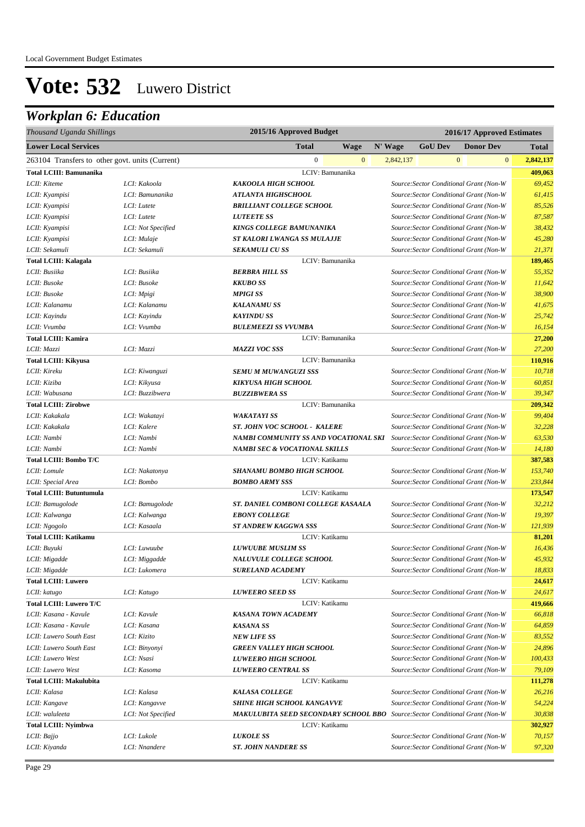| Thousand Uganda Shillings                       | 2015/16 Approved Budget<br>2016/17 Approved Estimates |                                                                                      |                                         |                |              |                                         |                  |
|-------------------------------------------------|-------------------------------------------------------|--------------------------------------------------------------------------------------|-----------------------------------------|----------------|--------------|-----------------------------------------|------------------|
| <b>Lower Local Services</b>                     |                                                       | <b>Total</b><br><b>Wage</b>                                                          | N' Wage                                 | <b>GoU Dev</b> |              | <b>Donor Dev</b>                        | <b>Total</b>     |
| 263104 Transfers to other govt. units (Current) |                                                       | $\mathbf{0}$<br>$\mathbf{0}$                                                         | 2,842,137                               |                | $\mathbf{0}$ | $\mathbf{0}$                            | 2,842,137        |
| <b>Total LCIII: Bamunanika</b>                  |                                                       | LCIV: Bamunanika                                                                     |                                         |                |              |                                         | 409,063          |
| LCII: Kiteme                                    | LCI: Kakoola                                          | KAKOOLA HIGH SCHOOL                                                                  |                                         |                |              | Source: Sector Conditional Grant (Non-W | 69,452           |
| LCII: Kyampisi                                  | LCI: Bamunanika                                       | <b>ATLANTA HIGHSCHOOL</b>                                                            |                                         |                |              | Source: Sector Conditional Grant (Non-W | 61,415           |
| LCII: Kyampisi                                  | LCI: Lutete                                           | <b>BRILLIANT COLLEGE SCHOOL</b>                                                      |                                         |                |              | Source: Sector Conditional Grant (Non-W | 85,526           |
| LCII: Kyampisi                                  | LCI: Lutete                                           | <b>LUTEETE SS</b>                                                                    |                                         |                |              | Source: Sector Conditional Grant (Non-W | 87,587           |
| LCII: Kyampisi                                  | LCI: Not Specified                                    | KINGS COLLEGE BAMUNANIKA                                                             | Source: Sector Conditional Grant (Non-W | 38,432         |              |                                         |                  |
| LCII: Kyampisi                                  | LCI: Mulaje                                           | ST KALORI LWANGA SS MULAJJE                                                          |                                         |                |              | Source: Sector Conditional Grant (Non-W | 45,280           |
| LCII: Sekamuli                                  | LCI: Sekamuli                                         | <b>SEKAMULI CU SS</b>                                                                |                                         |                |              | Source: Sector Conditional Grant (Non-W | 21,371           |
| <b>Total LCIII: Kalagala</b>                    |                                                       | LCIV: Bamunanika                                                                     |                                         |                |              |                                         | 189,465          |
| LCII: Busiika                                   | LCI: Busiika                                          | <b>BERBRA HILL SS</b>                                                                |                                         |                |              | Source: Sector Conditional Grant (Non-W | 55,352           |
| LCII: Busoke                                    | LCI: Busoke                                           | <b>KKUBO SS</b>                                                                      |                                         |                |              | Source: Sector Conditional Grant (Non-W | 11,642           |
| LCII: Busoke                                    | LCI: Mpigi                                            | <b>MPIGI SS</b>                                                                      |                                         |                |              | Source: Sector Conditional Grant (Non-W | 38,900           |
| LCII: Kalanamu                                  | LCI: Kalanamu                                         | <b>KALANAMU SS</b>                                                                   |                                         |                |              | Source: Sector Conditional Grant (Non-W | 41,675           |
| LCII: Kayindu                                   | LCI: Kayindu                                          | <b>KAYINDU SS</b>                                                                    |                                         |                |              | Source: Sector Conditional Grant (Non-W | 25,742           |
| LCII: Vvumba                                    | LCI: Vvumba                                           | <b>BULEMEEZI SS VVUMBA</b>                                                           |                                         |                |              | Source: Sector Conditional Grant (Non-W | 16,154           |
| <b>Total LCIII: Kamira</b>                      |                                                       | LCIV: Bamunanika                                                                     |                                         |                |              |                                         | 27,200           |
| LCII: Mazzi                                     | LCI: Mazzi                                            | <b>MAZZI VOC SSS</b>                                                                 |                                         |                |              | Source: Sector Conditional Grant (Non-W | 27,200           |
| <b>Total LCIII: Kikyusa</b>                     |                                                       | LCIV: Bamunanika                                                                     |                                         |                |              |                                         | 110,916          |
| LCII: Kireku                                    | LCI: Kiwanguzi                                        | <b>SEMU M MUWANGUZI SSS</b>                                                          |                                         |                |              | Source: Sector Conditional Grant (Non-W | 10,718           |
| LCII: Kiziba                                    | LCI: Kikyusa                                          | KIKYUSA HIGH SCHOOL                                                                  |                                         |                |              | Source: Sector Conditional Grant (Non-W | 60,851           |
| LCII: Wabusana                                  | LCI: Buzzibwera                                       | <b>BUZZIBWERA SS</b>                                                                 |                                         |                |              | Source: Sector Conditional Grant (Non-W | 39,347           |
| <b>Total LCIII: Zirobwe</b>                     |                                                       | LCIV: Bamunanika                                                                     |                                         |                |              |                                         | 209,342          |
| LCII: Kakakala                                  | LCI: Wakatayi                                         | <b>WAKATAYI SS</b>                                                                   |                                         |                |              | Source: Sector Conditional Grant (Non-W | 99,404           |
| LCII: Kakakala                                  | LCI: Kalere                                           | ST. JOHN VOC SCHOOL - KALERE                                                         |                                         |                |              | Source: Sector Conditional Grant (Non-W | 32,228           |
| LCII: Nambi                                     | LCI: Nambi                                            | NAMBI COMMUNITY SS AND VOCATIONAL SKI                                                |                                         |                |              | Source: Sector Conditional Grant (Non-W | 63,530           |
| LCII: Nambi                                     | LCI: Nambi                                            | <b>NAMBI SEC &amp; VOCATIONAL SKILLS</b>                                             |                                         |                |              | Source: Sector Conditional Grant (Non-W | 14,180           |
| Total LCIII: Bombo T/C                          |                                                       | LCIV: Katikamu                                                                       |                                         |                |              |                                         | 387,583          |
| LCII: Lomule                                    | LCI: Nakatonya                                        | SHANAMU BOMBO HIGH SCHOOL                                                            |                                         |                |              | Source: Sector Conditional Grant (Non-W | 153,740          |
| LCII: Special Area                              | LCI: Bombo                                            | <b>BOMBO ARMY SSS</b>                                                                |                                         |                |              | Source: Sector Conditional Grant (Non-W | 233,844          |
| <b>Total LCIII: Butuntumula</b>                 |                                                       | LCIV: Katikamu                                                                       |                                         |                |              |                                         | 173,547          |
| LCII: Bamugolode                                | LCI: Bamugolode                                       | ST. DANIEL COMBONI COLLEGE KASAALA                                                   |                                         |                |              | Source: Sector Conditional Grant (Non-W | 32,212           |
| LCII: Kalwanga                                  | LCI: Kalwanga                                         | <b>EBONY COLLEGE</b>                                                                 |                                         |                |              | Source: Sector Conditional Grant (Non-W | 19,397           |
| LCII: Ngogolo                                   | LCI: Kasaala                                          | <b>ST ANDREW KAGGWA SSS</b>                                                          |                                         |                |              | Source: Sector Conditional Grant (Non-W | 121,939          |
| <b>Total LCIII: Katikamu</b>                    |                                                       | LCIV: Katikamu                                                                       |                                         |                |              |                                         | 81,201           |
| LCII: Buyuki                                    | LCI: Luwuube                                          | <b>LUWUUBE MUSLIM SS</b>                                                             |                                         |                |              | Source: Sector Conditional Grant (Non-W | 16,436           |
| LCII: Migadde                                   | LCI: Miggadde                                         | <b>NALUVULE COLLEGE SCHOOL</b>                                                       |                                         |                |              | Source: Sector Conditional Grant (Non-W | 45,932           |
|                                                 |                                                       | SURELAND ACADEMY                                                                     |                                         |                |              | Source: Sector Conditional Grant (Non-W | 18,833           |
| LCII: Migadde<br><b>Total LCIII: Luwero</b>     | LCI: Lukomera                                         | LCIV: Katikamu                                                                       |                                         |                |              |                                         |                  |
| LCII: katugo                                    | LCI: Katugo                                           | <b>LUWEERO SEED SS</b>                                                               |                                         |                |              | Source: Sector Conditional Grant (Non-W | 24,617<br>24,617 |
| <b>Total LCIII: Luwero T/C</b>                  |                                                       | LCIV: Katikamu                                                                       |                                         |                |              |                                         | 419,666          |
| LCII: Kasana - Kavule                           | LCI: Kavule                                           | <b>KASANA TOWN ACADEMY</b>                                                           |                                         |                |              | Source: Sector Conditional Grant (Non-W | 66,818           |
| LCII: Kasana - Kavule                           | LCI: Kasana                                           | <b>KASANA SS</b>                                                                     |                                         |                |              | Source: Sector Conditional Grant (Non-W | 64,859           |
| LCII: Luwero South East                         | LCI: Kizito                                           | <b>NEW LIFE SS</b>                                                                   |                                         |                |              | Source: Sector Conditional Grant (Non-W | 83,552           |
| LCII: Luwero South East                         | LCI: Binyonyi                                         |                                                                                      |                                         |                |              | Source: Sector Conditional Grant (Non-W | 24,896           |
|                                                 |                                                       | GREEN VALLEY HIGH SCHOOL                                                             |                                         |                |              |                                         |                  |
| LCII: Luwero West                               | LCI: Nsasi                                            | LUWEERO HIGH SCHOOL                                                                  |                                         |                |              | Source: Sector Conditional Grant (Non-W | 100,433          |
| LCII: Luwero West                               | LCI: Kasoma                                           | <b>LUWEERO CENTRAL SS</b><br>LCIV: Katikamu                                          |                                         |                |              | Source: Sector Conditional Grant (Non-W | 79,109           |
| <b>Total LCIII: Makulubita</b>                  |                                                       |                                                                                      |                                         |                |              |                                         | 111,278          |
| LCII: Kalasa                                    | LCI: Kalasa                                           | <b>KALASA COLLEGE</b>                                                                |                                         |                |              | Source: Sector Conditional Grant (Non-W | 26,216           |
| LCII: Kangave                                   | LCI: Kangavve                                         | <b>SHINE HIGH SCHOOL KANGAVVE</b>                                                    |                                         |                |              | Source: Sector Conditional Grant (Non-W | 54,224           |
| LCII: waluleeta                                 | LCI: Not Specified                                    | <b>MAKULUBITA SEED SECONDARY SCHOOL BBO</b> Source: Sector Conditional Grant (Non-W) |                                         |                |              |                                         | 30,838           |
| <b>Total LCIII: Nyimbwa</b>                     |                                                       | LCIV: Katikamu                                                                       |                                         |                |              |                                         | 302,927          |
| LCII: Bajjo                                     | LCI: Lukole                                           | <b>LUKOLE SS</b>                                                                     |                                         |                |              | Source: Sector Conditional Grant (Non-W | 70,157           |
| LCII: Kiyanda                                   | LCI: Nnandere                                         | <b>ST. JOHN NANDERE SS</b>                                                           |                                         |                |              | Source: Sector Conditional Grant (Non-W | 97,320           |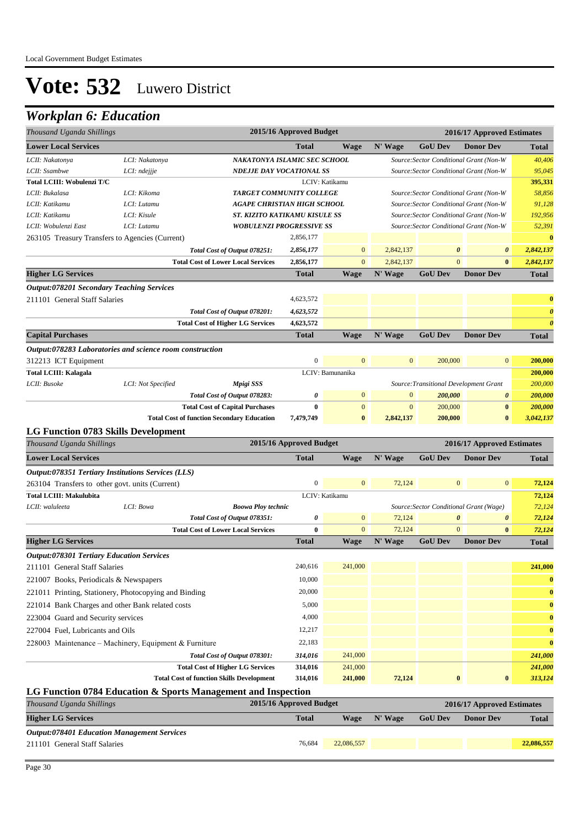| Thousand Uganda Shillings                                |                    |                                                                                             | 2015/16 Approved Budget |                    | 2016/17 Approved Estimates |                                         |                                         |                       |
|----------------------------------------------------------|--------------------|---------------------------------------------------------------------------------------------|-------------------------|--------------------|----------------------------|-----------------------------------------|-----------------------------------------|-----------------------|
| <b>Lower Local Services</b>                              |                    |                                                                                             | <b>Total</b>            | <b>Wage</b>        | N' Wage                    | <b>GoU</b> Dev                          | <b>Donor Dev</b>                        | <b>Total</b>          |
| LCII: Nakatonya                                          | LCI: Nakatonya     | NAKATONYA ISLAMIC SEC SCHOOL                                                                |                         |                    |                            |                                         | Source: Sector Conditional Grant (Non-W | 40,406                |
| LCII: Ssambwe                                            | LCI: ndejjje       | <b>NDEJJE DAY VOCATIONAL SS</b>                                                             |                         |                    |                            |                                         | Source: Sector Conditional Grant (Non-W | 95,045                |
| <b>Total LCIII: Wobulenzi T/C</b>                        |                    |                                                                                             |                         | LCIV: Katikamu     |                            |                                         |                                         | 395,331               |
| LCII: Bukalasa                                           | LCI: Kikoma        | TARGET COMMUNITY COLLEGE                                                                    |                         |                    |                            |                                         | Source: Sector Conditional Grant (Non-W | 58,856                |
| LCII: Katikamu                                           | LCI: Lutamu        | <b>AGAPE CHRISTIAN HIGH SCHOOL</b>                                                          |                         |                    |                            |                                         | Source: Sector Conditional Grant (Non-W | 91,128                |
| LCII: Katikamu                                           | LCI: Kisule        | ST. KIZITO KATIKAMU KISULE SS                                                               |                         |                    |                            |                                         | Source: Sector Conditional Grant (Non-W | 192,956               |
| LCII: Wobulenzi East                                     | LCI: Lutamu        | <b>WOBULENZI PROGRESSIVE SS</b>                                                             |                         |                    |                            |                                         | Source: Sector Conditional Grant (Non-W | 52,391                |
| 263105 Treasury Transfers to Agencies (Current)          |                    |                                                                                             | 2,856,177               |                    |                            |                                         |                                         | $\bf{0}$              |
|                                                          |                    | Total Cost of Output 078251:                                                                | 2,856,177               | $\mathbf{0}$       | 2,842,137                  | $\boldsymbol{\theta}$                   | $\boldsymbol{\theta}$                   | 2,842,137             |
|                                                          |                    | <b>Total Cost of Lower Local Services</b>                                                   | 2,856,177               | $\overline{0}$     | 2,842,137                  | $\overline{0}$                          | $\bf{0}$                                | 2,842,137             |
| <b>Higher LG Services</b>                                |                    |                                                                                             | <b>Total</b>            | <b>Wage</b>        | N' Wage                    | <b>GoU Dev</b>                          | <b>Donor Dev</b>                        | <b>Total</b>          |
| <b>Output:078201 Secondary Teaching Services</b>         |                    |                                                                                             |                         |                    |                            |                                         |                                         |                       |
| 211101 General Staff Salaries                            |                    |                                                                                             | 4,623,572               |                    |                            |                                         |                                         | $\bf{0}$              |
|                                                          |                    | Total Cost of Output 078201:                                                                | 4,623,572               |                    |                            |                                         |                                         | $\boldsymbol{\theta}$ |
|                                                          |                    | <b>Total Cost of Higher LG Services</b>                                                     | 4,623,572               |                    |                            |                                         |                                         | $\boldsymbol{\theta}$ |
| <b>Capital Purchases</b>                                 |                    |                                                                                             | <b>Total</b>            | <b>Wage</b>        | N' Wage                    | <b>GoU Dev</b>                          | <b>Donor Dev</b>                        | <b>Total</b>          |
| Output:078283 Laboratories and science room construction |                    |                                                                                             |                         |                    |                            |                                         |                                         |                       |
| 312213 ICT Equipment                                     |                    |                                                                                             | $\boldsymbol{0}$        | $\mathbf{0}$       | $\mathbf{0}$               | 200,000                                 | $\bf{0}$                                | 200,000               |
| <b>Total LCIII: Kalagala</b>                             |                    |                                                                                             |                         | LCIV: Bamunanika   |                            |                                         |                                         | 200,000               |
| LCII: Busoke                                             | LCI: Not Specified | Mpigi SSS                                                                                   |                         |                    |                            |                                         | Source: Transitional Development Grant  | 200,000               |
|                                                          |                    | Total Cost of Output 078283:                                                                | 0                       | $\mathbf{0}$       | $\mathbf{0}$               | 200,000                                 | $\pmb{\theta}$                          | 200,000               |
|                                                          |                    | <b>Total Cost of Capital Purchases</b>                                                      | $\bf{0}$                | $\mathbf{0}$       | $\mathbf{0}$               | 200,000                                 | $\bf{0}$                                | 200,000               |
|                                                          |                    | <b>Total Cost of function Secondary Education</b>                                           | 7,479,749               | $\bf{0}$           | 2,842,137                  | 200,000                                 | $\bf{0}$                                | 3,042,137             |
| LG Function 0783 Skills Development                      |                    |                                                                                             |                         |                    |                            |                                         |                                         |                       |
| Thousand Uganda Shillings                                |                    |                                                                                             | 2015/16 Approved Budget |                    |                            |                                         | 2016/17 Approved Estimates              |                       |
| <b>Lower Local Services</b>                              |                    |                                                                                             | <b>Total</b>            | <b>Wage</b>        | N' Wage                    | <b>GoU Dev</b>                          | <b>Donor Dev</b>                        | <b>Total</b>          |
| Output:078351 Tertiary Institutions Services (LLS)       |                    |                                                                                             |                         |                    |                            |                                         |                                         |                       |
| 263104 Transfers to other govt. units (Current)          |                    |                                                                                             | $\boldsymbol{0}$        | $\mathbf{0}$       | 72,124                     | $\mathbf{0}$                            | $\mathbf{0}$                            | 72,124                |
| <b>Total LCIII: Makulubita</b>                           |                    |                                                                                             |                         | LCIV: Katikamu     |                            |                                         |                                         | 72,124                |
| LCII: waluleeta                                          | LCI: Bowa          | <b>Boowa Ploy technic</b>                                                                   |                         |                    |                            | Source: Sector Conditional Grant (Wage) | 72,124                                  |                       |
|                                                          |                    | Total Cost of Output 078351:                                                                | 0                       | $\mathbf{0}$       | 72,124                     | $\boldsymbol{\theta}$                   | 0                                       | 72,124                |
|                                                          |                    | <b>Total Cost of Lower Local Services</b>                                                   | $\bf{0}$                | $\mathbf{0}$       | 72,124                     | $\Omega$                                | $\bf{0}$                                | 72,124                |
| <b>Higher LG Services</b>                                |                    |                                                                                             | <b>Total</b>            | <b>Wage</b>        | N' Wage                    | <b>GoU Dev</b>                          | <b>Donor Dev</b>                        | <b>Total</b>          |
| <b>Output:078301 Tertiary Education Services</b>         |                    |                                                                                             |                         |                    |                            |                                         |                                         |                       |
| 211101 General Staff Salaries                            |                    |                                                                                             | 240,616                 | 241,000            |                            |                                         |                                         | 241,000               |
| 221007 Books, Periodicals & Newspapers                   |                    |                                                                                             | 10,000                  |                    |                            |                                         |                                         | $\bf{0}$              |
| 221011 Printing, Stationery, Photocopying and Binding    |                    |                                                                                             | 20,000                  |                    |                            |                                         |                                         | $\bf{0}$              |
| 221014 Bank Charges and other Bank related costs         |                    |                                                                                             | 5,000                   |                    |                            |                                         |                                         | $\bf{0}$              |
| 223004 Guard and Security services                       |                    |                                                                                             | 4,000                   |                    |                            |                                         |                                         | $\bf{0}$              |
| 227004 Fuel, Lubricants and Oils                         |                    |                                                                                             | 12,217                  |                    |                            |                                         |                                         | $\bf{0}$              |
| 228003 Maintenance – Machinery, Equipment & Furniture    |                    |                                                                                             | 22,183                  |                    |                            |                                         |                                         | $\bf{0}$              |
|                                                          |                    |                                                                                             |                         |                    |                            |                                         |                                         |                       |
|                                                          |                    | Total Cost of Output 078301:                                                                | 314,016                 | 241,000            |                            |                                         |                                         | 241,000               |
|                                                          |                    | <b>Total Cost of Higher LG Services</b><br><b>Total Cost of function Skills Development</b> | 314,016<br>314,016      | 241,000<br>241,000 | 72,124                     | $\bf{0}$                                | $\bf{0}$                                | 241,000<br>313,124    |
|                                                          |                    |                                                                                             |                         |                    |                            |                                         |                                         |                       |
| Thousand Uganda Shillings                                |                    | LG Function 0784 Education & Sports Management and Inspection                               | 2015/16 Approved Budget |                    |                            |                                         | 2016/17 Approved Estimates              |                       |
|                                                          |                    |                                                                                             |                         |                    |                            |                                         |                                         |                       |
| <b>Higher LG Services</b>                                |                    |                                                                                             | <b>Total</b>            | <b>Wage</b>        | N' Wage                    | <b>GoU Dev</b>                          | <b>Donor Dev</b>                        | <b>Total</b>          |
| <b>Output:078401 Education Management Services</b>       |                    |                                                                                             |                         |                    |                            |                                         |                                         |                       |
| 211101 General Staff Salaries                            |                    |                                                                                             | 76,684                  | 22,086,557         |                            |                                         |                                         | 22,086,557            |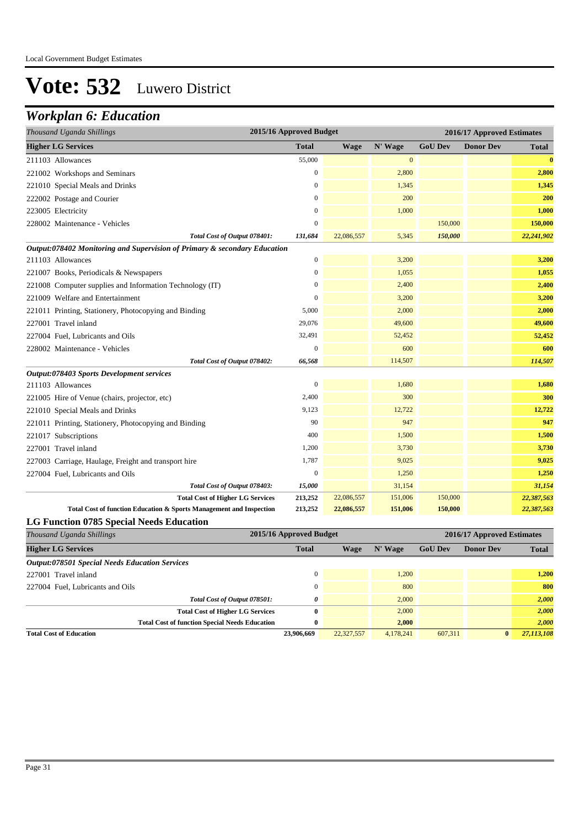| Thousand Uganda Shillings                                                 | 2015/16 Approved Budget |             | 2016/17 Approved Estimates |                |                  |              |
|---------------------------------------------------------------------------|-------------------------|-------------|----------------------------|----------------|------------------|--------------|
| <b>Higher LG Services</b>                                                 | <b>Total</b>            | <b>Wage</b> | N' Wage                    | <b>GoU Dev</b> | <b>Donor Dev</b> | <b>Total</b> |
| 211103 Allowances                                                         | 55,000                  |             | $\mathbf{0}$               |                |                  | $\bf{0}$     |
| 221002 Workshops and Seminars                                             | $\boldsymbol{0}$        |             | 2,800                      |                |                  | 2,800        |
| 221010 Special Meals and Drinks                                           | $\mathbf{0}$            |             | 1,345                      |                |                  | 1,345        |
| 222002 Postage and Courier                                                | $\mathbf{0}$            |             | 200                        |                |                  | 200          |
| 223005 Electricity                                                        | $\boldsymbol{0}$        |             | 1,000                      |                |                  | 1,000        |
| 228002 Maintenance - Vehicles                                             | $\overline{0}$          |             |                            | 150,000        |                  | 150,000      |
| Total Cost of Output 078401:                                              | 131,684                 | 22,086,557  | 5,345                      | 150,000        |                  | 22,241,902   |
| Output:078402 Monitoring and Supervision of Primary & secondary Education |                         |             |                            |                |                  |              |
| 211103 Allowances                                                         | $\boldsymbol{0}$        |             | 3,200                      |                |                  | 3,200        |
| 221007 Books, Periodicals & Newspapers                                    | $\overline{0}$          |             | 1,055                      |                |                  | 1,055        |
| 221008 Computer supplies and Information Technology (IT)                  | $\overline{0}$          |             | 2,400                      |                |                  | 2,400        |
| 221009 Welfare and Entertainment                                          | $\overline{0}$          |             | 3,200                      |                |                  | 3,200        |
| 221011 Printing, Stationery, Photocopying and Binding                     | 5,000                   |             | 2,000                      |                |                  | 2,000        |
| 227001 Travel inland                                                      | 29,076                  |             | 49,600                     |                |                  | 49,600       |
| 227004 Fuel, Lubricants and Oils                                          | 32,491                  |             | 52,452                     |                |                  | 52,452       |
| 228002 Maintenance - Vehicles                                             | $\theta$                |             | 600                        |                |                  | 600          |
| Total Cost of Output 078402:                                              | 66,568                  |             | 114,507                    |                |                  | 114,507      |
| Output:078403 Sports Development services                                 |                         |             |                            |                |                  |              |
| 211103 Allowances                                                         | $\boldsymbol{0}$        |             | 1,680                      |                |                  | 1,680        |
| 221005 Hire of Venue (chairs, projector, etc)                             | 2,400                   |             | 300                        |                |                  | 300          |
| 221010 Special Meals and Drinks                                           | 9,123                   |             | 12,722                     |                |                  | 12,722       |
| 221011 Printing, Stationery, Photocopying and Binding                     | 90                      |             | 947                        |                |                  | 947          |
| 221017 Subscriptions                                                      | 400                     |             | 1,500                      |                |                  | 1,500        |
| 227001 Travel inland                                                      | 1,200                   |             | 3,730                      |                |                  | 3,730        |
| 227003 Carriage, Haulage, Freight and transport hire                      | 1,787                   |             | 9,025                      |                |                  | 9,025        |
| 227004 Fuel, Lubricants and Oils                                          | $\overline{0}$          |             | 1,250                      |                |                  | 1,250        |
| Total Cost of Output 078403:                                              | 15,000                  |             | 31,154                     |                |                  | 31,154       |
| <b>Total Cost of Higher LG Services</b>                                   | 213,252                 | 22,086,557  | 151,006                    | 150,000        |                  | 22,387,563   |
| Total Cost of function Education & Sports Management and Inspection       | 213,252                 | 22,086,557  | 151,006                    | 150,000        |                  | 22,387,563   |
| <b>LG Function 0785 Special Needs Education</b>                           |                         |             |                            |                |                  |              |

| Thousand Uganda Shillings                             | 2015/16 Approved Budget |            | 2016/17 Approved Estimates |                |                  |              |
|-------------------------------------------------------|-------------------------|------------|----------------------------|----------------|------------------|--------------|
| <b>Higher LG Services</b>                             | <b>Total</b>            | Wage       | N' Wage                    | <b>GoU Dev</b> | <b>Donor Dev</b> | <b>Total</b> |
| <b>Output:078501 Special Needs Education Services</b> |                         |            |                            |                |                  |              |
| 227001 Travel inland                                  | $\Omega$                |            | 1.200                      |                |                  | 1,200        |
| 227004 Fuel, Lubricants and Oils                      | $\Omega$                |            | 800                        |                |                  | 800          |
| Total Cost of Output 078501:                          | 0                       |            | 2,000                      |                |                  | 2,000        |
| <b>Total Cost of Higher LG Services</b>               | 0                       |            | 2,000                      |                |                  | 2,000        |
| <b>Total Cost of function Special Needs Education</b> | 0                       |            | 2,000                      |                |                  | 2,000        |
| <b>Total Cost of Education</b>                        | 23,906,669              | 22,327,557 | 4,178,241                  | 607.311        | $\mathbf{0}$     | 27,113,108   |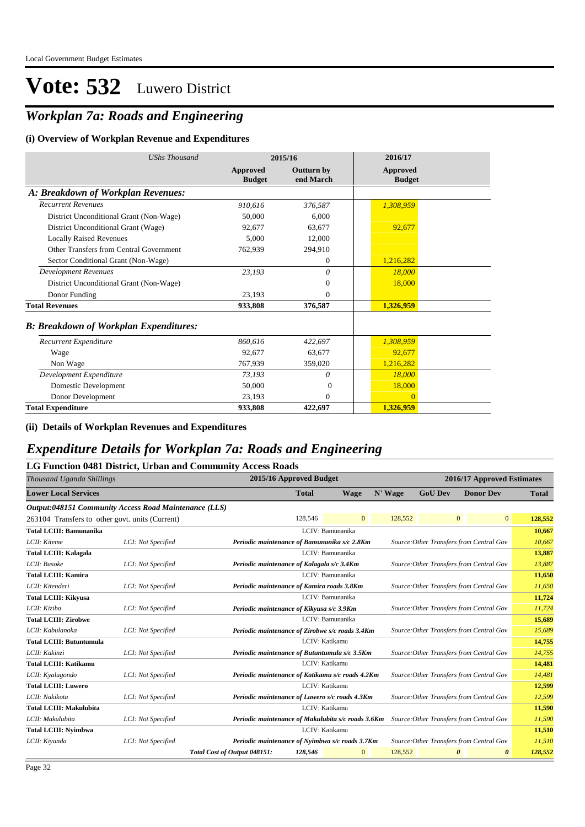### *Workplan 7a: Roads and Engineering*

#### **(i) Overview of Workplan Revenue and Expenditures**

| <b>UShs Thousand</b>                          |                           | 2015/16                        | 2016/17                          |
|-----------------------------------------------|---------------------------|--------------------------------|----------------------------------|
|                                               | Approved<br><b>Budget</b> | <b>Outturn by</b><br>end March | <b>Approved</b><br><b>Budget</b> |
| A: Breakdown of Workplan Revenues:            |                           |                                |                                  |
| <b>Recurrent Revenues</b>                     | 910,616                   | 376,587                        | 1,308,959                        |
| District Unconditional Grant (Non-Wage)       | 50,000                    | 6,000                          |                                  |
| District Unconditional Grant (Wage)           | 92,677                    | 63,677                         | 92,677                           |
| <b>Locally Raised Revenues</b>                | 5.000                     | 12.000                         |                                  |
| Other Transfers from Central Government       | 762,939                   | 294,910                        |                                  |
| Sector Conditional Grant (Non-Wage)           |                           | $\Omega$                       | 1,216,282                        |
| <b>Development Revenues</b>                   | 23,193                    | 0                              | 18,000                           |
| District Unconditional Grant (Non-Wage)       |                           | $\Omega$                       | 18,000                           |
| Donor Funding                                 | 23.193                    | $\Omega$                       |                                  |
| <b>Total Revenues</b>                         | 933,808                   | 376,587                        | 1,326,959                        |
| <b>B: Breakdown of Workplan Expenditures:</b> |                           |                                |                                  |
| Recurrent Expenditure                         | 860,616                   | 422,697                        | 1,308,959                        |
| Wage                                          | 92,677                    | 63,677                         | 92,677                           |
| Non Wage                                      | 767,939                   | 359,020                        | 1,216,282                        |
| Development Expenditure                       | 73,193                    | 0                              | 18,000                           |
| Domestic Development                          | 50,000                    | $\Omega$                       | 18,000                           |
| Donor Development                             | 23,193                    | $\Omega$                       | $\Omega$                         |
| <b>Total Expenditure</b>                      | 933,808                   | 422,697                        | 1,326,959                        |

**(ii) Details of Workplan Revenues and Expenditures**

#### *Expenditure Details for Workplan 7a: Roads and Engineering*

#### **LG Function 0481 District, Urban and Community Access Roads**

| 2015/16 Approved Budget<br>2016/17 Approved Estimates<br>Thousand Uganda Shillings |                    |                                                    |                |                  |         |                |                                                |              |
|------------------------------------------------------------------------------------|--------------------|----------------------------------------------------|----------------|------------------|---------|----------------|------------------------------------------------|--------------|
| <b>Lower Local Services</b>                                                        |                    |                                                    | <b>Total</b>   | <b>Wage</b>      | N' Wage | <b>GoU Dev</b> | <b>Donor Dev</b>                               | <b>Total</b> |
| Output:048151 Community Access Road Maintenance (LLS)                              |                    |                                                    |                |                  |         |                |                                                |              |
| 263104 Transfers to other govt. units (Current)                                    |                    |                                                    | 128,546        | $\overline{0}$   | 128,552 |                | $\overline{0}$<br>$\mathbf{0}$                 | 128,552      |
| <b>Total LCIII: Bamunanika</b>                                                     |                    |                                                    |                | LCIV: Bamunanika |         |                |                                                | 10,667       |
| LCII: Kiteme                                                                       | LCI: Not Specified | Periodic maintenance of Bamunanika s/c 2.8Km       |                |                  |         |                | Source: Other Transfers from Central Gov       | 10,667       |
| <b>Total LCIII: Kalagala</b>                                                       |                    |                                                    |                | LCIV: Bamunanika |         |                |                                                | 13,887       |
| LCII: Busoke                                                                       | LCI: Not Specified | Periodic maintenance of Kalagala s/c 3.4Km         |                |                  |         |                | Source: Other Transfers from Central Gov       | 13,887       |
| <b>Total LCIII: Kamira</b>                                                         |                    |                                                    |                | LCIV: Bamunanika |         |                |                                                | 11,650       |
| LCII: Kitenderi                                                                    | LCI: Not Specified | Periodic maintenance of Kamira roads 3.8Km         |                |                  |         |                | Source: Other Transfers from Central Gov       | 11,650       |
| <b>Total LCIII: Kikyusa</b>                                                        |                    |                                                    |                | LCIV: Bamunanika |         |                |                                                | 11,724       |
| LCII: Kiziba                                                                       | LCI: Not Specified | Periodic maintenance of Kikyusa s/c 3.9Km          |                |                  |         |                | Source: Other Transfers from Central Gov       | 11,724       |
| <b>Total LCIII: Zirobwe</b>                                                        |                    |                                                    |                | LCIV: Bamunanika |         |                |                                                | 15,689       |
| LCII: Kabulanaka                                                                   | LCI: Not Specified | Periodic maintenance of Zirobwe s/c roads 3.4Km    |                |                  |         |                | Source: Other Transfers from Central Gov       | 15,689       |
| <b>Total LCIII: Butuntumula</b>                                                    |                    |                                                    | LCIV: Katikamu |                  |         |                |                                                | 14,755       |
| LCII: Kakinzi                                                                      | LCI: Not Specified | Periodic maintenance of Butuntumula s/c 3.5Km      |                |                  |         |                | Source: Other Transfers from Central Gov       | 14,755       |
| <b>Total LCIII: Katikamu</b>                                                       |                    |                                                    | LCIV: Katikamu |                  |         |                |                                                | 14,481       |
| LCII: Kyalugondo                                                                   | LCI: Not Specified | Periodic maintenance of Katikamu s/c roads 4.2Km   |                |                  |         |                | Source: Other Transfers from Central Gov       | 14,481       |
| <b>Total LCIII: Luwero</b>                                                         |                    |                                                    | LCIV: Katikamu |                  |         |                |                                                | 12,599       |
| LCII: Nakikota                                                                     | LCI: Not Specified | Periodic maintenance of Luwero s/c roads 4.3Km     |                |                  |         |                | Source: Other Transfers from Central Gov       | 12,599       |
| <b>Total LCIII: Makulubita</b>                                                     |                    |                                                    | LCIV: Katikamu |                  |         |                |                                                | 11,590       |
| LCII: Makulubita                                                                   | LCI: Not Specified | Periodic maintenance of Makulubita s/c roads 3.6Km |                |                  |         |                | Source: Other Transfers from Central Gov       | 11,590       |
| <b>Total LCIII: Nyimbwa</b>                                                        |                    |                                                    | LCIV: Katikamu |                  |         |                |                                                | 11,510       |
| LCII: Kiyanda                                                                      | LCI: Not Specified | Periodic maintenance of Nyimbwa s/c roads 3.7Km    |                |                  |         |                | Source: Other Transfers from Central Gov       | 11,510       |
|                                                                                    |                    | Total Cost of Output 048151:                       | 128,546        | $\overline{0}$   | 128,552 |                | $\boldsymbol{\theta}$<br>$\boldsymbol{\theta}$ | 128,552      |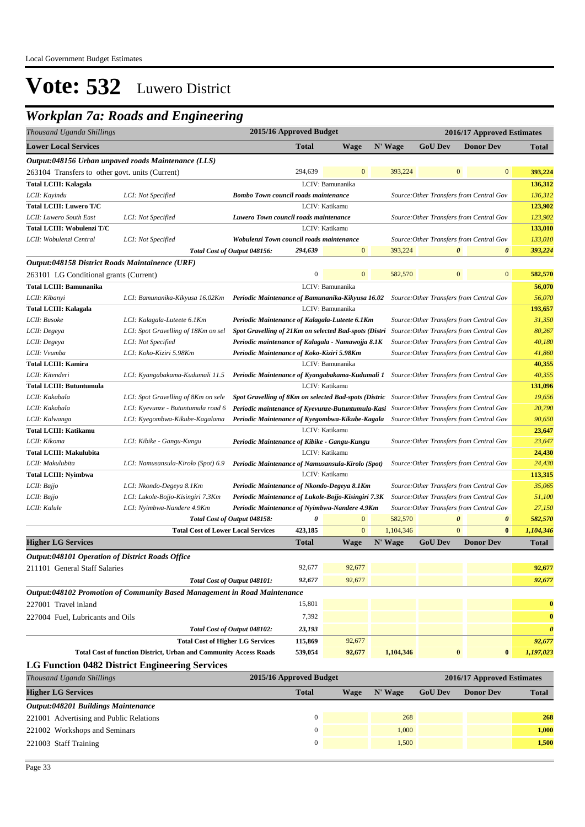#### *Workplan 7a: Roads and Engineering*

|                                                                                                                                       |                                                                                                                            |                                                                                                                 | 2015/16 Approved Budget                                                                                          |                  |           |                       |                                                                   |                       |  |  |
|---------------------------------------------------------------------------------------------------------------------------------------|----------------------------------------------------------------------------------------------------------------------------|-----------------------------------------------------------------------------------------------------------------|------------------------------------------------------------------------------------------------------------------|------------------|-----------|-----------------------|-------------------------------------------------------------------|-----------------------|--|--|
| Thousand Uganda Shillings<br><b>Lower Local Services</b>                                                                              |                                                                                                                            |                                                                                                                 |                                                                                                                  |                  |           | <b>GoU</b> Dev        | 2016/17 Approved Estimates                                        |                       |  |  |
|                                                                                                                                       |                                                                                                                            |                                                                                                                 | <b>Total</b>                                                                                                     | <b>Wage</b>      | N' Wage   |                       | <b>Donor Dev</b>                                                  | <b>Total</b>          |  |  |
|                                                                                                                                       | Output:048156 Urban unpaved roads Maintenance (LLS)                                                                        |                                                                                                                 |                                                                                                                  |                  |           |                       |                                                                   |                       |  |  |
| 263104 Transfers to other govt. units (Current)                                                                                       |                                                                                                                            |                                                                                                                 | 294,639                                                                                                          | $\mathbf{0}$     | 393,224   | $\mathbf{0}$          | $\mathbf{0}$                                                      | 393,224               |  |  |
| <b>Total LCIII: Kalagala</b>                                                                                                          |                                                                                                                            |                                                                                                                 |                                                                                                                  | LCIV: Bamunanika |           |                       |                                                                   | 136,312               |  |  |
| LCII: Kayindu                                                                                                                         | LCI: Not Specified                                                                                                         | <b>Bombo Town council roads maintenance</b>                                                                     |                                                                                                                  |                  |           |                       | Source: Other Transfers from Central Gov                          | 136,312               |  |  |
| <b>Total LCIII: Luwero T/C</b>                                                                                                        |                                                                                                                            |                                                                                                                 |                                                                                                                  | LCIV: Katikamu   |           |                       |                                                                   | 123,902               |  |  |
| LCII: Luwero South East                                                                                                               | LCI: Not Specified                                                                                                         | Luwero Town council roads maintenance                                                                           |                                                                                                                  |                  |           |                       | Source: Other Transfers from Central Gov                          | 123,902               |  |  |
| Total LCIII: Wobulenzi T/C                                                                                                            |                                                                                                                            |                                                                                                                 |                                                                                                                  | LCIV: Katikamu   |           |                       |                                                                   | 133,010               |  |  |
| LCII: Wobulenzi Central                                                                                                               | LCI: Not Specified                                                                                                         | Wobulenzi Town council roads maintenance<br>Total Cost of Output 048156:                                        | 294,639                                                                                                          | $\boldsymbol{0}$ |           | $\pmb{\theta}$        | Source: Other Transfers from Central Gov<br>$\boldsymbol{\theta}$ | 133,010               |  |  |
|                                                                                                                                       |                                                                                                                            |                                                                                                                 |                                                                                                                  |                  | 393,224   |                       |                                                                   | 393,224               |  |  |
| Output:048158 District Roads Maintainence (URF)                                                                                       |                                                                                                                            |                                                                                                                 | $\boldsymbol{0}$                                                                                                 | $\mathbf{0}$     | 582,570   | $\boldsymbol{0}$      | $\boldsymbol{0}$                                                  | 582,570               |  |  |
| 263101 LG Conditional grants (Current)                                                                                                |                                                                                                                            |                                                                                                                 |                                                                                                                  |                  |           |                       |                                                                   |                       |  |  |
| <b>Total LCIII: Bamunanika</b>                                                                                                        |                                                                                                                            |                                                                                                                 |                                                                                                                  | LCIV: Bamunanika |           |                       |                                                                   | 56,070                |  |  |
| LCII: Kibanyi                                                                                                                         | LCI: Bamunanika-Kikyusa 16.02Km Periodic Maintenance of Bamunanika-Kikyusa 16.02                                           |                                                                                                                 |                                                                                                                  |                  |           |                       | Source: Other Transfers from Central Gov                          | 56,070                |  |  |
| <b>Total LCIII: Kalagala</b>                                                                                                          |                                                                                                                            |                                                                                                                 |                                                                                                                  | LCIV: Bamunanika |           |                       |                                                                   | 193,657               |  |  |
| LCII: Busoke                                                                                                                          | LCI: Kalagala-Luteete 6.1Km                                                                                                | Periodic Maintenance of Kalagala-Luteete 6.1Km                                                                  |                                                                                                                  |                  |           |                       | Source: Other Transfers from Central Gov                          | 31,350                |  |  |
| LCII: Degeya                                                                                                                          | LCI: Spot Gravelling of 18Km on sel                                                                                        | Spot Gravelling of 21Km on selected Bad-spots (Distri                                                           |                                                                                                                  |                  |           |                       | Source: Other Transfers from Central Gov                          | 80,267                |  |  |
| LCII: Degeya                                                                                                                          | LCI: Not Specified                                                                                                         | Periodic maintenance of Kalagala - Namawojja 8.1K                                                               |                                                                                                                  |                  |           |                       | Source: Other Transfers from Central Gov                          | 40,180                |  |  |
| LCII: Vvumba                                                                                                                          | LCI: Koko-Kiziri 5.98Km                                                                                                    | Periodic Maintenance of Koko-Kiziri 5.98Km                                                                      |                                                                                                                  |                  |           |                       | Source: Other Transfers from Central Gov                          | 41,860<br>40,355      |  |  |
| <b>Total LCIII: Kamira</b>                                                                                                            |                                                                                                                            | LCIV: Bamunanika<br>Periodic Maintenance of Kyangabakama-Kudumali 1 Source: Other Transfers from Central Gov    |                                                                                                                  |                  |           |                       |                                                                   |                       |  |  |
| LCII: Kitenderi                                                                                                                       | LCI: Kyangabakama-Kudumali 11.5                                                                                            |                                                                                                                 |                                                                                                                  |                  |           |                       |                                                                   | 40,355<br>131,096     |  |  |
| <b>Total LCIII: Butuntumula</b><br>LCII: Kakabala                                                                                     |                                                                                                                            |                                                                                                                 | LCIV: Katikamu<br>Spot Gravelling of 8Km on selected Bad-spots (Distric Source: Other Transfers from Central Gov |                  |           |                       |                                                                   |                       |  |  |
| LCII: Kakabala                                                                                                                        | LCI: Spot Gravelling of 8Km on sele<br>LCI: Kyevunze - Butuntumula road 6                                                  | Periodic maintenance of Kyevunze-Butuntumula-Kasi Source: Other Transfers from Central Gov                      |                                                                                                                  |                  |           |                       |                                                                   |                       |  |  |
| LCII: Kalwanga                                                                                                                        | LCI: Kyegombwa-Kikube-Kagalama<br>Periodic Maintenance of Kyegombwa-Kikube-Kagala Source: Other Transfers from Central Gov |                                                                                                                 |                                                                                                                  |                  |           |                       |                                                                   |                       |  |  |
| LCIV: Katikamu<br>Total LCIII: Katikamu                                                                                               |                                                                                                                            |                                                                                                                 |                                                                                                                  |                  |           |                       |                                                                   |                       |  |  |
| LCII: Kikoma<br>Periodic Maintenance of Kibike - Gangu-Kungu<br>LCI: Kibike - Gangu-Kungu<br>Source: Other Transfers from Central Gov |                                                                                                                            |                                                                                                                 |                                                                                                                  |                  |           |                       |                                                                   |                       |  |  |
| <b>Total LCIII: Makulubita</b>                                                                                                        |                                                                                                                            |                                                                                                                 |                                                                                                                  |                  |           |                       |                                                                   |                       |  |  |
| LCII: Makulubita                                                                                                                      | LCI: Namusansula-Kirolo (Spot) 6.9                                                                                         | LCIV: Katikamu<br>Periodic Maintenance of Namusansula-Kirolo (Spot)<br>Source: Other Transfers from Central Gov |                                                                                                                  |                  |           |                       |                                                                   |                       |  |  |
| <b>Total LCIII: Nyimbwa</b>                                                                                                           |                                                                                                                            |                                                                                                                 |                                                                                                                  | LCIV: Katikamu   |           |                       |                                                                   | 24,430<br>113,315     |  |  |
| LCII: Bajjo                                                                                                                           | LCI: Nkondo-Degeya 8.1Km                                                                                                   | Periodic Maintenance of Nkondo-Degeya 8.1Km                                                                     |                                                                                                                  |                  |           |                       | Source: Other Transfers from Central Gov                          | 35,065                |  |  |
| LCII: Bajjo                                                                                                                           | LCI: Lukole-Bojjo-Kisingiri 7.3Km                                                                                          | Periodic Maintenance of Lukole-Bojjo-Kisingiri 7.3K                                                             |                                                                                                                  |                  |           |                       | Source: Other Transfers from Central Gov                          | 51,100                |  |  |
| LCII: Kalule                                                                                                                          | LCI: Nyimbwa-Nandere 4.9Km                                                                                                 | Periodic Maintenance of Nyimbwa-Nandere 4.9Km                                                                   |                                                                                                                  |                  |           |                       | Source: Other Transfers from Central Gov                          | 27,150                |  |  |
|                                                                                                                                       |                                                                                                                            | Total Cost of Output 048158:                                                                                    | 0                                                                                                                | $\mathbf{0}$     | 582,570   | $\boldsymbol{\theta}$ | $\boldsymbol{\theta}$                                             | 582,570               |  |  |
|                                                                                                                                       | <b>Total Cost of Lower Local Services</b>                                                                                  |                                                                                                                 | 423,185                                                                                                          | $\mathbf{0}$     | 1,104,346 | $\overline{0}$        | $\bf{0}$                                                          | 1,104,346             |  |  |
| <b>Higher LG Services</b>                                                                                                             |                                                                                                                            |                                                                                                                 | <b>Total</b>                                                                                                     | <b>Wage</b>      | N' Wage   | <b>GoU Dev</b>        | <b>Donor Dev</b>                                                  | <b>Total</b>          |  |  |
| <i><b>Output:048101 Operation of District Roads Office</b></i>                                                                        |                                                                                                                            |                                                                                                                 |                                                                                                                  |                  |           |                       |                                                                   |                       |  |  |
| 211101 General Staff Salaries                                                                                                         |                                                                                                                            |                                                                                                                 | 92,677                                                                                                           | 92,677           |           |                       |                                                                   | 92,677                |  |  |
|                                                                                                                                       |                                                                                                                            | Total Cost of Output 048101:                                                                                    | 92,677                                                                                                           | 92,677           |           |                       |                                                                   | 92,677                |  |  |
|                                                                                                                                       | Output:048102 Promotion of Community Based Management in Road Maintenance                                                  |                                                                                                                 |                                                                                                                  |                  |           |                       |                                                                   |                       |  |  |
|                                                                                                                                       |                                                                                                                            |                                                                                                                 | 15,801                                                                                                           |                  |           |                       |                                                                   |                       |  |  |
| 227001 Travel inland                                                                                                                  |                                                                                                                            |                                                                                                                 |                                                                                                                  |                  |           |                       |                                                                   | $\bf{0}$              |  |  |
| 227004 Fuel, Lubricants and Oils                                                                                                      |                                                                                                                            |                                                                                                                 | 7,392                                                                                                            |                  |           |                       |                                                                   | $\bf{0}$              |  |  |
|                                                                                                                                       |                                                                                                                            | Total Cost of Output 048102:                                                                                    | 23,193                                                                                                           |                  |           |                       |                                                                   | $\boldsymbol{\theta}$ |  |  |
|                                                                                                                                       | <b>Total Cost of Higher LG Services</b>                                                                                    |                                                                                                                 | 115,869                                                                                                          | 92,677           |           |                       |                                                                   | 92,677                |  |  |
|                                                                                                                                       | <b>Total Cost of function District, Urban and Community Access Roads</b>                                                   |                                                                                                                 | 539,054                                                                                                          | 92,677           | 1,104,346 | $\bf{0}$              | $\bf{0}$                                                          | 1,197,023             |  |  |
|                                                                                                                                       | <b>LG Function 0482 District Engineering Services</b>                                                                      |                                                                                                                 |                                                                                                                  |                  |           |                       |                                                                   |                       |  |  |
| Thousand Uganda Shillings                                                                                                             |                                                                                                                            |                                                                                                                 | 2015/16 Approved Budget                                                                                          |                  |           |                       | 2016/17 Approved Estimates                                        |                       |  |  |
| <b>Higher LG Services</b>                                                                                                             |                                                                                                                            |                                                                                                                 | <b>Total</b>                                                                                                     | <b>Wage</b>      | N' Wage   | <b>GoU Dev</b>        | <b>Donor Dev</b>                                                  | <b>Total</b>          |  |  |
| Output:048201 Buildings Maintenance                                                                                                   |                                                                                                                            |                                                                                                                 |                                                                                                                  |                  |           |                       |                                                                   |                       |  |  |
| 221001 Advertising and Public Relations                                                                                               |                                                                                                                            |                                                                                                                 | $\mathbf{0}$                                                                                                     |                  | 268       |                       |                                                                   | 268                   |  |  |
| 221002 Workshops and Seminars                                                                                                         |                                                                                                                            |                                                                                                                 | $\mathbf{0}$                                                                                                     |                  | 1,000     |                       |                                                                   | 1,000                 |  |  |
| 221003 Staff Training                                                                                                                 |                                                                                                                            |                                                                                                                 | $\boldsymbol{0}$                                                                                                 |                  | 1,500     |                       |                                                                   | 1,500                 |  |  |
|                                                                                                                                       |                                                                                                                            |                                                                                                                 |                                                                                                                  |                  |           |                       |                                                                   |                       |  |  |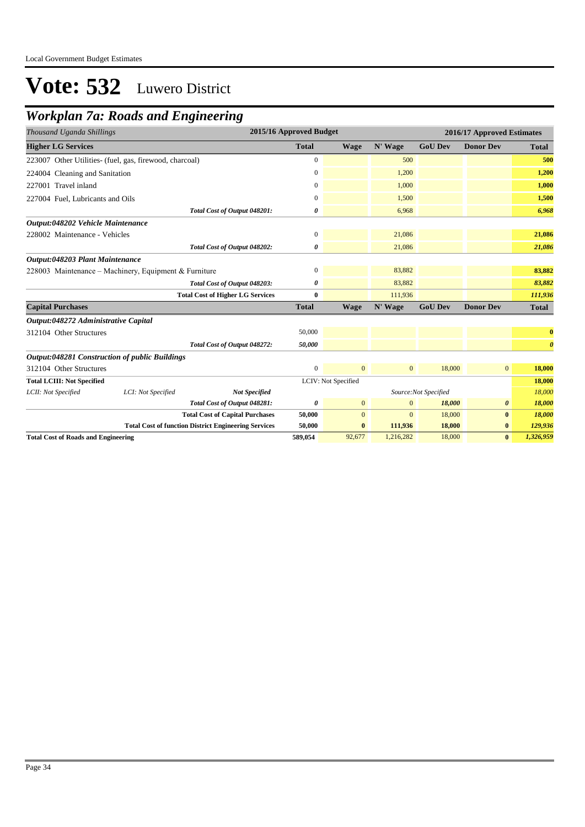## *Workplan 7a: Roads and Engineering*

| Thousand Uganda Shillings                             |                                                         |                                                             | 2015/16 Approved Budget |                     |                | 2016/17 Approved Estimates |                       |                       |
|-------------------------------------------------------|---------------------------------------------------------|-------------------------------------------------------------|-------------------------|---------------------|----------------|----------------------------|-----------------------|-----------------------|
| <b>Higher LG Services</b>                             |                                                         |                                                             | <b>Total</b>            | <b>Wage</b>         | N' Wage        | <b>GoU Dev</b>             | <b>Donor Dev</b>      | <b>Total</b>          |
|                                                       | 223007 Other Utilities- (fuel, gas, firewood, charcoal) |                                                             | $\overline{0}$          |                     | 500            |                            |                       | 500                   |
| 224004 Cleaning and Sanitation                        |                                                         |                                                             | 0                       |                     | 1,200          |                            |                       | 1,200                 |
| 227001 Travel inland                                  |                                                         |                                                             | $\mathbf{0}$            |                     | 1,000          |                            |                       | 1,000                 |
| 227004 Fuel, Lubricants and Oils                      |                                                         |                                                             | $\mathbf{0}$            |                     | 1,500          |                            |                       | 1,500                 |
|                                                       |                                                         | Total Cost of Output 048201:                                | 0                       |                     | 6,968          |                            |                       | 6,968                 |
| Output:048202 Vehicle Maintenance                     |                                                         |                                                             |                         |                     |                |                            |                       |                       |
| 228002 Maintenance - Vehicles                         |                                                         |                                                             | $\boldsymbol{0}$        |                     | 21,086         |                            |                       | 21,086                |
|                                                       |                                                         | Total Cost of Output 048202:                                | 0                       |                     | 21,086         |                            |                       | 21,086                |
| Output:048203 Plant Maintenance                       |                                                         |                                                             |                         |                     |                |                            |                       |                       |
| 228003 Maintenance - Machinery, Equipment & Furniture |                                                         |                                                             | $\mathbf{0}$            |                     | 83,882         |                            |                       | 83,882                |
|                                                       |                                                         | Total Cost of Output 048203:                                | 0                       |                     | 83,882         |                            |                       | 83,882                |
|                                                       |                                                         | <b>Total Cost of Higher LG Services</b>                     | 0                       |                     | 111,936        |                            |                       | 111,936               |
| <b>Capital Purchases</b>                              |                                                         |                                                             | <b>Total</b>            | <b>Wage</b>         | N' Wage        | <b>GoU Dev</b>             | <b>Donor Dev</b>      | <b>Total</b>          |
| Output:048272 Administrative Capital                  |                                                         |                                                             |                         |                     |                |                            |                       |                       |
| 312104 Other Structures                               |                                                         |                                                             | 50,000                  |                     |                |                            |                       | $\bf{0}$              |
|                                                       |                                                         | Total Cost of Output 048272:                                | 50,000                  |                     |                |                            |                       | $\boldsymbol{\theta}$ |
|                                                       | Output:048281 Construction of public Buildings          |                                                             |                         |                     |                |                            |                       |                       |
| 312104 Other Structures                               |                                                         |                                                             | $\mathbf{0}$            | $\overline{0}$      | $\overline{0}$ | 18,000                     | $\overline{0}$        | 18,000                |
| <b>Total LCIII: Not Specified</b>                     |                                                         |                                                             |                         | LCIV: Not Specified |                |                            |                       | 18,000                |
| LCII: Not Specified                                   | LCI: Not Specified                                      | <b>Not Specified</b>                                        |                         |                     |                | Source:Not Specified       |                       | 18,000                |
|                                                       |                                                         | Total Cost of Output 048281:                                | 0                       | $\overline{0}$      | $\mathbf{0}$   | 18,000                     | $\boldsymbol{\theta}$ | 18,000                |
|                                                       |                                                         | <b>Total Cost of Capital Purchases</b>                      | 50,000                  | $\mathbf{0}$        | $\mathbf{0}$   | 18,000                     | $\bf{0}$              | 18,000                |
|                                                       |                                                         | <b>Total Cost of function District Engineering Services</b> | 50,000                  | $\bf{0}$            | 111,936        | 18,000                     | $\bf{0}$              | 129,936               |
| <b>Total Cost of Roads and Engineering</b>            |                                                         |                                                             | 589,054                 | 92,677              | 1,216,282      | 18,000                     | $\bf{0}$              | 1,326,959             |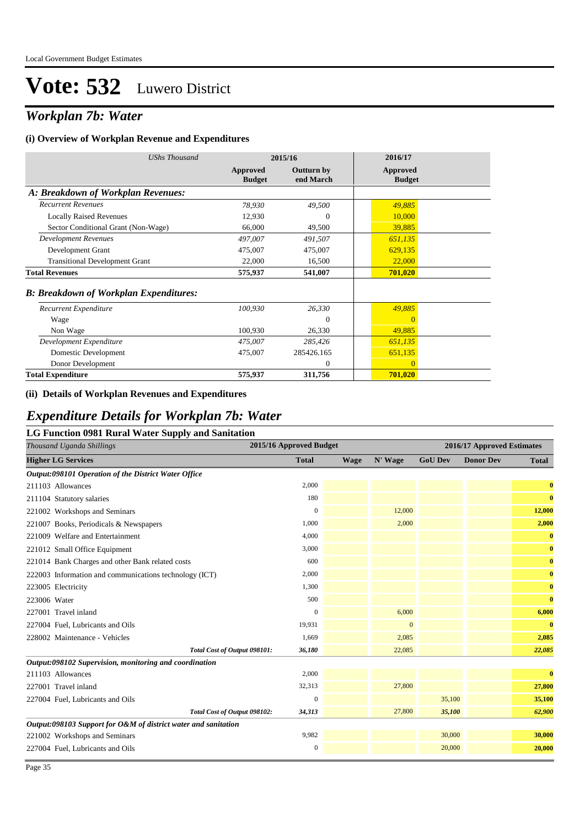### *Workplan 7b: Water*

#### **(i) Overview of Workplan Revenue and Expenditures**

| <b>UShs Thousand</b>                          |                           | 2015/16                        | 2016/17                   |
|-----------------------------------------------|---------------------------|--------------------------------|---------------------------|
|                                               | Approved<br><b>Budget</b> | <b>Outturn by</b><br>end March | Approved<br><b>Budget</b> |
| A: Breakdown of Workplan Revenues:            |                           |                                |                           |
| <b>Recurrent Revenues</b>                     | 78,930                    | 49,500                         | 49,885                    |
| <b>Locally Raised Revenues</b>                | 12,930                    | $\theta$                       | 10,000                    |
| Sector Conditional Grant (Non-Wage)           | 66,000                    | 49,500                         | 39,885                    |
| <b>Development Revenues</b>                   | 497,007                   | 491,507                        | 651,135                   |
| Development Grant                             | 475,007                   | 475,007                        | 629,135                   |
| <b>Transitional Development Grant</b>         | 22,000                    | 16,500                         | 22,000                    |
| <b>Total Revenues</b>                         | 575,937                   | 541,007                        | 701,020                   |
| <b>B: Breakdown of Workplan Expenditures:</b> |                           |                                |                           |
| Recurrent Expenditure                         | 100,930                   | 26,330                         | 49,885                    |
| Wage                                          |                           | $\theta$                       | $\mathbf{0}$              |
| Non Wage                                      | 100,930                   | 26,330                         | 49,885                    |
| Development Expenditure                       | 475,007                   | 285,426                        | 651,135                   |
| Domestic Development                          | 475,007                   | 285426.165                     | 651,135                   |
| Donor Development                             |                           | $\Omega$                       | $\Omega$                  |
| <b>Total Expenditure</b>                      | 575,937                   | 311,756                        | 701,020                   |

#### **(ii) Details of Workplan Revenues and Expenditures**

#### *Expenditure Details for Workplan 7b: Water*

#### **LG Function 0981 Rural Water Supply and Sanitation**

| Thousand Uganda Shillings                                      | 2015/16 Approved Budget |      |                |                | 2016/17 Approved Estimates |              |
|----------------------------------------------------------------|-------------------------|------|----------------|----------------|----------------------------|--------------|
| <b>Higher LG Services</b>                                      | <b>Total</b>            | Wage | N' Wage        | <b>GoU Dev</b> | <b>Donor Dev</b>           | <b>Total</b> |
| Output:098101 Operation of the District Water Office           |                         |      |                |                |                            |              |
| 211103 Allowances                                              | 2,000                   |      |                |                |                            | $\bf{0}$     |
| 211104 Statutory salaries                                      | 180                     |      |                |                |                            | $\bf{0}$     |
| 221002 Workshops and Seminars                                  | $\theta$                |      | 12,000         |                |                            | 12,000       |
| 221007 Books, Periodicals & Newspapers                         | 1,000                   |      | 2,000          |                |                            | 2,000        |
| 221009 Welfare and Entertainment                               | 4,000                   |      |                |                |                            | $\bf{0}$     |
| 221012 Small Office Equipment                                  | 3,000                   |      |                |                |                            | $\bf{0}$     |
| 221014 Bank Charges and other Bank related costs               | 600                     |      |                |                |                            | $\bf{0}$     |
| 222003 Information and communications technology (ICT)         | 2,000                   |      |                |                |                            | $\bf{0}$     |
| 223005 Electricity                                             | 1.300                   |      |                |                |                            | $\bf{0}$     |
| 223006 Water                                                   | 500                     |      |                |                |                            | $\bf{0}$     |
| 227001 Travel inland                                           | $\overline{0}$          |      | 6,000          |                |                            | 6,000        |
| 227004 Fuel, Lubricants and Oils                               | 19.931                  |      | $\overline{0}$ |                |                            | $\bf{0}$     |
| 228002 Maintenance - Vehicles                                  | 1.669                   |      | 2,085          |                |                            | 2,085        |
| Total Cost of Output 098101:                                   | 36,180                  |      | 22,085         |                |                            | 22,085       |
| Output:098102 Supervision, monitoring and coordination         |                         |      |                |                |                            |              |
| 211103 Allowances                                              | 2,000                   |      |                |                |                            | $\bf{0}$     |
| 227001 Travel inland                                           | 32,313                  |      | 27,800         |                |                            | 27,800       |
| 227004 Fuel, Lubricants and Oils                               | $\mathbf{0}$            |      |                | 35,100         |                            | 35,100       |
| Total Cost of Output 098102:                                   | 34,313                  |      | 27,800         | 35,100         |                            | 62,900       |
| Output:098103 Support for O&M of district water and sanitation |                         |      |                |                |                            |              |
| 221002 Workshops and Seminars                                  | 9,982                   |      |                | 30,000         |                            | 30,000       |
| 227004 Fuel, Lubricants and Oils                               | $\boldsymbol{0}$        |      |                | 20,000         |                            | 20,000       |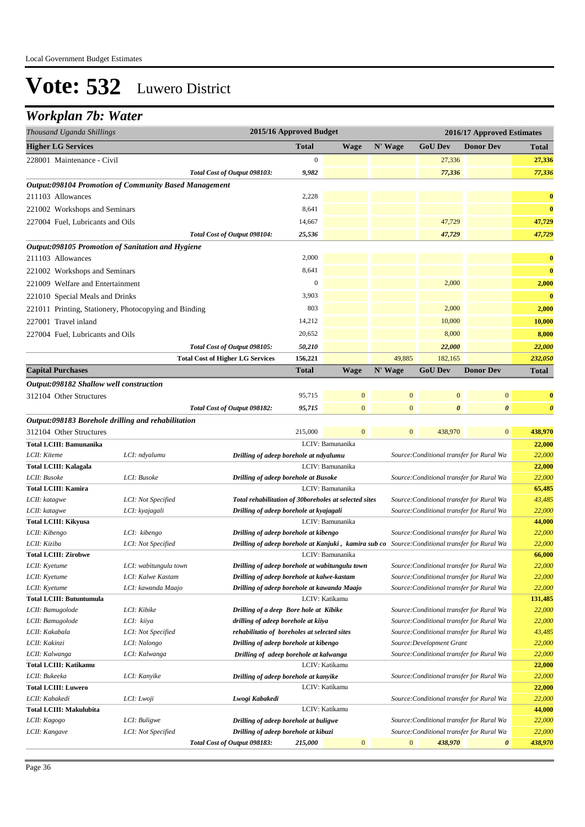#### *Workplan 7b: Water*

| Thousand Uganda Shillings                                    |                                         |                                                                                                | 2015/16 Approved Budget |                  |                  |                                                                                        | 2016/17 Approved Estimates |                       |
|--------------------------------------------------------------|-----------------------------------------|------------------------------------------------------------------------------------------------|-------------------------|------------------|------------------|----------------------------------------------------------------------------------------|----------------------------|-----------------------|
| <b>Higher LG Services</b>                                    |                                         |                                                                                                | <b>Total</b>            | Wage             | N' Wage          | <b>GoU Dev</b>                                                                         | <b>Donor Dev</b>           | Total                 |
| 228001 Maintenance - Civil                                   |                                         |                                                                                                | $\boldsymbol{0}$        |                  |                  | 27,336                                                                                 |                            | 27,336                |
|                                                              |                                         | Total Cost of Output 098103:                                                                   | 9,982                   |                  |                  | 77,336                                                                                 |                            | 77,336                |
| <b>Output:098104 Promotion of Community Based Management</b> |                                         |                                                                                                |                         |                  |                  |                                                                                        |                            |                       |
| 211103 Allowances                                            |                                         |                                                                                                | 2,228                   |                  |                  |                                                                                        |                            | $\bf{0}$              |
| 221002 Workshops and Seminars                                |                                         |                                                                                                | 8,641                   |                  |                  |                                                                                        |                            | $\bf{0}$              |
| 227004 Fuel, Lubricants and Oils                             |                                         |                                                                                                | 14,667                  |                  |                  | 47,729                                                                                 |                            | 47,729                |
|                                                              |                                         | Total Cost of Output 098104:                                                                   | 25,536                  |                  |                  | 47,729                                                                                 |                            | 47,729                |
| Output:098105 Promotion of Sanitation and Hygiene            |                                         |                                                                                                |                         |                  |                  |                                                                                        |                            |                       |
| 211103 Allowances                                            |                                         |                                                                                                | 2,000                   |                  |                  |                                                                                        |                            | $\bf{0}$              |
| 221002 Workshops and Seminars                                |                                         |                                                                                                | 8,641                   |                  |                  |                                                                                        |                            | $\bf{0}$              |
|                                                              |                                         |                                                                                                | $\boldsymbol{0}$        |                  |                  | 2,000                                                                                  |                            |                       |
| 221009 Welfare and Entertainment                             |                                         |                                                                                                |                         |                  |                  |                                                                                        |                            | 2,000                 |
| 221010 Special Meals and Drinks                              |                                         |                                                                                                | 3,903                   |                  |                  |                                                                                        |                            | $\bf{0}$              |
| 221011 Printing, Stationery, Photocopying and Binding        |                                         |                                                                                                | 803                     |                  |                  | 2,000                                                                                  |                            | 2,000                 |
| 227001 Travel inland                                         |                                         |                                                                                                | 14,212                  |                  |                  | 10,000                                                                                 |                            | 10,000                |
| 227004 Fuel, Lubricants and Oils                             |                                         |                                                                                                | 20,652                  |                  |                  | 8,000                                                                                  |                            | 8,000                 |
|                                                              |                                         | Total Cost of Output 098105:                                                                   | 50,210                  |                  |                  | 22,000                                                                                 |                            | 22,000                |
|                                                              |                                         | <b>Total Cost of Higher LG Services</b>                                                        | 156,221                 |                  | 49,885           | 182,165                                                                                |                            | 232,050               |
| <b>Capital Purchases</b>                                     |                                         |                                                                                                | Total                   | <b>Wage</b>      | N' Wage          | <b>GoU</b> Dev                                                                         | <b>Donor Dev</b>           | Total                 |
| Output:098182 Shallow well construction                      |                                         |                                                                                                |                         |                  |                  |                                                                                        |                            |                       |
| 312104 Other Structures                                      |                                         |                                                                                                | 95,715                  | $\mathbf{0}$     | $\mathbf{0}$     | $\boldsymbol{0}$                                                                       | $\mathbf{0}$               | $\bf{0}$              |
|                                                              |                                         | Total Cost of Output 098182:                                                                   | 95,715                  | $\overline{0}$   | $\overline{0}$   | 0                                                                                      | $\boldsymbol{\theta}$      | $\boldsymbol{\theta}$ |
| Output:098183 Borehole drilling and rehabilitation           |                                         |                                                                                                |                         |                  |                  |                                                                                        |                            |                       |
| 312104 Other Structures                                      |                                         |                                                                                                | 215,000                 | $\overline{0}$   | $\mathbf{0}$     | 438,970                                                                                | $\mathbf{0}$               | 438,970               |
| <b>Total LCIII: Bamunanika</b>                               |                                         |                                                                                                |                         | LCIV: Bamunanika |                  |                                                                                        |                            | 22,000                |
| LCII: Kiteme                                                 | LCI: ndyalumu                           | Drilling of adeep borehole at ndyalumu                                                         |                         |                  |                  | Source: Conditional transfer for Rural Wa                                              |                            | 22,000                |
| Total LCIII: Kalagala                                        |                                         |                                                                                                |                         | LCIV: Bamunanika |                  |                                                                                        |                            | 22,000                |
| LCII: Busoke                                                 | LCI: Busoke                             | Drilling of adeep borehole at Busoke                                                           |                         |                  |                  | Source: Conditional transfer for Rural Wa                                              |                            | 22,000                |
| <b>Total LCIII: Kamira</b>                                   |                                         |                                                                                                |                         | LCIV: Bamunanika |                  |                                                                                        |                            | 65,485                |
| LCII: katagwe                                                | LCI: Not Specified                      | Total rehabilitation of 30boreholes at selected sites                                          |                         |                  |                  | Source: Conditional transfer for Rural Wa                                              |                            | 43,485                |
| LCII: katagwe                                                | LCI: kyajagali                          | Drilling of adeep borehole at kyajagali                                                        |                         |                  |                  | Source: Conditional transfer for Rural Wa                                              |                            | 22,000                |
| <b>Total LCIII: Kikyusa</b>                                  |                                         |                                                                                                |                         | LCIV: Bamunanika |                  |                                                                                        |                            | 44,000                |
| LCII: Kibengo                                                | LCI: kibengo                            | Drilling of adeep borehole at kibengo                                                          |                         |                  |                  | Source: Conditional transfer for Rural Wa                                              |                            | 22,000                |
| LCII: Kiziba                                                 | LCI: Not Specified                      | Drilling of adeep borehole at Kanjuki, kamira sub co Source: Conditional transfer for Rural Wa |                         |                  |                  |                                                                                        |                            | 22,000                |
| <b>Total LCIII: Zirobwe</b>                                  |                                         |                                                                                                |                         | LCIV: Bamunanika |                  |                                                                                        |                            | 66,000                |
| LCII: Kyetume                                                | LCI: wabitungulu town                   | Drilling of adeep borehole at wabitungulu town                                                 |                         |                  |                  | Source: Conditional transfer for Rural Wa                                              |                            | 22,000                |
| LCII: Kyetume<br>LCII: Kyetume                               | LCI: Kalwe Kastam<br>LCI: kawanda Maajo | Drilling of adeep borehole at kalwe-kastam<br>Drilling of adeep borehole at kawanda Maajo      |                         |                  |                  | Source: Conditional transfer for Rural Wa<br>Source: Conditional transfer for Rural Wa |                            | 22,000<br>22,000      |
| <b>Total LCIII: Butuntumula</b>                              |                                         |                                                                                                |                         | LCIV: Katikamu   |                  |                                                                                        |                            | 131,485               |
| LCII: Bamugolode                                             | LCI: Kibike                             | Drilling of a deep Bore hole at Kibike                                                         |                         |                  |                  | Source: Conditional transfer for Rural Wa                                              |                            | 22,000                |
| LCII: Bamugolode                                             | LCI: kiiya                              | drilling of adeep borehole at kiiya                                                            |                         |                  |                  | Source: Conditional transfer for Rural Wa                                              |                            | 22,000                |
| LCII: Kakabala                                               | LCI: Not Specified                      | rehabilitatio of boreholes at selected sites                                                   |                         |                  |                  | Source: Conditional transfer for Rural Wa                                              |                            | 43,485                |
| LCII: Kakinzi                                                | LCI: Nalongo                            | Drilling of adeep borehole at kibengo                                                          |                         |                  |                  | Source: Development Grant                                                              |                            | 22,000                |
| LCII: Kalwanga                                               | LCI: Kalwanga                           | Drilling of adeep borehole at kalwanga                                                         |                         |                  |                  | Source: Conditional transfer for Rural Wa                                              |                            | 22,000                |
| Total LCIII: Katikamu                                        |                                         |                                                                                                |                         | LCIV: Katikamu   |                  |                                                                                        |                            | 22,000                |
| LCII: Bukeeka                                                | LCI: Kanvike                            | Drilling of adeep borehole at kanyike                                                          |                         |                  |                  | Source: Conditional transfer for Rural Wa                                              |                            | 22,000                |
| <b>Total LCIII: Luwero</b>                                   |                                         |                                                                                                |                         | LCIV: Katikamu   |                  |                                                                                        |                            | 22,000                |
| LCII: Kabakedi                                               | LCI: Lwoji                              | Lwogi Kabakedi                                                                                 |                         |                  |                  | Source: Conditional transfer for Rural Wa                                              |                            | 22,000                |
| <b>Total LCIII: Makulubita</b>                               |                                         |                                                                                                |                         | LCIV: Katikamu   |                  |                                                                                        |                            | 44,000                |
| LCII: Kagogo                                                 | LCI: Buligwe                            | Drilling of adeep borehole at buligwe                                                          |                         |                  |                  | Source: Conditional transfer for Rural Wa                                              |                            | 22,000                |
| LCII: Kangave                                                | LCI: Not Specified                      | Drilling of adeep borehole at kibuzi                                                           |                         |                  |                  | Source: Conditional transfer for Rural Wa                                              |                            | 22,000                |
|                                                              |                                         | Total Cost of Output 098183:                                                                   | 215,000                 | $\bf{0}$         | $\boldsymbol{0}$ | 438,970                                                                                | $\boldsymbol{\theta}$      | 438,970               |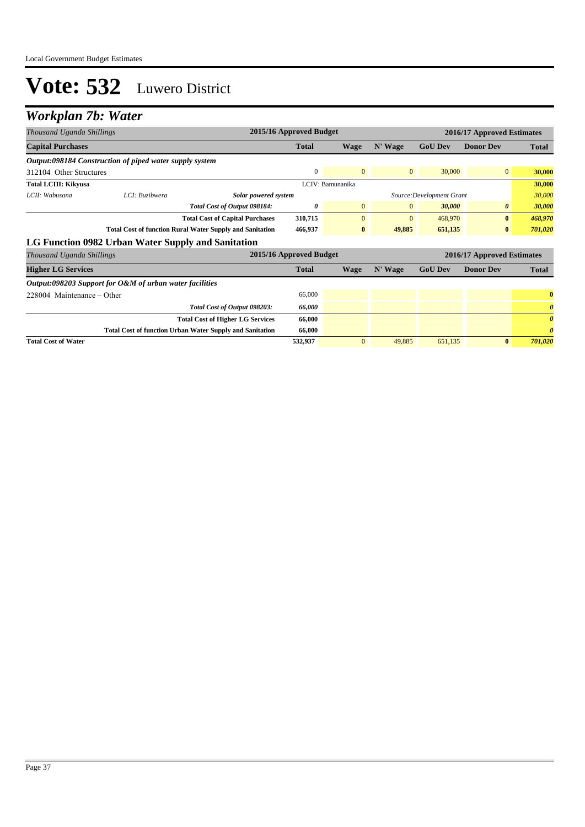#### *Workplan 7b: Water*

| Thousand Uganda Shillings                               |                                                                 |                                                                 | 2015/16 Approved Budget |                  |                | 2016/17 Approved Estimates |                            |                       |  |
|---------------------------------------------------------|-----------------------------------------------------------------|-----------------------------------------------------------------|-------------------------|------------------|----------------|----------------------------|----------------------------|-----------------------|--|
| <b>Capital Purchases</b>                                |                                                                 |                                                                 | <b>Total</b>            | <b>Wage</b>      | N' Wage        | <b>GoU Dev</b>             | <b>Donor Dev</b>           | <b>Total</b>          |  |
| Output:098184 Construction of piped water supply system |                                                                 |                                                                 |                         |                  |                |                            |                            |                       |  |
| 312104 Other Structures                                 |                                                                 |                                                                 | $\mathbf{0}$            | $\overline{0}$   | $\mathbf{0}$   | 30,000                     | $\overline{0}$             | 30,000                |  |
| <b>Total LCIII: Kikyusa</b>                             |                                                                 |                                                                 |                         | LCIV: Bamunanika |                |                            |                            | 30,000                |  |
| LCII: Wabusana                                          | LCI: Buzibwera                                                  | Solar powered system                                            |                         |                  |                | Source: Development Grant  |                            | 30,000                |  |
|                                                         |                                                                 | Total Cost of Output 098184:                                    | 0                       | $\mathbf{0}$     | $\overline{0}$ | 30,000                     | 0                          | 30,000                |  |
|                                                         |                                                                 | <b>Total Cost of Capital Purchases</b>                          | 310,715                 | $\mathbf{0}$     | $\mathbf{0}$   | 468,970                    | $\bf{0}$                   | 468,970               |  |
|                                                         | <b>Total Cost of function Rural Water Supply and Sanitation</b> |                                                                 | 466,937                 | $\bf{0}$         | 49,885         | 651,135                    | $\bf{0}$                   | 701,020               |  |
| LG Function 0982 Urban Water Supply and Sanitation      |                                                                 |                                                                 |                         |                  |                |                            |                            |                       |  |
| Thousand Uganda Shillings                               |                                                                 |                                                                 | 2015/16 Approved Budget |                  |                |                            | 2016/17 Approved Estimates |                       |  |
| <b>Higher LG Services</b>                               |                                                                 |                                                                 | <b>Total</b>            | Wage             | N' Wage        | <b>GoU Dev</b>             | <b>Donor Dev</b>           | <b>Total</b>          |  |
| Output:098203 Support for O&M of urban water facilities |                                                                 |                                                                 |                         |                  |                |                            |                            |                       |  |
| 228004 Maintenance – Other                              |                                                                 |                                                                 | 66,000                  |                  |                |                            |                            | $\bf{0}$              |  |
|                                                         |                                                                 | Total Cost of Output 098203:                                    | 66,000                  |                  |                |                            |                            | $\boldsymbol{\theta}$ |  |
|                                                         |                                                                 | <b>Total Cost of Higher LG Services</b>                         | 66,000                  |                  |                |                            |                            | $\boldsymbol{\theta}$ |  |
|                                                         |                                                                 | <b>Total Cost of function Urban Water Supply and Sanitation</b> | 66,000                  |                  |                |                            |                            | $\theta$              |  |
| <b>Total Cost of Water</b>                              |                                                                 |                                                                 | 532,937                 | $\overline{0}$   | 49,885         | 651,135                    | $\mathbf{0}$               | 701,020               |  |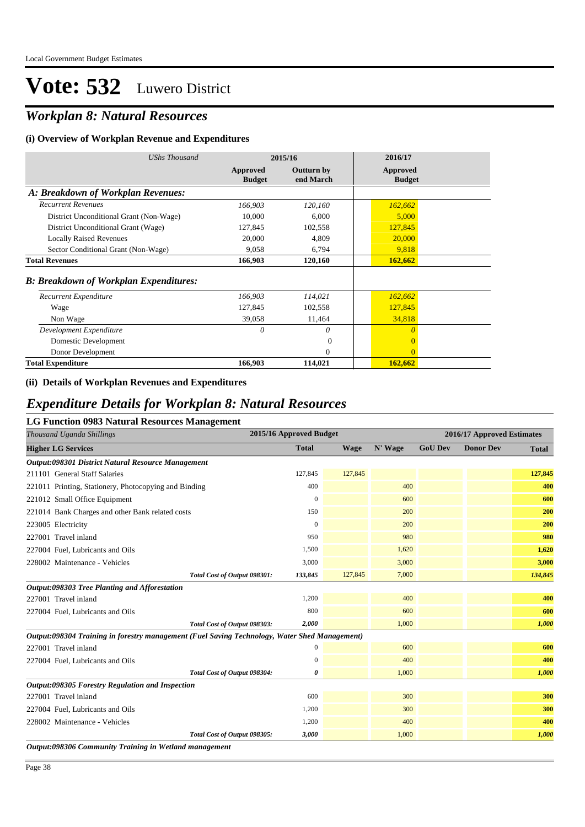### *Workplan 8: Natural Resources*

#### **(i) Overview of Workplan Revenue and Expenditures**

| UShs Thousand                                 | 2015/16                   |                         | 2016/17                   |
|-----------------------------------------------|---------------------------|-------------------------|---------------------------|
|                                               | Approved<br><b>Budget</b> | Outturn by<br>end March | Approved<br><b>Budget</b> |
| A: Breakdown of Workplan Revenues:            |                           |                         |                           |
| <b>Recurrent Revenues</b>                     | 166,903                   | 120,160                 | 162,662                   |
| District Unconditional Grant (Non-Wage)       | 10,000                    | 6,000                   | 5,000                     |
| District Unconditional Grant (Wage)           | 127,845                   | 102,558                 | 127,845                   |
| <b>Locally Raised Revenues</b>                | 20,000                    | 4,809                   | 20,000                    |
| Sector Conditional Grant (Non-Wage)           | 9,058                     | 6,794                   | 9,818                     |
| <b>Total Revenues</b>                         | 166,903                   | 120,160                 | 162,662                   |
| <b>B: Breakdown of Workplan Expenditures:</b> |                           |                         |                           |
| Recurrent Expenditure                         | 166,903                   | 114,021                 | 162,662                   |
| Wage                                          | 127,845                   | 102,558                 | 127,845                   |
| Non Wage                                      | 39,058                    | 11,464                  | 34,818                    |
| Development Expenditure                       | 0                         | 0                       | $\theta$                  |
| Domestic Development                          |                           | $\Omega$                | $\Omega$                  |
| Donor Development                             |                           | $\Omega$                | $\Omega$                  |
| <b>Total Expenditure</b>                      | 166,903                   | 114,021                 | 162,662                   |

#### **(ii) Details of Workplan Revenues and Expenditures**

### *Expenditure Details for Workplan 8: Natural Resources*

#### **LG Function 0983 Natural Resources Management**

| Thousand Uganda Shillings                                                                     | 2015/16 Approved Budget |             | 2016/17 Approved Estimates |                |                  |              |
|-----------------------------------------------------------------------------------------------|-------------------------|-------------|----------------------------|----------------|------------------|--------------|
| <b>Higher LG Services</b>                                                                     | <b>Total</b>            | <b>Wage</b> | N' Wage                    | <b>GoU Dev</b> | <b>Donor Dev</b> | <b>Total</b> |
| Output:098301 District Natural Resource Management                                            |                         |             |                            |                |                  |              |
| 211101 General Staff Salaries                                                                 | 127,845                 | 127,845     |                            |                |                  | 127,845      |
| 221011 Printing, Stationery, Photocopying and Binding                                         | 400                     |             | 400                        |                |                  | 400          |
| 221012 Small Office Equipment                                                                 | $\theta$                |             | 600                        |                |                  | 600          |
| 221014 Bank Charges and other Bank related costs                                              | 150                     |             | 200                        |                |                  | 200          |
| 223005 Electricity                                                                            | $\overline{0}$          |             | 200                        |                |                  | 200          |
| 227001 Travel inland                                                                          | 950                     |             | 980                        |                |                  | 980          |
| 227004 Fuel, Lubricants and Oils                                                              | 1,500                   |             | 1,620                      |                |                  | 1,620        |
| 228002 Maintenance - Vehicles                                                                 | 3,000                   |             | 3,000                      |                |                  | 3,000        |
| Total Cost of Output 098301:                                                                  | 133,845                 | 127,845     | 7,000                      |                |                  | 134,845      |
| Output:098303 Tree Planting and Afforestation                                                 |                         |             |                            |                |                  |              |
| 227001 Travel inland                                                                          | 1,200                   |             | 400                        |                |                  | 400          |
| 227004 Fuel, Lubricants and Oils                                                              | 800                     |             | 600                        |                |                  | 600          |
| Total Cost of Output 098303:                                                                  | 2,000                   |             | 1,000                      |                |                  | 1,000        |
| Output:098304 Training in forestry management (Fuel Saving Technology, Water Shed Management) |                         |             |                            |                |                  |              |
| 227001 Travel inland                                                                          | $\mathbf{0}$            |             | 600                        |                |                  | 600          |
| 227004 Fuel, Lubricants and Oils                                                              | $\mathbf{0}$            |             | 400                        |                |                  | 400          |
| Total Cost of Output 098304:                                                                  | 0                       |             | 1,000                      |                |                  | 1,000        |
| Output:098305 Forestry Regulation and Inspection                                              |                         |             |                            |                |                  |              |
| 227001 Travel inland                                                                          | 600                     |             | 300                        |                |                  | 300          |
| 227004 Fuel, Lubricants and Oils                                                              | 1,200                   |             | 300                        |                |                  | 300          |
| 228002 Maintenance - Vehicles                                                                 | 1,200                   |             | 400                        |                |                  | 400          |
| Total Cost of Output 098305:                                                                  | 3,000                   |             | 1,000                      |                |                  | 1,000        |
| Output:098306 Community Training in Wetland management                                        |                         |             |                            |                |                  |              |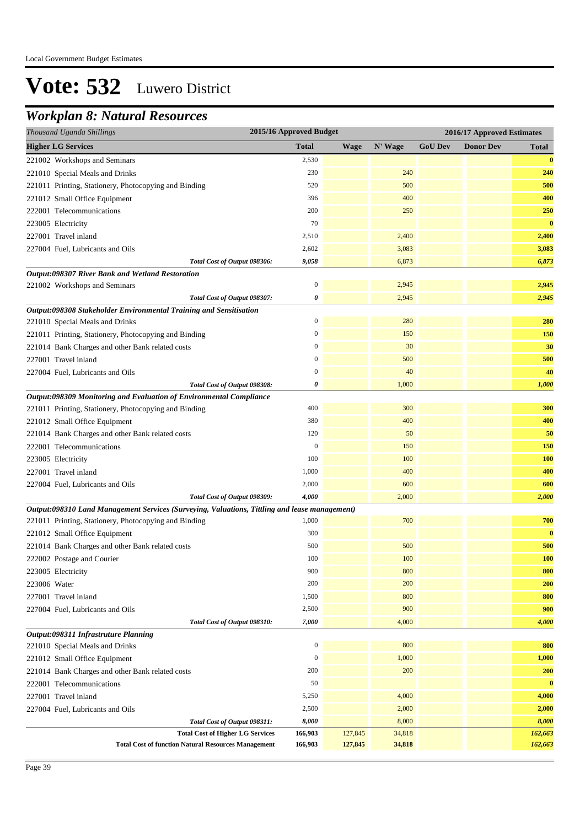### *Workplan 8: Natural Resources*

| Thousand Uganda Shillings                                                                     | 2015/16 Approved Budget<br>2016/17 Approved Estimates |             |         |                |                  |              |
|-----------------------------------------------------------------------------------------------|-------------------------------------------------------|-------------|---------|----------------|------------------|--------------|
| <b>Higher LG Services</b>                                                                     | <b>Total</b>                                          | <b>Wage</b> | N' Wage | <b>GoU Dev</b> | <b>Donor Dev</b> | <b>Total</b> |
| 221002 Workshops and Seminars                                                                 | 2,530                                                 |             |         |                |                  | $\bf{0}$     |
| 221010 Special Meals and Drinks                                                               | 230                                                   |             | 240     |                |                  | 240          |
| 221011 Printing, Stationery, Photocopying and Binding                                         | 520                                                   |             | 500     |                |                  | 500          |
| 221012 Small Office Equipment                                                                 | 396                                                   |             | 400     |                |                  | 400          |
| 222001 Telecommunications                                                                     | 200                                                   |             | 250     |                |                  | 250          |
| 223005 Electricity                                                                            | 70                                                    |             |         |                |                  | $\bf{0}$     |
| 227001 Travel inland                                                                          | 2,510                                                 |             | 2,400   |                |                  | 2,400        |
| 227004 Fuel, Lubricants and Oils                                                              | 2,602                                                 |             | 3,083   |                |                  | 3,083        |
| Total Cost of Output 098306:                                                                  | 9,058                                                 |             | 6,873   |                |                  | 6,873        |
| Output:098307 River Bank and Wetland Restoration                                              |                                                       |             |         |                |                  |              |
| 221002 Workshops and Seminars                                                                 | $\boldsymbol{0}$                                      |             | 2,945   |                |                  | 2,945        |
| Total Cost of Output 098307:                                                                  | 0                                                     |             | 2,945   |                |                  | 2,945        |
| Output:098308 Stakeholder Environmental Training and Sensitisation                            |                                                       |             |         |                |                  |              |
| 221010 Special Meals and Drinks                                                               | $\mathbf{0}$                                          |             | 280     |                |                  | 280          |
| 221011 Printing, Stationery, Photocopying and Binding                                         | $\mathbf{0}$                                          |             | 150     |                |                  | 150          |
| 221014 Bank Charges and other Bank related costs                                              | $\boldsymbol{0}$                                      |             | 30      |                |                  | 30           |
| 227001 Travel inland                                                                          | $\boldsymbol{0}$                                      |             | 500     |                |                  | 500          |
| 227004 Fuel, Lubricants and Oils                                                              | $\boldsymbol{0}$                                      |             | 40      |                |                  | 40           |
| Total Cost of Output 098308:                                                                  | $\boldsymbol{\theta}$                                 |             | 1,000   |                |                  | 1,000        |
| Output:098309 Monitoring and Evaluation of Environmental Compliance                           |                                                       |             |         |                |                  |              |
| 221011 Printing, Stationery, Photocopying and Binding                                         | 400                                                   |             | 300     |                |                  | 300          |
| 221012 Small Office Equipment                                                                 | 380                                                   |             | 400     |                |                  | 400          |
| 221014 Bank Charges and other Bank related costs                                              | 120                                                   |             | 50      |                |                  | 50           |
| 222001 Telecommunications                                                                     | $\mathbf{0}$                                          |             | 150     |                |                  | 150          |
| 223005 Electricity                                                                            | 100                                                   |             | 100     |                |                  | <b>100</b>   |
| 227001 Travel inland                                                                          | 1,000                                                 |             | 400     |                |                  | 400          |
| 227004 Fuel, Lubricants and Oils                                                              | 2,000                                                 |             | 600     |                |                  | 600          |
| Total Cost of Output 098309:                                                                  | 4,000                                                 |             | 2,000   |                |                  | 2,000        |
| Output:098310 Land Management Services (Surveying, Valuations, Tittling and lease management) |                                                       |             |         |                |                  |              |
| 221011 Printing, Stationery, Photocopying and Binding                                         | 1,000                                                 |             | 700     |                |                  | 700          |
| 221012 Small Office Equipment                                                                 | 300                                                   |             |         |                |                  | $\bf{0}$     |
| 221014 Bank Charges and other Bank related costs                                              | 500                                                   |             | 500     |                |                  | 500          |
| 222002 Postage and Courier                                                                    | 100                                                   |             | 100     |                |                  | <b>100</b>   |
| 223005 Electricity                                                                            | 900                                                   |             | 800     |                |                  | 800          |
| 223006 Water                                                                                  | 200                                                   |             | 200     |                |                  | 200          |
| 227001 Travel inland                                                                          | 1,500                                                 |             | 800     |                |                  | 800          |
| 227004 Fuel, Lubricants and Oils                                                              | 2,500                                                 |             | 900     |                |                  | 900          |
| Total Cost of Output 098310:                                                                  | 7,000                                                 |             | 4,000   |                |                  | 4,000        |
| Output:098311 Infrastruture Planning                                                          |                                                       |             |         |                |                  |              |
| 221010 Special Meals and Drinks                                                               | $\mathbf{0}$                                          |             | 800     |                |                  | 800          |
| 221012 Small Office Equipment                                                                 | $\mathbf{0}$                                          |             | 1,000   |                |                  | 1,000        |
| 221014 Bank Charges and other Bank related costs                                              | 200                                                   |             | 200     |                |                  | 200          |
| 222001 Telecommunications                                                                     | 50                                                    |             |         |                |                  | $\bf{0}$     |
| 227001 Travel inland                                                                          | 5,250                                                 |             | 4,000   |                |                  | 4,000        |
| 227004 Fuel, Lubricants and Oils                                                              | 2,500                                                 |             | 2,000   |                |                  | 2,000        |
| Total Cost of Output 098311:                                                                  | 8,000                                                 |             | 8,000   |                |                  | 8,000        |
| <b>Total Cost of Higher LG Services</b>                                                       | 166,903                                               | 127,845     | 34,818  |                |                  | 162,663      |
| <b>Total Cost of function Natural Resources Management</b>                                    | 166,903                                               | 127,845     | 34,818  |                |                  | 162,663      |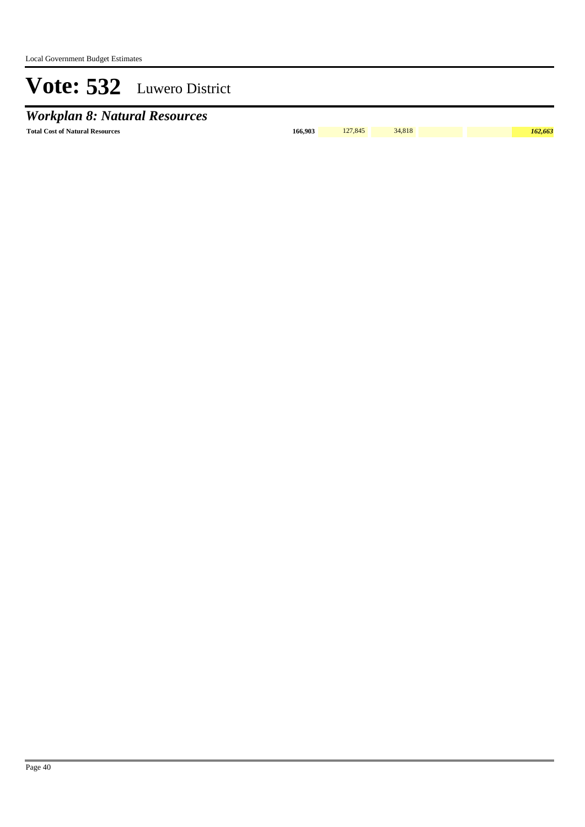## *Workplan 8: Natural Resources*

**Total Cost of Natural Resources 166,903** 127,845 34,818 *162,663*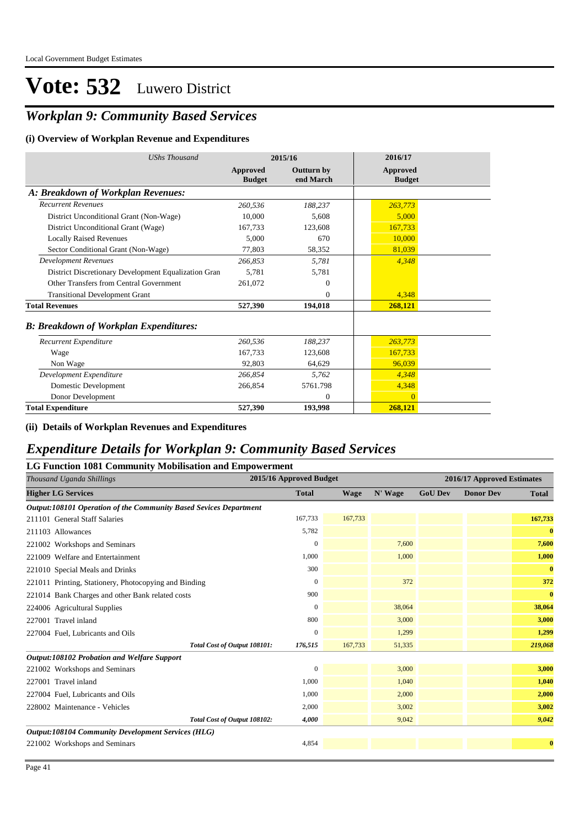### *Workplan 9: Community Based Services*

#### **(i) Overview of Workplan Revenue and Expenditures**

| <b>UShs Thousand</b>                                 | 2015/16                          |                                | 2016/17                   |
|------------------------------------------------------|----------------------------------|--------------------------------|---------------------------|
|                                                      | <b>Approved</b><br><b>Budget</b> | <b>Outturn by</b><br>end March | Approved<br><b>Budget</b> |
| A: Breakdown of Workplan Revenues:                   |                                  |                                |                           |
| <b>Recurrent Revenues</b>                            | 260,536                          | 188,237                        | 263,773                   |
| District Unconditional Grant (Non-Wage)              | 10,000                           | 5,608                          | 5,000                     |
| District Unconditional Grant (Wage)                  | 167,733                          | 123,608                        | 167,733                   |
| <b>Locally Raised Revenues</b>                       | 5,000                            | 670                            | 10,000                    |
| Sector Conditional Grant (Non-Wage)                  | 77,803                           | 58,352                         | 81,039                    |
| <b>Development Revenues</b>                          | 266.853                          | 5,781                          | 4,348                     |
| District Discretionary Development Equalization Gran | 5.781                            | 5.781                          |                           |
| Other Transfers from Central Government              | 261,072                          | $\Omega$                       |                           |
| <b>Transitional Development Grant</b>                |                                  | $\Omega$                       | 4,348                     |
| <b>Total Revenues</b>                                | 527,390                          | 194,018                        | 268,121                   |
| <b>B: Breakdown of Workplan Expenditures:</b>        |                                  |                                |                           |
| Recurrent Expenditure                                | 260,536                          | 188,237                        | 263,773                   |
| Wage                                                 | 167.733                          | 123,608                        | 167,733                   |
| Non Wage                                             | 92,803                           | 64,629                         | 96.039                    |
| Development Expenditure                              | 266,854                          | 5,762                          | 4,348                     |
| Domestic Development                                 | 266,854                          | 5761.798                       | 4,348                     |
| Donor Development                                    |                                  | $\theta$                       | $\Omega$                  |
| <b>Total Expenditure</b>                             | 527,390                          | 193,998                        | 268,121                   |

#### **(ii) Details of Workplan Revenues and Expenditures**

#### *Expenditure Details for Workplan 9: Community Based Services*

#### **LG Function 1081 Community Mobilisation and Empowerment**

| Thousand Uganda Shillings                                         | 2015/16 Approved Budget |             |         |                | 2016/17 Approved Estimates |              |  |  |
|-------------------------------------------------------------------|-------------------------|-------------|---------|----------------|----------------------------|--------------|--|--|
| <b>Higher LG Services</b>                                         | <b>Total</b>            | <b>Wage</b> | N' Wage | <b>GoU Dev</b> | <b>Donor Dev</b>           | <b>Total</b> |  |  |
| Output:108101 Operation of the Community Based Sevices Department |                         |             |         |                |                            |              |  |  |
| 211101 General Staff Salaries                                     | 167,733                 | 167,733     |         |                |                            | 167,733      |  |  |
| 211103 Allowances                                                 | 5,782                   |             |         |                |                            | $\bf{0}$     |  |  |
| 221002 Workshops and Seminars                                     | $\mathbf{0}$            |             | 7,600   |                |                            | 7,600        |  |  |
| 221009 Welfare and Entertainment                                  | 1,000                   |             | 1,000   |                |                            | 1,000        |  |  |
| 221010 Special Meals and Drinks                                   | 300                     |             |         |                |                            | $\bf{0}$     |  |  |
| 221011 Printing, Stationery, Photocopying and Binding             | $\mathbf{0}$            |             | 372     |                |                            | 372          |  |  |
| 221014 Bank Charges and other Bank related costs                  | 900                     |             |         |                |                            | $\bf{0}$     |  |  |
| 224006 Agricultural Supplies                                      | $\mathbf{0}$            |             | 38,064  |                |                            | 38,064       |  |  |
| 227001 Travel inland                                              | 800                     |             | 3,000   |                |                            | 3,000        |  |  |
| 227004 Fuel, Lubricants and Oils                                  | $\mathbf{0}$            |             | 1,299   |                |                            | 1,299        |  |  |
| Total Cost of Output 108101:                                      | 176,515                 | 167,733     | 51,335  |                |                            | 219,068      |  |  |
| Output:108102 Probation and Welfare Support                       |                         |             |         |                |                            |              |  |  |
| 221002 Workshops and Seminars                                     | $\Omega$                |             | 3,000   |                |                            | 3,000        |  |  |
| 227001 Travel inland                                              | 1,000                   |             | 1,040   |                |                            | 1,040        |  |  |
| 227004 Fuel, Lubricants and Oils                                  | 1,000                   |             | 2,000   |                |                            | 2,000        |  |  |
| 228002 Maintenance - Vehicles                                     | 2,000                   |             | 3,002   |                |                            | 3,002        |  |  |
| Total Cost of Output 108102:                                      | 4,000                   |             | 9,042   |                |                            | 9,042        |  |  |
| Output:108104 Community Development Services (HLG)                |                         |             |         |                |                            |              |  |  |
| 221002 Workshops and Seminars                                     | 4,854                   |             |         |                |                            | $\bf{0}$     |  |  |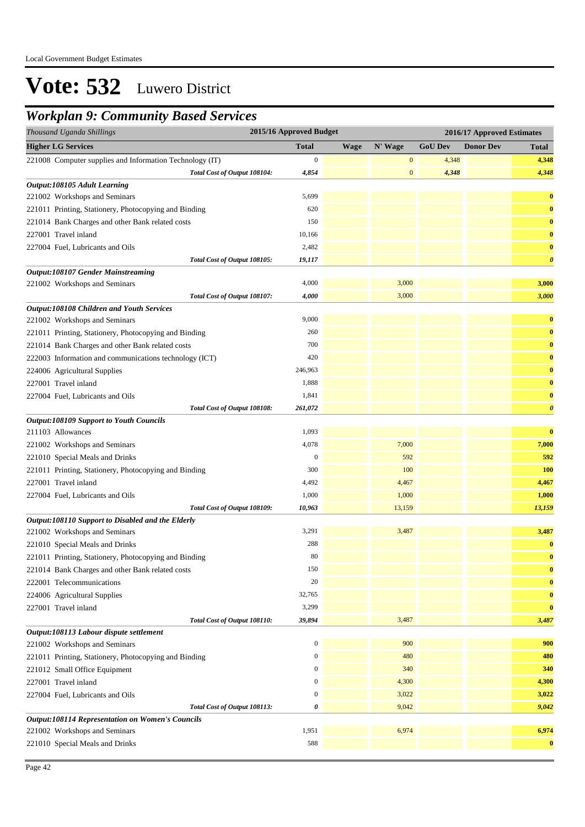### *Workplan 9: Community Based Services*

| Thousand Uganda Shillings                                | 2015/16 Approved Budget |             |                  | 2016/17 Approved Estimates |                  |                       |  |
|----------------------------------------------------------|-------------------------|-------------|------------------|----------------------------|------------------|-----------------------|--|
| <b>Higher LG Services</b>                                | <b>Total</b>            | <b>Wage</b> | N' Wage          | <b>GoU Dev</b>             | <b>Donor Dev</b> | <b>Total</b>          |  |
| 221008 Computer supplies and Information Technology (IT) | $\mathbf{0}$            |             | $\boldsymbol{0}$ | 4,348                      |                  | 4,348                 |  |
| Total Cost of Output 108104:                             | 4,854                   |             | $\boldsymbol{0}$ | 4,348                      |                  | 4,348                 |  |
| Output:108105 Adult Learning                             |                         |             |                  |                            |                  |                       |  |
| 221002 Workshops and Seminars                            | 5,699                   |             |                  |                            |                  | $\bf{0}$              |  |
| 221011 Printing, Stationery, Photocopying and Binding    | 620                     |             |                  |                            |                  | $\bf{0}$              |  |
| 221014 Bank Charges and other Bank related costs         | 150                     |             |                  |                            |                  | $\bf{0}$              |  |
| 227001 Travel inland                                     | 10,166                  |             |                  |                            |                  | $\bf{0}$              |  |
| 227004 Fuel, Lubricants and Oils                         | 2,482                   |             |                  |                            |                  | $\bf{0}$              |  |
| Total Cost of Output 108105:                             | 19,117                  |             |                  |                            |                  | $\boldsymbol{\theta}$ |  |
| Output:108107 Gender Mainstreaming                       |                         |             |                  |                            |                  |                       |  |
| 221002 Workshops and Seminars                            | 4,000                   |             | 3,000            |                            |                  | 3,000                 |  |
| Total Cost of Output 108107:                             | 4,000                   |             | 3,000            |                            |                  | 3,000                 |  |
| Output:108108 Children and Youth Services                |                         |             |                  |                            |                  |                       |  |
| 221002 Workshops and Seminars                            | 9,000                   |             |                  |                            |                  | $\bf{0}$              |  |
| 221011 Printing, Stationery, Photocopying and Binding    | 260                     |             |                  |                            |                  | $\bf{0}$              |  |
| 221014 Bank Charges and other Bank related costs         | 700                     |             |                  |                            |                  | $\bf{0}$              |  |
| 222003 Information and communications technology (ICT)   | 420                     |             |                  |                            |                  | $\bf{0}$              |  |
| 224006 Agricultural Supplies                             | 246,963                 |             |                  |                            |                  | $\bf{0}$              |  |
| 227001 Travel inland                                     | 1,888                   |             |                  |                            |                  | $\bf{0}$              |  |
| 227004 Fuel, Lubricants and Oils                         | 1,841                   |             |                  |                            |                  | $\bf{0}$              |  |
| Total Cost of Output 108108:                             | 261,072                 |             |                  |                            |                  | $\boldsymbol{\theta}$ |  |
| <b>Output:108109 Support to Youth Councils</b>           |                         |             |                  |                            |                  |                       |  |
| 211103 Allowances                                        | 1,093                   |             |                  |                            |                  | $\bf{0}$              |  |
| 221002 Workshops and Seminars                            | 4,078                   |             | 7,000            |                            |                  | 7,000                 |  |
| 221010 Special Meals and Drinks                          | $\mathbf{0}$            |             | 592              |                            |                  | 592                   |  |
| 221011 Printing, Stationery, Photocopying and Binding    | 300                     |             | 100              |                            |                  | <b>100</b>            |  |
| 227001 Travel inland                                     | 4,492                   |             | 4,467            |                            |                  | 4,467                 |  |
| 227004 Fuel, Lubricants and Oils                         | 1,000                   |             | 1,000            |                            |                  | 1,000                 |  |
| Total Cost of Output 108109:                             | 10,963                  |             | 13,159           |                            |                  | 13,159                |  |
| Output:108110 Support to Disabled and the Elderly        |                         |             |                  |                            |                  |                       |  |
| 221002 Workshops and Seminars                            | 3,291                   |             | 3,487            |                            |                  | 3,487                 |  |
| 221010 Special Meals and Drinks                          | 288                     |             |                  |                            |                  | $\bf{0}$              |  |
| 221011 Printing, Stationery, Photocopying and Binding    | 80                      |             |                  |                            |                  | $\bf{0}$              |  |
| 221014 Bank Charges and other Bank related costs         | 150                     |             |                  |                            |                  | $\bf{0}$              |  |
| 222001 Telecommunications                                | 20                      |             |                  |                            |                  | $\bf{0}$              |  |
| 224006 Agricultural Supplies                             | 32,765                  |             |                  |                            |                  | $\bf{0}$              |  |
| 227001 Travel inland                                     | 3,299                   |             |                  |                            |                  | $\bf{0}$              |  |
| Total Cost of Output 108110:                             | 39,894                  |             | 3,487            |                            |                  | 3,487                 |  |
| Output:108113 Labour dispute settlement                  |                         |             |                  |                            |                  |                       |  |
| 221002 Workshops and Seminars                            | $\boldsymbol{0}$        |             | 900              |                            |                  | 900                   |  |
| 221011 Printing, Stationery, Photocopying and Binding    | $\mathbf{0}$            |             | 480              |                            |                  | 480                   |  |
| 221012 Small Office Equipment                            | $\mathbf{0}$            |             | 340              |                            |                  | 340                   |  |
| 227001 Travel inland                                     | $\boldsymbol{0}$        |             | 4,300            |                            |                  | 4,300                 |  |
| 227004 Fuel, Lubricants and Oils                         | $\boldsymbol{0}$        |             | 3,022            |                            |                  | 3,022                 |  |
| Total Cost of Output 108113:                             | 0                       |             | 9,042            |                            |                  | 9,042                 |  |
| <b>Output:108114 Representation on Women's Councils</b>  |                         |             |                  |                            |                  |                       |  |
| 221002 Workshops and Seminars                            | 1,951                   |             | 6,974            |                            |                  | 6,974                 |  |
| 221010 Special Meals and Drinks                          | 588                     |             |                  |                            |                  | $\bf{0}$              |  |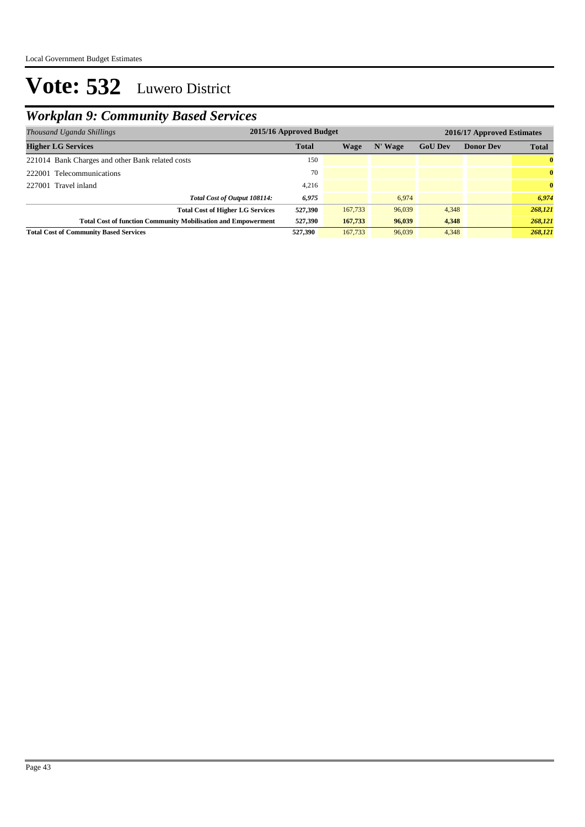## *Workplan 9: Community Based Services*

| 2015/16 Approved Budget<br>Thousand Uganda Shillings                 |              |         |         | 2016/17 Approved Estimates |                  |              |  |
|----------------------------------------------------------------------|--------------|---------|---------|----------------------------|------------------|--------------|--|
| <b>Higher LG Services</b>                                            | <b>Total</b> | Wage    | N' Wage | <b>GoU Dev</b>             | <b>Donor Dev</b> | <b>Total</b> |  |
| 221014 Bank Charges and other Bank related costs                     | 150          |         |         |                            |                  | $\bf{0}$     |  |
| 222001 Telecommunications                                            | 70           |         |         |                            |                  | $\mathbf{0}$ |  |
| 227001 Travel inland                                                 | 4,216        |         |         |                            |                  | $\mathbf{0}$ |  |
| Total Cost of Output 108114:                                         | 6,975        |         | 6.974   |                            |                  | 6,974        |  |
| <b>Total Cost of Higher LG Services</b>                              | 527.390      | 167,733 | 96,039  | 4,348                      |                  | 268,121      |  |
| <b>Total Cost of function Community Mobilisation and Empowerment</b> | 527,390      | 167,733 | 96,039  | 4,348                      |                  | 268,121      |  |
| <b>Total Cost of Community Based Services</b>                        | 527.390      | 167,733 | 96,039  | 4.348                      |                  | 268,121      |  |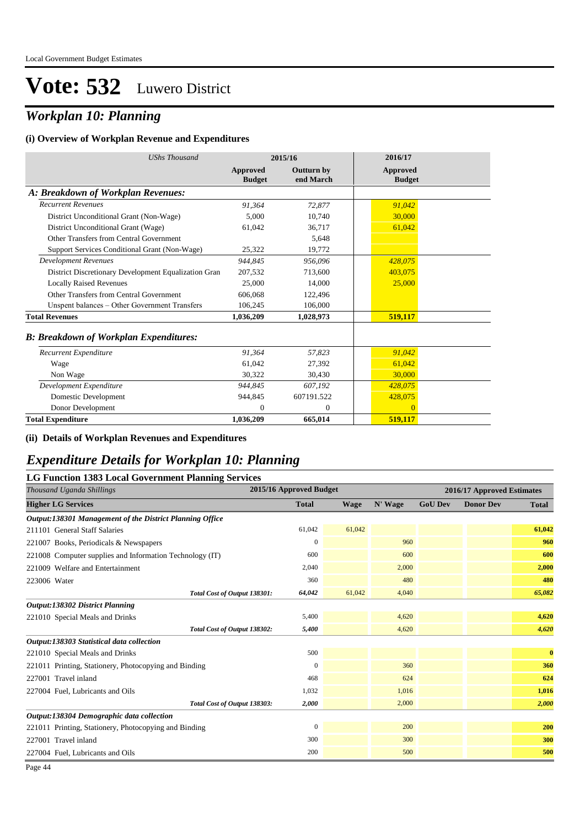### *Workplan 10: Planning*

#### **(i) Overview of Workplan Revenue and Expenditures**

| <b>UShs Thousand</b>                                 | 2015/16                   |                                | 2016/17                   |
|------------------------------------------------------|---------------------------|--------------------------------|---------------------------|
|                                                      | Approved<br><b>Budget</b> | <b>Outturn by</b><br>end March | Approved<br><b>Budget</b> |
| A: Breakdown of Workplan Revenues:                   |                           |                                |                           |
| <b>Recurrent Revenues</b>                            | 91,364                    | 72,877                         | 91,042                    |
| District Unconditional Grant (Non-Wage)              | 5,000                     | 10,740                         | 30,000                    |
| District Unconditional Grant (Wage)                  | 61,042                    | 36,717                         | 61,042                    |
| Other Transfers from Central Government              |                           | 5,648                          |                           |
| Support Services Conditional Grant (Non-Wage)        | 25,322                    | 19,772                         |                           |
| <b>Development Revenues</b>                          | 944.845                   | 956,096                        | 428,075                   |
| District Discretionary Development Equalization Gran | 207,532                   | 713,600                        | 403,075                   |
| <b>Locally Raised Revenues</b>                       | 25,000                    | 14,000                         | 25,000                    |
| Other Transfers from Central Government              | 606,068                   | 122,496                        |                           |
| Unspent balances - Other Government Transfers        | 106,245                   | 106,000                        |                           |
| <b>Total Revenues</b>                                | 1,036,209                 | 1,028,973                      | 519,117                   |
| <b>B: Breakdown of Workplan Expenditures:</b>        |                           |                                |                           |
| Recurrent Expenditure                                | 91,364                    | 57,823                         | 91,042                    |
| Wage                                                 | 61,042                    | 27,392                         | 61,042                    |
| Non Wage                                             | 30,322                    | 30,430                         | 30,000                    |
| Development Expenditure                              | 944,845                   | 607,192                        | 428,075                   |
| Domestic Development                                 | 944,845                   | 607191.522                     | 428,075                   |
| Donor Development                                    | 0                         | $\theta$                       | $\overline{0}$            |
| <b>Total Expenditure</b>                             | 1,036,209                 | 665,014                        | 519,117                   |

**(ii) Details of Workplan Revenues and Expenditures**

#### *Expenditure Details for Workplan 10: Planning*

| <b>LG Function 1383 Local Government Planning Services</b> |                         |             |         |                |                            |              |  |  |  |  |
|------------------------------------------------------------|-------------------------|-------------|---------|----------------|----------------------------|--------------|--|--|--|--|
| Thousand Uganda Shillings                                  | 2015/16 Approved Budget |             |         |                | 2016/17 Approved Estimates |              |  |  |  |  |
| <b>Higher LG Services</b>                                  | <b>Total</b>            | <b>Wage</b> | N' Wage | <b>GoU Dev</b> | <b>Donor Dev</b>           | <b>Total</b> |  |  |  |  |
| Output:138301 Management of the District Planning Office   |                         |             |         |                |                            |              |  |  |  |  |
| 211101 General Staff Salaries                              | 61,042                  | 61,042      |         |                |                            | 61,042       |  |  |  |  |
| 221007 Books, Periodicals & Newspapers                     | $\boldsymbol{0}$        |             | 960     |                |                            | 960          |  |  |  |  |
| 221008 Computer supplies and Information Technology (IT)   | 600                     |             | 600     |                |                            | 600          |  |  |  |  |
| 221009 Welfare and Entertainment                           | 2,040                   |             | 2,000   |                |                            | 2,000        |  |  |  |  |
| 223006 Water                                               | 360                     |             | 480     |                |                            | 480          |  |  |  |  |
| Total Cost of Output 138301:                               | 64,042                  | 61,042      | 4,040   |                |                            | 65,082       |  |  |  |  |
| <b>Output:138302 District Planning</b>                     |                         |             |         |                |                            |              |  |  |  |  |
| 221010 Special Meals and Drinks                            | 5,400                   |             | 4,620   |                |                            | 4,620        |  |  |  |  |
| Total Cost of Output 138302:                               | 5,400                   |             | 4,620   |                |                            | 4,620        |  |  |  |  |
| Output:138303 Statistical data collection                  |                         |             |         |                |                            |              |  |  |  |  |
| 221010 Special Meals and Drinks                            | 500                     |             |         |                |                            | $\bf{0}$     |  |  |  |  |
| 221011 Printing, Stationery, Photocopying and Binding      | $\mathbf{0}$            |             | 360     |                |                            | 360          |  |  |  |  |
| 227001 Travel inland                                       | 468                     |             | 624     |                |                            | 624          |  |  |  |  |
| 227004 Fuel, Lubricants and Oils                           | 1,032                   |             | 1,016   |                |                            | 1,016        |  |  |  |  |
| Total Cost of Output 138303:                               | 2,000                   |             | 2,000   |                |                            | 2,000        |  |  |  |  |
| Output:138304 Demographic data collection                  |                         |             |         |                |                            |              |  |  |  |  |
| 221011 Printing, Stationery, Photocopying and Binding      | $\Omega$                |             | 200     |                |                            | <b>200</b>   |  |  |  |  |
| 227001 Travel inland                                       | 300                     |             | 300     |                |                            | 300          |  |  |  |  |
| 227004 Fuel, Lubricants and Oils                           | 200                     |             | 500     |                |                            | 500          |  |  |  |  |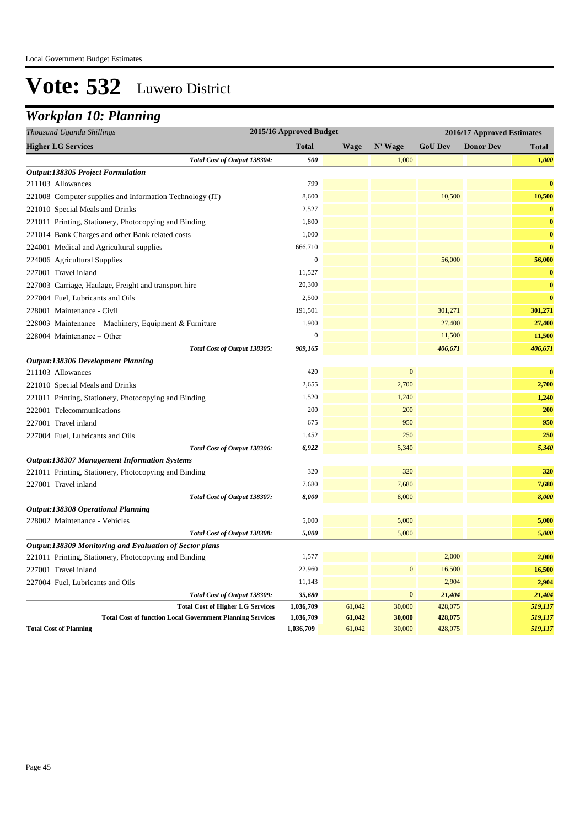### *Workplan 10: Planning*

| 2015/16 Approved Budget<br>Thousand Uganda Shillings             |                  |             |              | 2016/17 Approved Estimates |                  |              |  |
|------------------------------------------------------------------|------------------|-------------|--------------|----------------------------|------------------|--------------|--|
| <b>Higher LG Services</b>                                        | <b>Total</b>     | <b>Wage</b> | N' Wage      | <b>GoU Dev</b>             | <b>Donor Dev</b> | <b>Total</b> |  |
| Total Cost of Output 138304:                                     | 500              |             | 1,000        |                            |                  | 1,000        |  |
| <b>Output:138305 Project Formulation</b>                         |                  |             |              |                            |                  |              |  |
| 211103 Allowances                                                | 799              |             |              |                            |                  | $\bf{0}$     |  |
| 221008 Computer supplies and Information Technology (IT)         | 8,600            |             |              | 10,500                     |                  | 10,500       |  |
| 221010 Special Meals and Drinks                                  | 2,527            |             |              |                            |                  | $\bf{0}$     |  |
| 221011 Printing, Stationery, Photocopying and Binding            | 1,800            |             |              |                            |                  | $\bf{0}$     |  |
| 221014 Bank Charges and other Bank related costs                 | 1,000            |             |              |                            |                  | $\bf{0}$     |  |
| 224001 Medical and Agricultural supplies                         | 666,710          |             |              |                            |                  | $\bf{0}$     |  |
| 224006 Agricultural Supplies                                     | $\boldsymbol{0}$ |             |              | 56,000                     |                  | 56,000       |  |
| 227001 Travel inland                                             | 11,527           |             |              |                            |                  | $\bf{0}$     |  |
| 227003 Carriage, Haulage, Freight and transport hire             | 20,300           |             |              |                            |                  | $\bf{0}$     |  |
| 227004 Fuel, Lubricants and Oils                                 | 2,500            |             |              |                            |                  | $\bf{0}$     |  |
| 228001 Maintenance - Civil                                       | 191,501          |             |              | 301,271                    |                  | 301,271      |  |
| 228003 Maintenance - Machinery, Equipment & Furniture            | 1,900            |             |              | 27,400                     |                  | 27,400       |  |
| 228004 Maintenance – Other                                       | $\boldsymbol{0}$ |             |              | 11,500                     |                  | 11,500       |  |
| Total Cost of Output 138305:                                     | 909,165          |             |              | 406,671                    |                  | 406,671      |  |
| <b>Output:138306 Development Planning</b>                        |                  |             |              |                            |                  |              |  |
| 211103 Allowances                                                | 420              |             | $\mathbf{0}$ |                            |                  | $\bf{0}$     |  |
| 221010 Special Meals and Drinks                                  | 2,655            |             | 2,700        |                            |                  | 2,700        |  |
| 221011 Printing, Stationery, Photocopying and Binding            | 1,520            |             | 1,240        |                            |                  | 1,240        |  |
| 222001 Telecommunications                                        | 200              |             | 200          |                            |                  | 200          |  |
| 227001 Travel inland                                             | 675              |             | 950          |                            |                  | 950          |  |
| 227004 Fuel, Lubricants and Oils                                 | 1,452            |             | 250          |                            |                  | 250          |  |
| Total Cost of Output 138306:                                     | 6,922            |             | 5,340        |                            |                  | 5,340        |  |
| <b>Output:138307 Management Information Systems</b>              |                  |             |              |                            |                  |              |  |
| 221011 Printing, Stationery, Photocopying and Binding            | 320              |             | 320          |                            |                  | 320          |  |
| 227001 Travel inland                                             | 7,680            |             | 7,680        |                            |                  | 7,680        |  |
| Total Cost of Output 138307:                                     | 8,000            |             | 8,000        |                            |                  | 8,000        |  |
| <b>Output:138308 Operational Planning</b>                        |                  |             |              |                            |                  |              |  |
| 228002 Maintenance - Vehicles                                    | 5,000            |             | 5,000        |                            |                  | 5,000        |  |
| Total Cost of Output 138308:                                     | 5,000            |             | 5,000        |                            |                  | 5,000        |  |
| Output:138309 Monitoring and Evaluation of Sector plans          |                  |             |              |                            |                  |              |  |
| 221011 Printing, Stationery, Photocopying and Binding            | 1,577            |             |              | 2,000                      |                  | 2,000        |  |
| 227001 Travel inland                                             | 22,960           |             | $\mathbf{0}$ | 16,500                     |                  | 16,500       |  |
| 227004 Fuel, Lubricants and Oils                                 | 11,143           |             |              | 2,904                      |                  | 2,904        |  |
| Total Cost of Output 138309:                                     | 35,680           |             | $\mathbf{0}$ | 21,404                     |                  | 21,404       |  |
| <b>Total Cost of Higher LG Services</b>                          | 1,036,709        | 61,042      | 30,000       | 428,075                    |                  | 519,117      |  |
| <b>Total Cost of function Local Government Planning Services</b> | 1,036,709        | 61,042      | 30,000       | 428,075                    |                  | 519,117      |  |
| <b>Total Cost of Planning</b>                                    | 1,036,709        | 61,042      | 30,000       | 428,075                    |                  | 519,117      |  |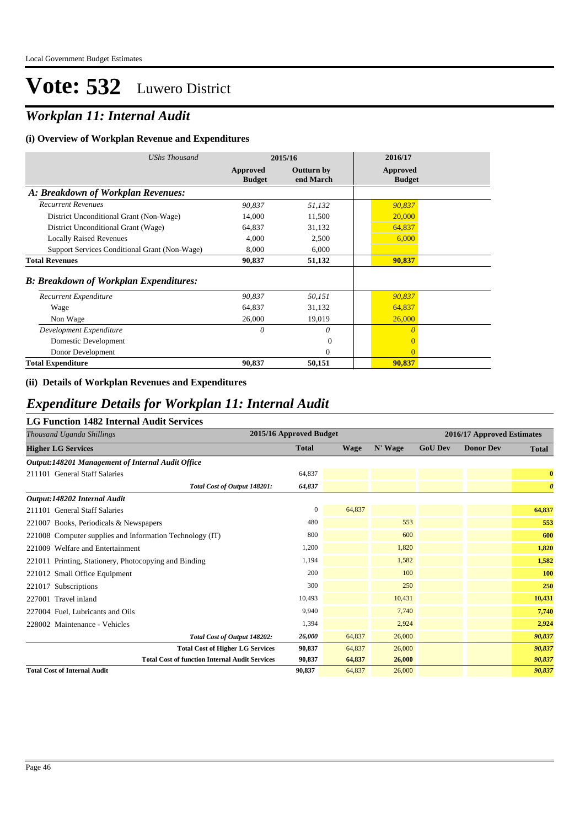### *Workplan 11: Internal Audit*

#### **(i) Overview of Workplan Revenue and Expenditures**

| <b>UShs Thousand</b>                           | 2015/16                   |                                | 2016/17                   |  |
|------------------------------------------------|---------------------------|--------------------------------|---------------------------|--|
|                                                | Approved<br><b>Budget</b> | <b>Outturn by</b><br>end March | Approved<br><b>Budget</b> |  |
| A: Breakdown of Workplan Revenues:             |                           |                                |                           |  |
| <b>Recurrent Revenues</b>                      | 90,837                    | 51,132                         | 90,837                    |  |
| District Unconditional Grant (Non-Wage)        | 14,000                    | 11,500                         | 20,000                    |  |
| District Unconditional Grant (Wage)            | 64,837                    | 31,132                         | 64,837                    |  |
| <b>Locally Raised Revenues</b>                 | 4,000                     | 2,500                          | 6,000                     |  |
| Support Services Conditional Grant (Non-Wage)  | 8,000                     | 6,000                          |                           |  |
| <b>Total Revenues</b>                          | 90,837                    | 51,132                         | 90,837                    |  |
| <b>B</b> : Breakdown of Workplan Expenditures: |                           |                                |                           |  |
| Recurrent Expenditure                          | 90,837                    | 50,151                         | 90,837                    |  |
| Wage                                           | 64,837                    | 31,132                         | 64,837                    |  |
| Non Wage                                       | 26,000                    | 19,019                         | 26,000                    |  |
| Development Expenditure                        | 0                         | $\theta$                       | $\theta$                  |  |
| Domestic Development                           |                           | $\Omega$                       | $\overline{0}$            |  |
| Donor Development                              |                           | $\Omega$                       | $\overline{0}$            |  |
| <b>Total Expenditure</b>                       | 90,837                    | 50,151                         | 90,837                    |  |

#### **(ii) Details of Workplan Revenues and Expenditures**

#### *Expenditure Details for Workplan 11: Internal Audit*

#### **LG Function 1482 Internal Audit Services**

| Thousand Uganda Shillings                                |              | 2015/16 Approved Budget |         |                | 2016/17 Approved Estimates |                       |  |  |
|----------------------------------------------------------|--------------|-------------------------|---------|----------------|----------------------------|-----------------------|--|--|
| <b>Higher LG Services</b>                                | <b>Total</b> | <b>Wage</b>             | N' Wage | <b>GoU Dev</b> | <b>Donor Dev</b>           | Total                 |  |  |
| Output:148201 Management of Internal Audit Office        |              |                         |         |                |                            |                       |  |  |
| 211101 General Staff Salaries                            | 64,837       |                         |         |                |                            | $\bf{0}$              |  |  |
| Total Cost of Output 148201:                             | 64,837       |                         |         |                |                            | $\boldsymbol{\theta}$ |  |  |
| Output:148202 Internal Audit                             |              |                         |         |                |                            |                       |  |  |
| 211101 General Staff Salaries                            | $\mathbf{0}$ | 64,837                  |         |                |                            | 64,837                |  |  |
| 221007 Books, Periodicals & Newspapers                   | 480          |                         | 553     |                |                            | 553                   |  |  |
| 221008 Computer supplies and Information Technology (IT) | 800          |                         | 600     |                |                            | 600                   |  |  |
| 221009 Welfare and Entertainment                         | 1,200        |                         | 1,820   |                |                            | 1,820                 |  |  |
| 221011 Printing, Stationery, Photocopying and Binding    | 1,194        |                         | 1,582   |                |                            | 1,582                 |  |  |
| 221012 Small Office Equipment                            | 200          |                         | 100     |                |                            | 100                   |  |  |
| 221017 Subscriptions                                     | 300          |                         | 250     |                |                            | 250                   |  |  |
| 227001 Travel inland                                     | 10,493       |                         | 10,431  |                |                            | 10,431                |  |  |
| 227004 Fuel, Lubricants and Oils                         | 9.940        |                         | 7,740   |                |                            | 7,740                 |  |  |
| 228002 Maintenance - Vehicles                            | 1,394        |                         | 2,924   |                |                            | 2,924                 |  |  |
| Total Cost of Output 148202:                             | 26,000       | 64,837                  | 26,000  |                |                            | 90,837                |  |  |
| <b>Total Cost of Higher LG Services</b>                  | 90,837       | 64,837                  | 26,000  |                |                            | 90,837                |  |  |
| <b>Total Cost of function Internal Audit Services</b>    | 90,837       | 64,837                  | 26,000  |                |                            | 90,837                |  |  |
| <b>Total Cost of Internal Audit</b>                      | 90,837       | 64,837                  | 26,000  |                |                            | 90,837                |  |  |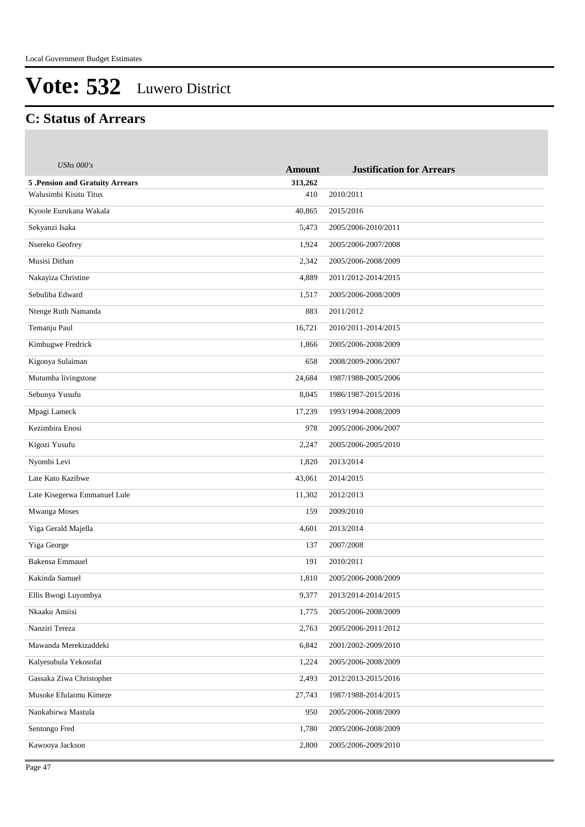#### **C: Status of Arrears**

| <b>UShs 000's</b>                      | <b>Amount</b> | <b>Justification for Arrears</b> |
|----------------------------------------|---------------|----------------------------------|
| <b>5 .Pension and Gratuity Arrears</b> | 313,262       |                                  |
| Walusimbi Kisitu Titus                 | 410           | 2010/2011                        |
| Kyoole Eurukana Wakala                 | 40,865        | 2015/2016                        |
| Sekyanzi Isaka                         | 5,473         | 2005/2006-2010/2011              |
| Nsereko Geofrey                        | 1,924         | 2005/2006-2007/2008              |
| Musisi Dithan                          | 2,342         | 2005/2006-2008/2009              |
| Nakayiza Christine                     | 4,889         | 2011/2012-2014/2015              |
| Sebuliba Edward                        | 1,517         | 2005/2006-2008/2009              |
| Ntenge Ruth Namanda                    | 883           | 2011/2012                        |
| Temanju Paul                           | 16,721        | 2010/2011-2014/2015              |
| Kimbugwe Fredrick                      | 1,866         | 2005/2006-2008/2009              |
| Kigonya Sulaiman                       | 658           | 2008/2009-2006/2007              |
| Mutumba livingstone                    | 24,684        | 1987/1988-2005/2006              |
| Sebunya Yusufu                         | 8,045         | 1986/1987-2015/2016              |
| Mpagi Lameck                           | 17,239        | 1993/1994-2008/2009              |
| Kezimbira Enosi                        | 978           | 2005/2006-2006/2007              |
| Kigozi Yusufu                          | 2,247         | 2005/2006-2005/2010              |
| Nyombi Levi                            | 1,820         | 2013/2014                        |
| Late Kato Kazibwe                      | 43,061        | 2014/2015                        |
| Late Kisegerwa Emmanuel Lule           | 11,302        | 2012/2013                        |
| Mwanga Moses                           | 159           | 2009/2010                        |
| Yiga Gerald Majella                    | 4,601         | 2013/2014                        |
| Yiga George                            | 137           | 2007/2008                        |
| <b>Bakensa Emmauel</b>                 | 191           | 2010/2011                        |
| Kakinda Samuel                         | 1,810         | 2005/2006-2008/2009              |
| Ellis Bwogi Luyombya                   | 9,377         | 2013/2014-2014/2015              |
| Nkaaku Amiisi                          | 1,775         | 2005/2006-2008/2009              |
| Nanziri Tereza                         | 2,763         | 2005/2006-2011/2012              |
| Mawanda Merekizaddeki                  | 6,842         | 2001/2002-2009/2010              |
| Kalyesubula Yekosofat                  | 1,224         | 2005/2006-2008/2009              |
| Gassaka Ziwa Christopher               | 2,493         | 2012/2013-2015/2016              |
| Musoke Efulaimu Kimeze                 | 27,743        | 1987/1988-2014/2015              |
| Nankabirwa Mastula                     | 950           | 2005/2006-2008/2009              |
| Sentongo Fred                          | 1,780         | 2005/2006-2008/2009              |
| Kawooya Jackson                        | 2,800         | 2005/2006-2009/2010              |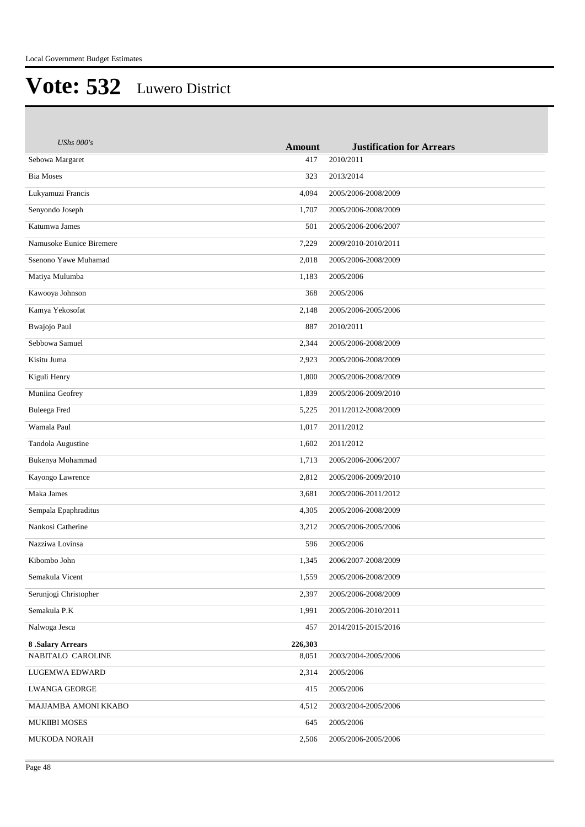| <b>UShs 000's</b>        | <b>Amount</b> | <b>Justification for Arrears</b> |
|--------------------------|---------------|----------------------------------|
| Sebowa Margaret          | 417           | 2010/2011                        |
| <b>Bia Moses</b>         | 323           | 2013/2014                        |
| Lukyamuzi Francis        | 4,094         | 2005/2006-2008/2009              |
| Senyondo Joseph          | 1,707         | 2005/2006-2008/2009              |
| Katumwa James            | 501           | 2005/2006-2006/2007              |
| Namusoke Eunice Biremere | 7,229         | 2009/2010-2010/2011              |
| Ssenono Yawe Muhamad     | 2,018         | 2005/2006-2008/2009              |
| Matiya Mulumba           | 1,183         | 2005/2006                        |
| Kawooya Johnson          | 368           | 2005/2006                        |
| Kamya Yekosofat          | 2,148         | 2005/2006-2005/2006              |
| Bwajojo Paul             | 887           | 2010/2011                        |
| Sebbowa Samuel           | 2,344         | 2005/2006-2008/2009              |
| Kisitu Juma              | 2,923         | 2005/2006-2008/2009              |
| Kiguli Henry             | 1,800         | 2005/2006-2008/2009              |
| Muniina Geofrey          | 1,839         | 2005/2006-2009/2010              |
| Buleega Fred             | 5,225         | 2011/2012-2008/2009              |
| Wamala Paul              | 1,017         | 2011/2012                        |
| Tandola Augustine        | 1,602         | 2011/2012                        |
| Bukenya Mohammad         | 1,713         | 2005/2006-2006/2007              |
| Kayongo Lawrence         | 2,812         | 2005/2006-2009/2010              |
| Maka James               | 3,681         | 2005/2006-2011/2012              |
| Sempala Epaphraditus     | 4,305         | 2005/2006-2008/2009              |
| Nankosi Catherine        | 3,212         | 2005/2006-2005/2006              |
| Nazziwa Lovinsa          | 596           | 2005/2006                        |
| Kibombo John             | 1,345         | 2006/2007-2008/2009              |
| Semakula Vicent          | 1,559         | 2005/2006-2008/2009              |
| Serunjogi Christopher    | 2,397         | 2005/2006-2008/2009              |
| Semakula P.K             | 1,991         | 2005/2006-2010/2011              |
| Nalwoga Jesca            | 457           | 2014/2015-2015/2016              |
| <b>8 .Salary Arrears</b> | 226,303       |                                  |
| NABITALO CAROLINE        | 8,051         | 2003/2004-2005/2006              |
| LUGEMWA EDWARD           | 2,314         | 2005/2006                        |
| <b>LWANGA GEORGE</b>     | 415           | 2005/2006                        |
| MAJJAMBA AMONI KKABO     | 4,512         | 2003/2004-2005/2006              |
| <b>MUKIIBI MOSES</b>     | 645           | 2005/2006                        |
| <b>MUKODA NORAH</b>      | 2,506         | 2005/2006-2005/2006              |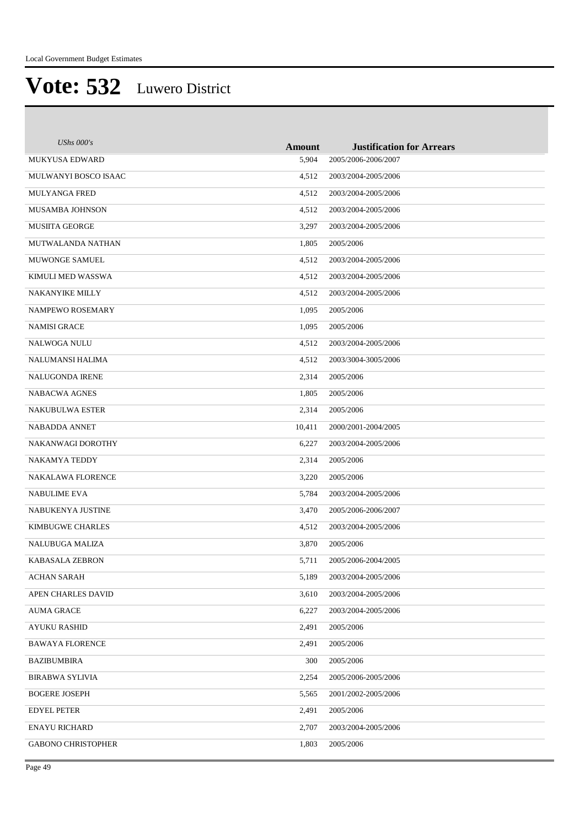| UShs $000's$              | <b>Amount</b> | <b>Justification for Arrears</b> |
|---------------------------|---------------|----------------------------------|
| <b>MUKYUSA EDWARD</b>     | 5,904         | 2005/2006-2006/2007              |
| MULWANYI BOSCO ISAAC      | 4,512         | 2003/2004-2005/2006              |
| <b>MULYANGA FRED</b>      | 4,512         | 2003/2004-2005/2006              |
| <b>MUSAMBA JOHNSON</b>    | 4,512         | 2003/2004-2005/2006              |
| <b>MUSIITA GEORGE</b>     | 3,297         | 2003/2004-2005/2006              |
| MUTWALANDA NATHAN         | 1,805         | 2005/2006                        |
| MUWONGE SAMUEL            | 4,512         | 2003/2004-2005/2006              |
| KIMULI MED WASSWA         | 4,512         | 2003/2004-2005/2006              |
| <b>NAKANYIKE MILLY</b>    | 4,512         | 2003/2004-2005/2006              |
| <b>NAMPEWO ROSEMARY</b>   | 1,095         | 2005/2006                        |
| <b>NAMISI GRACE</b>       | 1,095         | 2005/2006                        |
| <b>NALWOGA NULU</b>       | 4,512         | 2003/2004-2005/2006              |
| NALUMANSI HALIMA          | 4,512         | 2003/3004-3005/2006              |
| <b>NALUGONDA IRENE</b>    | 2,314         | 2005/2006                        |
| <b>NABACWA AGNES</b>      | 1,805         | 2005/2006                        |
| <b>NAKUBULWA ESTER</b>    | 2,314         | 2005/2006                        |
| <b>NABADDA ANNET</b>      | 10,411        | 2000/2001-2004/2005              |
| NAKANWAGI DOROTHY         | 6,227         | 2003/2004-2005/2006              |
| NAKAMYA TEDDY             | 2,314         | 2005/2006                        |
| <b>NAKALAWA FLORENCE</b>  | 3,220         | 2005/2006                        |
| <b>NABULIME EVA</b>       | 5,784         | 2003/2004-2005/2006              |
| NABUKENYA JUSTINE         | 3,470         | 2005/2006-2006/2007              |
| <b>KIMBUGWE CHARLES</b>   | 4,512         | 2003/2004-2005/2006              |
| <b>NALUBUGA MALIZA</b>    | 3,870         | 2005/2006                        |
| <b>KABASALA ZEBRON</b>    | 5,711         | 2005/2006-2004/2005              |
| <b>ACHAN SARAH</b>        | 5,189         | 2003/2004-2005/2006              |
| APEN CHARLES DAVID        | 3,610         | 2003/2004-2005/2006              |
| <b>AUMA GRACE</b>         | 6,227         | 2003/2004-2005/2006              |
| AYUKU RASHID              | 2,491         | 2005/2006                        |
| <b>BAWAYA FLORENCE</b>    | 2,491         | 2005/2006                        |
| BAZIBUMBIRA               | 300           | 2005/2006                        |
| <b>BIRABWA SYLIVIA</b>    | 2,254         | 2005/2006-2005/2006              |
| <b>BOGERE JOSEPH</b>      | 5,565         | 2001/2002-2005/2006              |
| <b>EDYEL PETER</b>        | 2,491         | 2005/2006                        |
| <b>ENAYU RICHARD</b>      | 2,707         | 2003/2004-2005/2006              |
| <b>GABONO CHRISTOPHER</b> | 1,803         | 2005/2006                        |